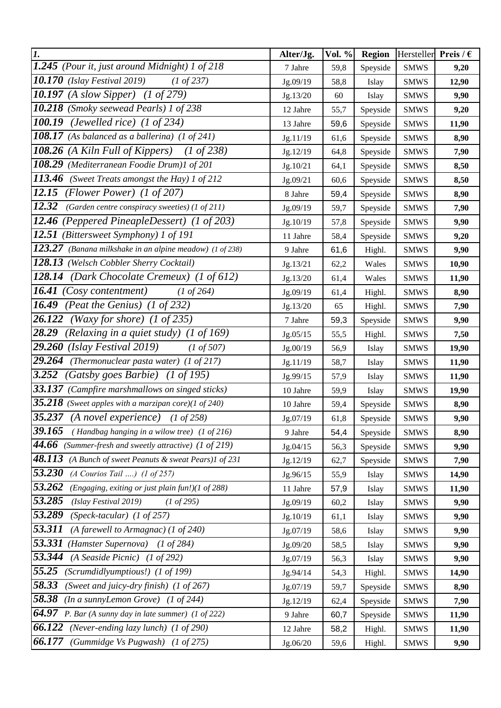| $\mathbf{I}$ .                                                         | Alter/Jg. | Vol. % | <b>Region</b> | Hersteller            | Preis / $\epsilon$ |
|------------------------------------------------------------------------|-----------|--------|---------------|-----------------------|--------------------|
| $\overline{1.245}$ (Pour it, just around Midnight) 1 of 218            | 7 Jahre   | 59,8   | Speyside      | <b>SMWS</b>           | 9,20               |
| <b>10.170</b> (Islay Festival 2019)<br>$(1 \text{ of } 237)$           | Jg.09/19  | 58,8   | Islay         | <b>SMWS</b>           | 12,90              |
| <b>10.197</b> (A slow Sipper) (1 of 279)                               | Jg.13/20  | 60     | Islay         | <b>SMWS</b>           | 9,90               |
| 10.218 (Smoky seewead Pearls) 1 of 238                                 | 12 Jahre  | 55,7   | Speyside      | <b>SMWS</b>           | 9,20               |
| 100.19<br>(Jewelled rice) $(1 \text{ of } 234)$                        | 13 Jahre  | 59,6   | Speyside      | <b>SMWS</b>           | 11,90              |
| 108.17 (As balanced as a ballerina) $(1 \text{ of } 241)$              | Jg.11/19  | 61,6   | Speyside      | <b>SMWS</b>           | 8,90               |
| 108.26 (A Kiln Full of Kippers)<br>$(1 \text{ of } 238)$               | Jg.12/19  | 64,8   | Speyside      | <b>SMWS</b>           | 7,90               |
| 108.29 (Mediterranean Foodie Drum)1 of 201                             | Jg.10/21  | 64,1   | Speyside      | <b>SMWS</b>           | 8,50               |
| 113.46<br>(Sweet Treats amongst the Hay) 1 of 212                      | Jg.09/21  | 60,6   | Speyside      | <b>SMWS</b>           | 8,50               |
| 12.15<br>(Flower Power) $(1 \text{ of } 207)$                          | 8 Jahre   | 59,4   | Speyside      | <b>SMWS</b>           | 8,90               |
| 12.32<br>(Garden centre conspiracy sweeties) (1 of 211)                | Jg.09/19  | 59,7   | Speyside      | <b>SMWS</b>           | 7,90               |
| 12.46 (Peppered PineapleDessert) (1 of 203)                            | Jg.10/19  | 57,8   | Speyside      | <b>SMWS</b>           | 9,90               |
| 12.51 (Bittersweet Symphony) 1 of 191                                  | 11 Jahre  | 58,4   | Speyside      | <b>SMWS</b>           | 9,20               |
| 123.27 (Banana milkshake in an alpine meadow) (1 of 238)               | 9 Jahre   | 61,6   | Highl.        | <b>SMWS</b>           | 9,90               |
| 128.13 (Welsch Cobbler Sherry Cocktail)                                | Jg.13/21  | 62,2   | Wales         | <b>SMWS</b>           | 10,90              |
| 128.14 (Dark Chocolate Cremeux) (1 of 612)                             | Jg.13/20  | 61,4   | Wales         | <b>SMWS</b>           | 11,90              |
| <b>16.41</b> (Cosy contentment)<br>$(1 \text{ of } 264)$               | Jg.09/19  | 61,4   | Highl.        | <b>SMWS</b>           | 8,90               |
| (Peat the Genius) $(1 \text{ of } 232)$<br>16.49                       | Jg.13/20  | 65     | Highl.        | <b>SMWS</b>           | 7,90               |
| 26.122<br>(Waxy for shore) $(1 \text{ of } 235)$                       | 7 Jahre   | 59,3   | Speyside      | <b>SMWS</b>           | 9,90               |
| 28.29<br>(Relaxing in a quiet study) (1 of 169)                        | Jg.05/15  | 55,5   | Highl.        | <b>SMWS</b>           | 7,50               |
| 29.260<br>(Islay Festival 2019)<br>$(1 \text{ of } 507)$               | Jg.00/19  | 56,9   | Islay         | <b>SMWS</b>           | 19,90              |
| 29.264<br>(Thermonuclear pasta water) (1 of 217)                       | Jg.11/19  | 58,7   | Islay         | <b>SMWS</b>           | 11,90              |
| 3.252<br>(Gatsby goes Barbie) (1 of 195)                               | Jg.99/15  | 57,9   | Islay         | <b>SMWS</b>           | 11,90              |
| 33.137 (Campfire marshmallows on singed sticks)                        | 10 Jahre  | 59,9   | Islay         | <b>SMWS</b>           | 19,90              |
| <b>35.218</b> (Sweet apples with a marzipan core)(1 of 240)            | 10 Jahre  | 59,4   | Speyside      | <b>SMWS</b>           | 8,90               |
| 35.237 $(A$ novel experience)<br>$(1 \text{ of } 258)$                 | Jg.07/19  | 61,8   | Speyside      | $\operatorname{SMWS}$ | 9,90               |
| 39.165<br>(Handbag hanging in a wilow tree) $(1 \text{ of } 216)$      | 9 Jahre   | 54,4   | Speyside      | <b>SMWS</b>           | 8,90               |
| 44.66<br>(Summer-fresh and sweetly attractive) $(1 \text{ of } 219)$   | Jg.04/15  | 56,3   | Speyside      | <b>SMWS</b>           | 9,90               |
| 48.113<br>(A Bunch of sweet Peanuts & sweat Pears)1 of 231             | Jg.12/19  | 62,7   | Speyside      | <b>SMWS</b>           | 7,90               |
| 53.230<br>$(A$ Courios Tail ) $(1 \text{ of } 257)$                    | Jg.96/15  | 55,9   | Islay         | <b>SMWS</b>           | 14,90              |
| 53.262<br>(Engaging, exiting or just plain fun!)(1 of 288)             | 11 Jahre  | 57,9   | Islay         | <b>SMWS</b>           | 11,90              |
| 53.285<br>(Islay Festival 2019)<br>$(1 \text{ of } 295)$               | Jg.09/19  | 60,2   | Islay         | <b>SMWS</b>           | 9,90               |
| 53.289<br>(Speck-tacular) $(1 \text{ of } 257)$                        | Jg.10/19  | 61,1   | Islay         | <b>SMWS</b>           | 9,90               |
| 53.311<br>(A farewell to Armagnac) (1 of 240)                          | Jg.07/19  | 58,6   | Islay         | <b>SMWS</b>           | 9,90               |
| 53.331<br>(Hamster Supernova) (1 of 284)                               | Jg.09/20  | 58,5   | Islay         | <b>SMWS</b>           | 9,90               |
| 53.344<br>(A Seaside Picnic) (1 of 292)                                | Jg.07/19  | 56,3   | Islay         | <b>SMWS</b>           | 9,90               |
| 55.25<br>(Scrumdidlyumptious!) (1 of 199)                              | Jg.94/14  | 54,3   | Highl.        | <b>SMWS</b>           | 14,90              |
| 58.33<br>(Sweet and juicy-dry finish) (1 of 267)                       | Jg.07/19  | 59,7   | Speyside      | <b>SMWS</b>           | 8,90               |
| 58.38<br>(In a sunnyLemon Grove) (1 of 244)                            | Jg.12/19  | 62,4   | Speyside      | <b>SMWS</b>           | 7,90               |
| <b>64.97</b> P. Bar (A sunny day in late summer) $(1 \text{ of } 222)$ | 9 Jahre   | 60,7   | Speyside      | <b>SMWS</b>           | 11,90              |
| 66.122<br>(Never-ending lazy lunch) (1 of 290)                         | 12 Jahre  | 58,2   | Highl.        | <b>SMWS</b>           | 11,90              |
| 66.177<br>(Gummidge Vs Pugwash) (1 of 275)                             | Jg.06/20  | 59,6   | Highl.        | <b>SMWS</b>           | 9,90               |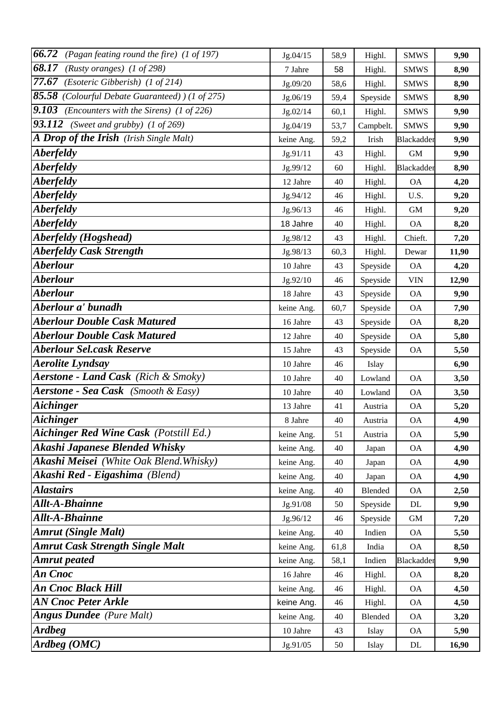| 66.72<br>(Pagan feating round the fire) (1 of 197)              | Jg.04/15   | 58,9 | Highl.    | <b>SMWS</b>       | 9,90  |
|-----------------------------------------------------------------|------------|------|-----------|-------------------|-------|
| 68.17<br>(Rusty oranges) $(1 \text{ of } 298)$                  | 7 Jahre    | 58   | Highl.    | <b>SMWS</b>       | 8,90  |
| $77.67$ (Esoteric Gibberish) (1 of 214)                         | Jg.09/20   | 58,6 | Highl.    | <b>SMWS</b>       | 8,90  |
| 85.58 (Colourful Debate Guaranteed) ) (1 of 275)                | Jg.06/19   | 59,4 | Speyside  | <b>SMWS</b>       | 8,90  |
| <b>9.103</b> (Encounters with the Sirens) $(1 \text{ of } 226)$ | Jg.02/14   | 60,1 | Highl.    | <b>SMWS</b>       | 9,90  |
| <b>93.112</b> (Sweet and grubby) $(1 \text{ of } 269)$          | Jg.04/19   | 53,7 | Campbelt. | <b>SMWS</b>       | 9,90  |
| A Drop of the Irish (Irish Single Malt)                         | keine Ang. | 59,2 | Irish     | <b>Blackadder</b> | 9,90  |
| <b>Aberfeldy</b>                                                | Jg.91/11   | 43   | Highl.    | <b>GM</b>         | 9,90  |
| <b>Aberfeldy</b>                                                | Jg.99/12   | 60   | Highl.    | Blackadder        | 8,90  |
| <b>Aberfeldy</b>                                                | 12 Jahre   | 40   | Highl.    | <b>OA</b>         | 4,20  |
| <b>Aberfeldy</b>                                                | Jg.94/12   | 46   | Highl.    | U.S.              | 9,20  |
| <i><b>Aberfeldy</b></i>                                         | Jg.96/13   | 46   | Highl.    | <b>GM</b>         | 9,20  |
| <i><b>Aberfeldy</b></i>                                         | 18 Jahre   | 40   | Highl.    | <b>OA</b>         | 8,20  |
| Aberfeldy (Hogshead)                                            | Jg.98/12   | 43   | Highl.    | Chieft.           | 7,20  |
| <b>Aberfeldy Cask Strength</b>                                  | Jg.98/13   | 60,3 | Highl.    | Dewar             | 11,90 |
| <b>Aberlour</b>                                                 | 10 Jahre   | 43   | Speyside  | <b>OA</b>         | 4,20  |
| <b>Aberlour</b>                                                 | Jg.92/10   | 46   | Speyside  | <b>VIN</b>        | 12,90 |
| <b>Aberlour</b>                                                 | 18 Jahre   | 43   | Speyside  | <b>OA</b>         | 9,90  |
| Aberlour a' bunadh                                              | keine Ang. | 60,7 | Speyside  | <b>OA</b>         | 7,90  |
| <b>Aberlour Double Cask Matured</b>                             | 16 Jahre   | 43   | Speyside  | <b>OA</b>         | 8,20  |
| <b>Aberlour Double Cask Matured</b>                             | 12 Jahre   | 40   | Speyside  | <b>OA</b>         | 5,80  |
| <b>Aberlour Sel.cask Reserve</b>                                | 15 Jahre   | 43   | Speyside  | <b>OA</b>         | 5,50  |
| <b>Aerolite Lyndsay</b>                                         | 10 Jahre   | 46   | Islay     |                   | 6,90  |
| <b>Aerstone - Land Cask</b> (Rich & Smoky)                      | 10 Jahre   | 40   | Lowland   | <b>OA</b>         | 3,50  |
| <b>Aerstone - Sea Cask</b> (Smooth & Easy)                      | 10 Jahre   | 40   | Lowland   | <b>OA</b>         | 3,50  |
| <b>Aichinger</b>                                                | 13 Jahre   | 41   | Austria   | <b>OA</b>         | 5,20  |
| <b>Aichinger</b>                                                | 8 Jahre    | 40   | Austria   | <b>OA</b>         | 4,90  |
| <b>Aichinger Red Wine Cask (Potstill Ed.)</b>                   | keine Ang. | 51   | Austria   | <b>OA</b>         | 5,90  |
| <b>Akashi Japanese Blended Whisky</b>                           | keine Ang. | 40   | Japan     | <b>OA</b>         | 4,90  |
| Akashi Meisei (White Oak Blend. Whisky)                         | keine Ang. | 40   | Japan     | <b>OA</b>         | 4,90  |
| Akashi Red - Eigashima (Blend)                                  | keine Ang. | 40   | Japan     | <b>OA</b>         | 4,90  |
| <b>Alastairs</b>                                                | keine Ang. | 40   | Blended   | <b>OA</b>         | 2,50  |
| <b>Allt-A-Bhainne</b>                                           | Jg.91/08   | 50   | Speyside  | DL                | 9,90  |
| Allt-A-Bhainne                                                  | Jg.96/12   | 46   | Speyside  | $\mbox{GM}$       | 7,20  |
| <b>Amrut (Single Malt)</b>                                      | keine Ang. | 40   | Indien    | <b>OA</b>         | 5,50  |
| <b>Amrut Cask Strength Single Malt</b>                          | keine Ang. | 61,8 | India     | <b>OA</b>         | 8,50  |
| <b>Amrut</b> peated                                             | keine Ang. | 58,1 | Indien    | Blackadder        | 9,90  |
| An Cnoc                                                         | 16 Jahre   | 46   | Highl.    | <b>OA</b>         | 8,20  |
| <b>An Cnoc Black Hill</b>                                       | keine Ang. | 46   | Highl.    | <b>OA</b>         | 4,50  |
| <b>AN Cnoc Peter Arkle</b>                                      | keine Ang. | 46   | Highl.    | <b>OA</b>         | 4,50  |
| <b>Angus Dundee</b> (Pure Malt)                                 | keine Ang. | 40   | Blended   | <b>OA</b>         | 3,20  |
| <b>Ardbeg</b>                                                   | 10 Jahre   | 43   | Islay     | <b>OA</b>         | 5,90  |
| Ardbeg (OMC)                                                    | Jg.91/05   | 50   | Islay     | DL                | 16,90 |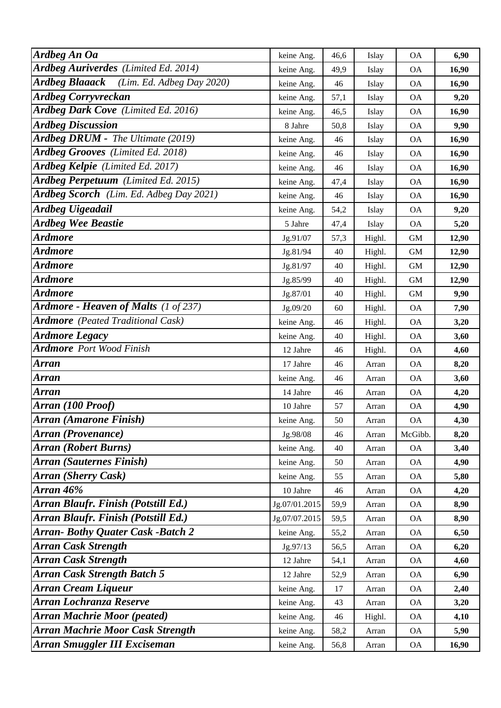| <b>Ardbeg An Oa</b>                                | keine Ang.    | 46,6 | Islay  | <b>OA</b>    | 6,90  |
|----------------------------------------------------|---------------|------|--------|--------------|-------|
| Ardbeg Auriverdes (Limited Ed. 2014)               | keine Ang.    | 49,9 | Islay  | <b>OA</b>    | 16,90 |
| <b>Ardbeg Blaaack</b><br>(Lim. Ed. Adbeg Day 2020) | keine Ang.    | 46   | Islay  | <b>OA</b>    | 16,90 |
| <b>Ardbeg Corryvreckan</b>                         | keine Ang.    | 57,1 | Islay  | <b>OA</b>    | 9,20  |
| Ardbeg Dark Cove (Limited Ed. 2016)                | keine Ang.    | 46,5 | Islay  | <b>OA</b>    | 16,90 |
| <b>Ardbeg Discussion</b>                           | 8 Jahre       | 50,8 | Islay  | <b>OA</b>    | 9,90  |
| Ardbeg DRUM - The Ultimate (2019)                  | keine Ang.    | 46   | Islay  | <b>OA</b>    | 16,90 |
| Ardbeg Grooves (Limited Ed. 2018)                  | keine Ang.    | 46   | Islay  | <b>OA</b>    | 16,90 |
| Ardbeg Kelpie (Limited Ed. 2017)                   | keine Ang.    | 46   | Islay  | <b>OA</b>    | 16,90 |
| Ardbeg Perpetuum (Limited Ed. 2015)                | keine Ang.    | 47,4 | Islay  | <b>OA</b>    | 16,90 |
| Ardbeg Scorch (Lim. Ed. Adbeg Day 2021)            | keine Ang.    | 46   | Islay  | <b>OA</b>    | 16,90 |
| <b>Ardbeg Uigeadail</b>                            | keine Ang.    | 54,2 | Islay  | <b>OA</b>    | 9,20  |
| <b>Ardbeg Wee Beastie</b>                          | 5 Jahre       | 47,4 | Islay  | <b>OA</b>    | 5,20  |
| <b>Ardmore</b>                                     | Jg.91/07      | 57,3 | Highl. | $\,$ GM $\,$ | 12,90 |
| <b>Ardmore</b>                                     | Jg.81/94      | 40   | Highl. | $\,$ GM $\,$ | 12,90 |
| <b>Ardmore</b>                                     | Jg.81/97      | 40   | Highl. | <b>GM</b>    | 12,90 |
| <b>Ardmore</b>                                     | Jg.85/99      | 40   | Highl. | <b>GM</b>    | 12,90 |
| <b>Ardmore</b>                                     | Jg.87/01      | 40   | Highl. | <b>GM</b>    | 9,90  |
| <b>Ardmore - Heaven of Malts</b> (1 of 237)        | Jg.09/20      | 60   | Highl. | <b>OA</b>    | 7,90  |
| <b>Ardmore</b> (Peated Traditional Cask)           | keine Ang.    | 46   | Highl. | <b>OA</b>    | 3,20  |
| <b>Ardmore Legacy</b>                              | keine Ang.    | 40   | Highl. | <b>OA</b>    | 3,60  |
| <b>Ardmore</b> Port Wood Finish                    | 12 Jahre      | 46   | Highl. | <b>OA</b>    | 4,60  |
| Arran                                              | 17 Jahre      | 46   | Arran  | <b>OA</b>    | 8,20  |
| <b>Arran</b>                                       | keine Ang.    | 46   | Arran  | <b>OA</b>    | 3,60  |
| <b>Arran</b>                                       | 14 Jahre      | 46   | Arran  | <b>OA</b>    | 4,20  |
| Arran (100 Proof)                                  | 10 Jahre      | 57   | Arran  | <b>OA</b>    | 4,90  |
| Arran (Amarone Finish)                             | keine Ang.    | 50   | Arran  | <b>OA</b>    | 4,30  |
| Arran (Provenance)                                 | Jg.98/08      | 46   | Arran  | McGibb.      | 8,20  |
| <b>Arran (Robert Burns)</b>                        | keine Ang.    | 40   | Arran  | <b>OA</b>    | 3,40  |
| <b>Arran (Sauternes Finish)</b>                    | keine Ang.    | 50   | Arran  | <b>OA</b>    | 4,90  |
| <b>Arran (Sherry Cask)</b>                         | keine Ang.    | 55   | Arran  | <b>OA</b>    | 5,80  |
| Arran 46%                                          | 10 Jahre      | 46   | Arran  | <b>OA</b>    | 4,20  |
| Arran Blaufr. Finish (Potstill Ed.)                | Jg.07/01.2015 | 59,9 | Arran  | <b>OA</b>    | 8,90  |
| Arran Blaufr. Finish (Potstill Ed.)                | Jg.07/07.2015 | 59,5 | Arran  | <b>OA</b>    | 8,90  |
| <b>Arran-Bothy Quater Cask -Batch 2</b>            | keine Ang.    | 55,2 | Arran  | <b>OA</b>    | 6,50  |
| <b>Arran Cask Strength</b>                         | Jg.97/13      | 56,5 | Arran  | <b>OA</b>    | 6,20  |
| <b>Arran Cask Strength</b>                         | 12 Jahre      | 54,1 | Arran  | <b>OA</b>    | 4,60  |
| <b>Arran Cask Strength Batch 5</b>                 | 12 Jahre      | 52,9 | Arran  | <b>OA</b>    | 6,90  |
| <b>Arran Cream Liqueur</b>                         | keine Ang.    | 17   | Arran  | <b>OA</b>    | 2,40  |
| Arran Lochranza Reserve                            | keine Ang.    | 43   | Arran  | <b>OA</b>    | 3,20  |
| <b>Arran Machrie Moor (peated)</b>                 | keine Ang.    | 46   | Highl. | <b>OA</b>    | 4,10  |
| <b>Arran Machrie Moor Cask Strength</b>            | keine Ang.    | 58,2 | Arran  | <b>OA</b>    | 5,90  |
| <b>Arran Smuggler III Exciseman</b>                | keine Ang.    | 56,8 | Arran  | <b>OA</b>    | 16,90 |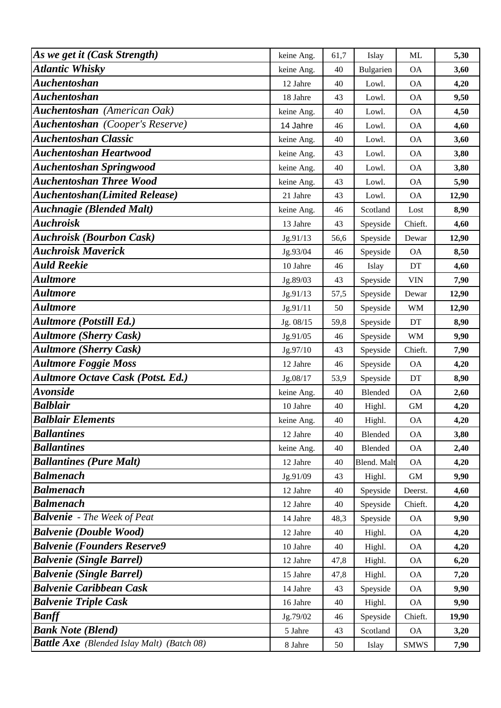| As we get it (Cask Strength)                      | keine Ang. | 61,7 | Islay       | ML          | 5,30  |
|---------------------------------------------------|------------|------|-------------|-------------|-------|
| <b>Atlantic Whisky</b>                            | keine Ang. | 40   | Bulgarien   | <b>OA</b>   | 3,60  |
| <b>Auchentoshan</b>                               | 12 Jahre   | 40   | Lowl.       | <b>OA</b>   | 4,20  |
| <b>Auchentoshan</b>                               | 18 Jahre   | 43   | Lowl.       | <b>OA</b>   | 9,50  |
| Auchentoshan (American Oak)                       | keine Ang. | 40   | Lowl.       | <b>OA</b>   | 4,50  |
| <b>Auchentoshan</b> (Cooper's Reserve)            | 14 Jahre   | 46   | Lowl.       | <b>OA</b>   | 4,60  |
| <b>Auchentoshan Classic</b>                       | keine Ang. | 40   | Lowl.       | <b>OA</b>   | 3,60  |
| <b>Auchentoshan Heartwood</b>                     | keine Ang. | 43   | Lowl.       | <b>OA</b>   | 3,80  |
| <b>Auchentoshan Springwood</b>                    | keine Ang. | 40   | Lowl.       | <b>OA</b>   | 3,80  |
| <b>Auchentoshan Three Wood</b>                    | keine Ang. | 43   | Lowl.       | <b>OA</b>   | 5,90  |
| <b>Auchentoshan</b> (Limited Release)             | 21 Jahre   | 43   | Lowl.       | <b>OA</b>   | 12,90 |
| <b>Auchnagie (Blended Malt)</b>                   | keine Ang. | 46   | Scotland    | Lost        | 8,90  |
| <b>Auchroisk</b>                                  | 13 Jahre   | 43   | Speyside    | Chieft.     | 4,60  |
| <b>Auchroisk (Bourbon Cask)</b>                   | Jg.91/13   | 56,6 | Speyside    | Dewar       | 12,90 |
| <b>Auchroisk Maverick</b>                         | Jg.93/04   | 46   | Speyside    | <b>OA</b>   | 8,50  |
| <b>Auld Reekie</b>                                | 10 Jahre   | 46   | Islay       | DT          | 4,60  |
| <b>Aultmore</b>                                   | Jg.89/03   | 43   | Speyside    | <b>VIN</b>  | 7,90  |
| <b>Aultmore</b>                                   | Jg.91/13   | 57,5 | Speyside    | Dewar       | 12,90 |
| <b>Aultmore</b>                                   | Jg.91/11   | 50   | Speyside    | <b>WM</b>   | 12,90 |
| <b>Aultmore (Potstill Ed.)</b>                    | Jg. 08/15  | 59,8 | Speyside    | DT          | 8,90  |
| <b>Aultmore (Sherry Cask)</b>                     | Jg.91/05   | 46   | Speyside    | <b>WM</b>   | 9,90  |
| <b>Aultmore (Sherry Cask)</b>                     | Jg.97/10   | 43   | Speyside    | Chieft.     | 7,90  |
| <b>Aultmore Foggie Moss</b>                       | 12 Jahre   | 46   | Speyside    | <b>OA</b>   | 4,20  |
| <b>Aultmore Octave Cask (Potst. Ed.)</b>          | Jg.08/17   | 53,9 | Speyside    | DT          | 8,90  |
| <b>Avonside</b>                                   | keine Ang. | 40   | Blended     | <b>OA</b>   | 2,60  |
| <b>Balblair</b>                                   | 10 Jahre   | 40   | Highl.      | <b>GM</b>   | 4,20  |
| <b>Balblair Elements</b>                          | keine Ang. | 40   | Highl.      | <b>OA</b>   | 4,20  |
| <b>Ballantines</b>                                | 12 Jahre   | 40   | Blended     | <b>OA</b>   | 3,80  |
| <b>Ballantines</b>                                | keine Ang. | 40   | Blended     | <b>OA</b>   | 2,40  |
| <b>Ballantines (Pure Malt)</b>                    | 12 Jahre   | 40   | Blend. Malt | <b>OA</b>   | 4,20  |
| <b>Balmenach</b>                                  | Jg.91/09   | 43   | Highl.      | $\mbox{GM}$ | 9,90  |
| <b>Balmenach</b>                                  | 12 Jahre   | 40   | Speyside    | Deerst.     | 4,60  |
| <b>Balmenach</b>                                  | 12 Jahre   | 40   | Speyside    | Chieft.     | 4,20  |
| <b>Balvenie</b> - The Week of Peat                | 14 Jahre   | 48,3 | Speyside    | <b>OA</b>   | 9,90  |
| <b>Balvenie (Double Wood)</b>                     | 12 Jahre   | 40   | Highl.      | <b>OA</b>   | 4,20  |
| <b>Balvenie (Founders Reserve9</b>                | 10 Jahre   | 40   | Highl.      | <b>OA</b>   | 4,20  |
| <b>Balvenie (Single Barrel)</b>                   | 12 Jahre   | 47,8 | Highl.      | <b>OA</b>   | 6,20  |
| <b>Balvenie (Single Barrel)</b>                   | 15 Jahre   | 47,8 | Highl.      | <b>OA</b>   | 7,20  |
| <b>Balvenie Caribbean Cask</b>                    | 14 Jahre   | 43   | Speyside    | <b>OA</b>   | 9,90  |
| <b>Balvenie Triple Cask</b>                       | 16 Jahre   | 40   | Highl.      | <b>OA</b>   | 9,90  |
| <b>Banff</b>                                      | Jg.79/02   | 46   | Speyside    | Chieft.     | 19,90 |
| <b>Bank Note (Blend)</b>                          | 5 Jahre    | 43   | Scotland    | <b>OA</b>   | 3,20  |
| <b>Battle Axe</b> (Blended Islay Malt) (Batch 08) | 8 Jahre    | 50   | Islay       | <b>SMWS</b> | 7,90  |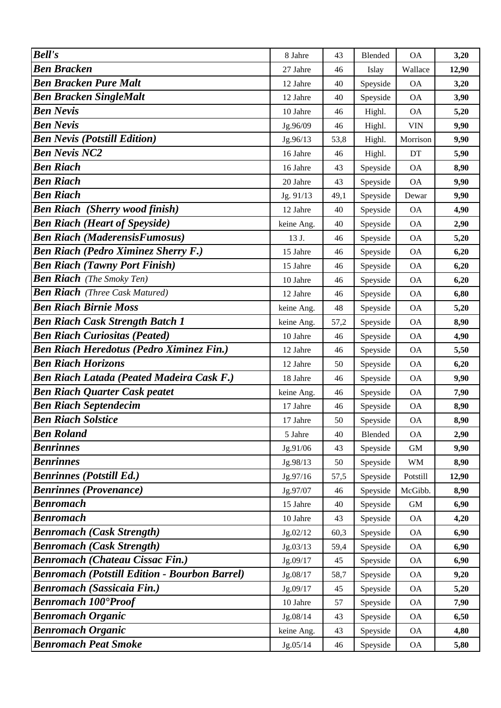| <b>Ben Bracken</b><br>27 Jahre<br>12,90<br>46<br>Wallace<br>Islay<br><b>Ben Bracken Pure Malt</b><br>Speyside<br>40<br><b>OA</b><br>3,20<br>12 Jahre<br><b>Ben Bracken SingleMalt</b><br>12 Jahre<br>Speyside<br>3,90<br>40<br><b>OA</b><br><b>Ben Nevis</b><br>5,20<br>10 Jahre<br>Highl.<br><b>OA</b><br>46<br><b>Ben Nevis</b><br>9,90<br>Jg.96/09<br><b>VIN</b><br>46<br>Highl.<br><b>Ben Nevis (Potstill Edition)</b><br>Jg.96/13<br>9,90<br>53,8<br>Highl.<br>Morrison<br><b>Ben Nevis NC2</b><br>16 Jahre<br>Highl.<br>5,90<br>46<br>DT<br><b>Ben Riach</b><br>8,90<br>16 Jahre<br>Speyside<br><b>OA</b><br>43<br><b>Ben Riach</b><br>Speyside<br>9,90<br>20 Jahre<br>43<br><b>OA</b><br><b>Ben Riach</b><br>Speyside<br>9,90<br>Jg. 91/13<br>49,1<br>Dewar<br><b>Ben Riach (Sherry wood finish)</b><br>4,90<br>12 Jahre<br>40<br>Speyside<br><b>OA</b><br><b>Ben Riach (Heart of Speyside)</b><br>Speyside<br><b>OA</b><br>2,90<br>keine Ang.<br>40<br><b>Ben Riach (MaderensisFumosus)</b><br>13 J.<br>46<br>Speyside<br><b>OA</b><br>5,20<br><b>Ben Riach (Pedro Ximinez Sherry F.)</b><br>15 Jahre<br>Speyside<br>46<br><b>OA</b><br>6,20<br><b>Ben Riach (Tawny Port Finish)</b><br>Speyside<br><b>OA</b><br>6,20<br>15 Jahre<br>46<br><b>Ben Riach</b> (The Smoky Ten)<br>Speyside<br>10 Jahre<br><b>OA</b><br>6,20<br>46<br><b>Ben Riach</b> (Three Cask Matured)<br>12 Jahre<br>46<br>Speyside<br><b>OA</b><br>6,80<br><b>Ben Riach Birnie Moss</b><br>48<br>5,20<br>Speyside<br><b>OA</b><br>keine Ang.<br><b>Ben Riach Cask Strength Batch 1</b><br>57,2<br>Speyside<br><b>OA</b><br>8,90<br>keine Ang.<br><b>Ben Riach Curiositas (Peated)</b><br>Speyside<br><b>OA</b><br>4,90<br>10 Jahre<br>46<br><b>Ben Riach Heredotus (Pedro Ximinez Fin.)</b><br>5,50<br>12 Jahre<br>Speyside<br><b>OA</b><br>46<br><b>Ben Riach Horizons</b><br>12 Jahre<br>Speyside<br><b>OA</b><br>6,20<br>50<br><b>Ben Riach Latada (Peated Madeira Cask F.)</b><br>18 Jahre<br>Speyside<br>9,90<br>46<br><b>OA</b><br><b>Ben Riach Quarter Cask peatet</b><br>Speyside<br>7,90<br>keine Ang.<br>46<br><b>OA</b><br><b>Ben Riach Septendecim</b><br>Speyside<br>17 Jahre<br><b>OA</b><br>8,90<br>46<br><b>Ben Riach Solstice</b><br>8,90<br>50<br>Speyside<br><b>OA</b><br>17 Jahre<br><b>Ben Roland</b><br>2,90<br>5 Jahre<br>40<br>Blended<br><b>OA</b><br><b>Benrinnes</b><br>9,90<br>Jg.91/06<br>43<br>Speyside<br><b>GM</b><br><b>Benrinnes</b><br>Speyside<br><b>WM</b><br>8,90<br>Jg.98/13<br>50<br><b>Benrinnes (Potstill Ed.)</b><br>Speyside<br>12,90<br>Jg.97/16<br>57,5<br>Potstill<br><b>Benrinnes (Provenance)</b><br>Speyside<br>McGibb.<br>Jg.97/07<br>46<br>8,90<br><b>Benromach</b><br>15 Jahre<br>Speyside<br>6,90<br>40<br><b>GM</b><br><b>Benromach</b><br>10 Jahre<br>Speyside<br>4,20<br>43<br><b>OA</b><br><b>Benromach (Cask Strength)</b><br>Speyside<br>6,90<br>Jg.02/12<br><b>OA</b><br>60,3<br><b>Benromach (Cask Strength)</b><br>Speyside<br>6,90<br>Jg.03/13<br>59,4<br><b>OA</b><br><b>Benromach (Chateau Cissac Fin.)</b><br>Jg.09/17<br>Speyside<br>6,90<br>45<br><b>OA</b><br><b>Benromach (Potstill Edition - Bourbon Barrel)</b><br>9,20<br>Jg.08/17<br>58,7<br>Speyside<br><b>OA</b> |               |         |    |         |           |      |
|--------------------------------------------------------------------------------------------------------------------------------------------------------------------------------------------------------------------------------------------------------------------------------------------------------------------------------------------------------------------------------------------------------------------------------------------------------------------------------------------------------------------------------------------------------------------------------------------------------------------------------------------------------------------------------------------------------------------------------------------------------------------------------------------------------------------------------------------------------------------------------------------------------------------------------------------------------------------------------------------------------------------------------------------------------------------------------------------------------------------------------------------------------------------------------------------------------------------------------------------------------------------------------------------------------------------------------------------------------------------------------------------------------------------------------------------------------------------------------------------------------------------------------------------------------------------------------------------------------------------------------------------------------------------------------------------------------------------------------------------------------------------------------------------------------------------------------------------------------------------------------------------------------------------------------------------------------------------------------------------------------------------------------------------------------------------------------------------------------------------------------------------------------------------------------------------------------------------------------------------------------------------------------------------------------------------------------------------------------------------------------------------------------------------------------------------------------------------------------------------------------------------------------------------------------------------------------------------------------------------------------------------------------------------------------------------------------------------------------------------------------------------------------------------------------------------------------------------------------------------------------------------------------------------------------------------------------------------------------------------------------------------------------------------------------------------------------------------------------------------------------------------------------------------------------------------------------------------------|---------------|---------|----|---------|-----------|------|
|                                                                                                                                                                                                                                                                                                                                                                                                                                                                                                                                                                                                                                                                                                                                                                                                                                                                                                                                                                                                                                                                                                                                                                                                                                                                                                                                                                                                                                                                                                                                                                                                                                                                                                                                                                                                                                                                                                                                                                                                                                                                                                                                                                                                                                                                                                                                                                                                                                                                                                                                                                                                                                                                                                                                                                                                                                                                                                                                                                                                                                                                                                                                                                                                                          | <b>Bell's</b> | 8 Jahre | 43 | Blended | <b>OA</b> | 3,20 |
|                                                                                                                                                                                                                                                                                                                                                                                                                                                                                                                                                                                                                                                                                                                                                                                                                                                                                                                                                                                                                                                                                                                                                                                                                                                                                                                                                                                                                                                                                                                                                                                                                                                                                                                                                                                                                                                                                                                                                                                                                                                                                                                                                                                                                                                                                                                                                                                                                                                                                                                                                                                                                                                                                                                                                                                                                                                                                                                                                                                                                                                                                                                                                                                                                          |               |         |    |         |           |      |
|                                                                                                                                                                                                                                                                                                                                                                                                                                                                                                                                                                                                                                                                                                                                                                                                                                                                                                                                                                                                                                                                                                                                                                                                                                                                                                                                                                                                                                                                                                                                                                                                                                                                                                                                                                                                                                                                                                                                                                                                                                                                                                                                                                                                                                                                                                                                                                                                                                                                                                                                                                                                                                                                                                                                                                                                                                                                                                                                                                                                                                                                                                                                                                                                                          |               |         |    |         |           |      |
|                                                                                                                                                                                                                                                                                                                                                                                                                                                                                                                                                                                                                                                                                                                                                                                                                                                                                                                                                                                                                                                                                                                                                                                                                                                                                                                                                                                                                                                                                                                                                                                                                                                                                                                                                                                                                                                                                                                                                                                                                                                                                                                                                                                                                                                                                                                                                                                                                                                                                                                                                                                                                                                                                                                                                                                                                                                                                                                                                                                                                                                                                                                                                                                                                          |               |         |    |         |           |      |
|                                                                                                                                                                                                                                                                                                                                                                                                                                                                                                                                                                                                                                                                                                                                                                                                                                                                                                                                                                                                                                                                                                                                                                                                                                                                                                                                                                                                                                                                                                                                                                                                                                                                                                                                                                                                                                                                                                                                                                                                                                                                                                                                                                                                                                                                                                                                                                                                                                                                                                                                                                                                                                                                                                                                                                                                                                                                                                                                                                                                                                                                                                                                                                                                                          |               |         |    |         |           |      |
|                                                                                                                                                                                                                                                                                                                                                                                                                                                                                                                                                                                                                                                                                                                                                                                                                                                                                                                                                                                                                                                                                                                                                                                                                                                                                                                                                                                                                                                                                                                                                                                                                                                                                                                                                                                                                                                                                                                                                                                                                                                                                                                                                                                                                                                                                                                                                                                                                                                                                                                                                                                                                                                                                                                                                                                                                                                                                                                                                                                                                                                                                                                                                                                                                          |               |         |    |         |           |      |
|                                                                                                                                                                                                                                                                                                                                                                                                                                                                                                                                                                                                                                                                                                                                                                                                                                                                                                                                                                                                                                                                                                                                                                                                                                                                                                                                                                                                                                                                                                                                                                                                                                                                                                                                                                                                                                                                                                                                                                                                                                                                                                                                                                                                                                                                                                                                                                                                                                                                                                                                                                                                                                                                                                                                                                                                                                                                                                                                                                                                                                                                                                                                                                                                                          |               |         |    |         |           |      |
|                                                                                                                                                                                                                                                                                                                                                                                                                                                                                                                                                                                                                                                                                                                                                                                                                                                                                                                                                                                                                                                                                                                                                                                                                                                                                                                                                                                                                                                                                                                                                                                                                                                                                                                                                                                                                                                                                                                                                                                                                                                                                                                                                                                                                                                                                                                                                                                                                                                                                                                                                                                                                                                                                                                                                                                                                                                                                                                                                                                                                                                                                                                                                                                                                          |               |         |    |         |           |      |
|                                                                                                                                                                                                                                                                                                                                                                                                                                                                                                                                                                                                                                                                                                                                                                                                                                                                                                                                                                                                                                                                                                                                                                                                                                                                                                                                                                                                                                                                                                                                                                                                                                                                                                                                                                                                                                                                                                                                                                                                                                                                                                                                                                                                                                                                                                                                                                                                                                                                                                                                                                                                                                                                                                                                                                                                                                                                                                                                                                                                                                                                                                                                                                                                                          |               |         |    |         |           |      |
|                                                                                                                                                                                                                                                                                                                                                                                                                                                                                                                                                                                                                                                                                                                                                                                                                                                                                                                                                                                                                                                                                                                                                                                                                                                                                                                                                                                                                                                                                                                                                                                                                                                                                                                                                                                                                                                                                                                                                                                                                                                                                                                                                                                                                                                                                                                                                                                                                                                                                                                                                                                                                                                                                                                                                                                                                                                                                                                                                                                                                                                                                                                                                                                                                          |               |         |    |         |           |      |
|                                                                                                                                                                                                                                                                                                                                                                                                                                                                                                                                                                                                                                                                                                                                                                                                                                                                                                                                                                                                                                                                                                                                                                                                                                                                                                                                                                                                                                                                                                                                                                                                                                                                                                                                                                                                                                                                                                                                                                                                                                                                                                                                                                                                                                                                                                                                                                                                                                                                                                                                                                                                                                                                                                                                                                                                                                                                                                                                                                                                                                                                                                                                                                                                                          |               |         |    |         |           |      |
|                                                                                                                                                                                                                                                                                                                                                                                                                                                                                                                                                                                                                                                                                                                                                                                                                                                                                                                                                                                                                                                                                                                                                                                                                                                                                                                                                                                                                                                                                                                                                                                                                                                                                                                                                                                                                                                                                                                                                                                                                                                                                                                                                                                                                                                                                                                                                                                                                                                                                                                                                                                                                                                                                                                                                                                                                                                                                                                                                                                                                                                                                                                                                                                                                          |               |         |    |         |           |      |
|                                                                                                                                                                                                                                                                                                                                                                                                                                                                                                                                                                                                                                                                                                                                                                                                                                                                                                                                                                                                                                                                                                                                                                                                                                                                                                                                                                                                                                                                                                                                                                                                                                                                                                                                                                                                                                                                                                                                                                                                                                                                                                                                                                                                                                                                                                                                                                                                                                                                                                                                                                                                                                                                                                                                                                                                                                                                                                                                                                                                                                                                                                                                                                                                                          |               |         |    |         |           |      |
|                                                                                                                                                                                                                                                                                                                                                                                                                                                                                                                                                                                                                                                                                                                                                                                                                                                                                                                                                                                                                                                                                                                                                                                                                                                                                                                                                                                                                                                                                                                                                                                                                                                                                                                                                                                                                                                                                                                                                                                                                                                                                                                                                                                                                                                                                                                                                                                                                                                                                                                                                                                                                                                                                                                                                                                                                                                                                                                                                                                                                                                                                                                                                                                                                          |               |         |    |         |           |      |
|                                                                                                                                                                                                                                                                                                                                                                                                                                                                                                                                                                                                                                                                                                                                                                                                                                                                                                                                                                                                                                                                                                                                                                                                                                                                                                                                                                                                                                                                                                                                                                                                                                                                                                                                                                                                                                                                                                                                                                                                                                                                                                                                                                                                                                                                                                                                                                                                                                                                                                                                                                                                                                                                                                                                                                                                                                                                                                                                                                                                                                                                                                                                                                                                                          |               |         |    |         |           |      |
|                                                                                                                                                                                                                                                                                                                                                                                                                                                                                                                                                                                                                                                                                                                                                                                                                                                                                                                                                                                                                                                                                                                                                                                                                                                                                                                                                                                                                                                                                                                                                                                                                                                                                                                                                                                                                                                                                                                                                                                                                                                                                                                                                                                                                                                                                                                                                                                                                                                                                                                                                                                                                                                                                                                                                                                                                                                                                                                                                                                                                                                                                                                                                                                                                          |               |         |    |         |           |      |
|                                                                                                                                                                                                                                                                                                                                                                                                                                                                                                                                                                                                                                                                                                                                                                                                                                                                                                                                                                                                                                                                                                                                                                                                                                                                                                                                                                                                                                                                                                                                                                                                                                                                                                                                                                                                                                                                                                                                                                                                                                                                                                                                                                                                                                                                                                                                                                                                                                                                                                                                                                                                                                                                                                                                                                                                                                                                                                                                                                                                                                                                                                                                                                                                                          |               |         |    |         |           |      |
|                                                                                                                                                                                                                                                                                                                                                                                                                                                                                                                                                                                                                                                                                                                                                                                                                                                                                                                                                                                                                                                                                                                                                                                                                                                                                                                                                                                                                                                                                                                                                                                                                                                                                                                                                                                                                                                                                                                                                                                                                                                                                                                                                                                                                                                                                                                                                                                                                                                                                                                                                                                                                                                                                                                                                                                                                                                                                                                                                                                                                                                                                                                                                                                                                          |               |         |    |         |           |      |
|                                                                                                                                                                                                                                                                                                                                                                                                                                                                                                                                                                                                                                                                                                                                                                                                                                                                                                                                                                                                                                                                                                                                                                                                                                                                                                                                                                                                                                                                                                                                                                                                                                                                                                                                                                                                                                                                                                                                                                                                                                                                                                                                                                                                                                                                                                                                                                                                                                                                                                                                                                                                                                                                                                                                                                                                                                                                                                                                                                                                                                                                                                                                                                                                                          |               |         |    |         |           |      |
|                                                                                                                                                                                                                                                                                                                                                                                                                                                                                                                                                                                                                                                                                                                                                                                                                                                                                                                                                                                                                                                                                                                                                                                                                                                                                                                                                                                                                                                                                                                                                                                                                                                                                                                                                                                                                                                                                                                                                                                                                                                                                                                                                                                                                                                                                                                                                                                                                                                                                                                                                                                                                                                                                                                                                                                                                                                                                                                                                                                                                                                                                                                                                                                                                          |               |         |    |         |           |      |
|                                                                                                                                                                                                                                                                                                                                                                                                                                                                                                                                                                                                                                                                                                                                                                                                                                                                                                                                                                                                                                                                                                                                                                                                                                                                                                                                                                                                                                                                                                                                                                                                                                                                                                                                                                                                                                                                                                                                                                                                                                                                                                                                                                                                                                                                                                                                                                                                                                                                                                                                                                                                                                                                                                                                                                                                                                                                                                                                                                                                                                                                                                                                                                                                                          |               |         |    |         |           |      |
|                                                                                                                                                                                                                                                                                                                                                                                                                                                                                                                                                                                                                                                                                                                                                                                                                                                                                                                                                                                                                                                                                                                                                                                                                                                                                                                                                                                                                                                                                                                                                                                                                                                                                                                                                                                                                                                                                                                                                                                                                                                                                                                                                                                                                                                                                                                                                                                                                                                                                                                                                                                                                                                                                                                                                                                                                                                                                                                                                                                                                                                                                                                                                                                                                          |               |         |    |         |           |      |
|                                                                                                                                                                                                                                                                                                                                                                                                                                                                                                                                                                                                                                                                                                                                                                                                                                                                                                                                                                                                                                                                                                                                                                                                                                                                                                                                                                                                                                                                                                                                                                                                                                                                                                                                                                                                                                                                                                                                                                                                                                                                                                                                                                                                                                                                                                                                                                                                                                                                                                                                                                                                                                                                                                                                                                                                                                                                                                                                                                                                                                                                                                                                                                                                                          |               |         |    |         |           |      |
|                                                                                                                                                                                                                                                                                                                                                                                                                                                                                                                                                                                                                                                                                                                                                                                                                                                                                                                                                                                                                                                                                                                                                                                                                                                                                                                                                                                                                                                                                                                                                                                                                                                                                                                                                                                                                                                                                                                                                                                                                                                                                                                                                                                                                                                                                                                                                                                                                                                                                                                                                                                                                                                                                                                                                                                                                                                                                                                                                                                                                                                                                                                                                                                                                          |               |         |    |         |           |      |
|                                                                                                                                                                                                                                                                                                                                                                                                                                                                                                                                                                                                                                                                                                                                                                                                                                                                                                                                                                                                                                                                                                                                                                                                                                                                                                                                                                                                                                                                                                                                                                                                                                                                                                                                                                                                                                                                                                                                                                                                                                                                                                                                                                                                                                                                                                                                                                                                                                                                                                                                                                                                                                                                                                                                                                                                                                                                                                                                                                                                                                                                                                                                                                                                                          |               |         |    |         |           |      |
|                                                                                                                                                                                                                                                                                                                                                                                                                                                                                                                                                                                                                                                                                                                                                                                                                                                                                                                                                                                                                                                                                                                                                                                                                                                                                                                                                                                                                                                                                                                                                                                                                                                                                                                                                                                                                                                                                                                                                                                                                                                                                                                                                                                                                                                                                                                                                                                                                                                                                                                                                                                                                                                                                                                                                                                                                                                                                                                                                                                                                                                                                                                                                                                                                          |               |         |    |         |           |      |
|                                                                                                                                                                                                                                                                                                                                                                                                                                                                                                                                                                                                                                                                                                                                                                                                                                                                                                                                                                                                                                                                                                                                                                                                                                                                                                                                                                                                                                                                                                                                                                                                                                                                                                                                                                                                                                                                                                                                                                                                                                                                                                                                                                                                                                                                                                                                                                                                                                                                                                                                                                                                                                                                                                                                                                                                                                                                                                                                                                                                                                                                                                                                                                                                                          |               |         |    |         |           |      |
|                                                                                                                                                                                                                                                                                                                                                                                                                                                                                                                                                                                                                                                                                                                                                                                                                                                                                                                                                                                                                                                                                                                                                                                                                                                                                                                                                                                                                                                                                                                                                                                                                                                                                                                                                                                                                                                                                                                                                                                                                                                                                                                                                                                                                                                                                                                                                                                                                                                                                                                                                                                                                                                                                                                                                                                                                                                                                                                                                                                                                                                                                                                                                                                                                          |               |         |    |         |           |      |
|                                                                                                                                                                                                                                                                                                                                                                                                                                                                                                                                                                                                                                                                                                                                                                                                                                                                                                                                                                                                                                                                                                                                                                                                                                                                                                                                                                                                                                                                                                                                                                                                                                                                                                                                                                                                                                                                                                                                                                                                                                                                                                                                                                                                                                                                                                                                                                                                                                                                                                                                                                                                                                                                                                                                                                                                                                                                                                                                                                                                                                                                                                                                                                                                                          |               |         |    |         |           |      |
|                                                                                                                                                                                                                                                                                                                                                                                                                                                                                                                                                                                                                                                                                                                                                                                                                                                                                                                                                                                                                                                                                                                                                                                                                                                                                                                                                                                                                                                                                                                                                                                                                                                                                                                                                                                                                                                                                                                                                                                                                                                                                                                                                                                                                                                                                                                                                                                                                                                                                                                                                                                                                                                                                                                                                                                                                                                                                                                                                                                                                                                                                                                                                                                                                          |               |         |    |         |           |      |
|                                                                                                                                                                                                                                                                                                                                                                                                                                                                                                                                                                                                                                                                                                                                                                                                                                                                                                                                                                                                                                                                                                                                                                                                                                                                                                                                                                                                                                                                                                                                                                                                                                                                                                                                                                                                                                                                                                                                                                                                                                                                                                                                                                                                                                                                                                                                                                                                                                                                                                                                                                                                                                                                                                                                                                                                                                                                                                                                                                                                                                                                                                                                                                                                                          |               |         |    |         |           |      |
|                                                                                                                                                                                                                                                                                                                                                                                                                                                                                                                                                                                                                                                                                                                                                                                                                                                                                                                                                                                                                                                                                                                                                                                                                                                                                                                                                                                                                                                                                                                                                                                                                                                                                                                                                                                                                                                                                                                                                                                                                                                                                                                                                                                                                                                                                                                                                                                                                                                                                                                                                                                                                                                                                                                                                                                                                                                                                                                                                                                                                                                                                                                                                                                                                          |               |         |    |         |           |      |
|                                                                                                                                                                                                                                                                                                                                                                                                                                                                                                                                                                                                                                                                                                                                                                                                                                                                                                                                                                                                                                                                                                                                                                                                                                                                                                                                                                                                                                                                                                                                                                                                                                                                                                                                                                                                                                                                                                                                                                                                                                                                                                                                                                                                                                                                                                                                                                                                                                                                                                                                                                                                                                                                                                                                                                                                                                                                                                                                                                                                                                                                                                                                                                                                                          |               |         |    |         |           |      |
|                                                                                                                                                                                                                                                                                                                                                                                                                                                                                                                                                                                                                                                                                                                                                                                                                                                                                                                                                                                                                                                                                                                                                                                                                                                                                                                                                                                                                                                                                                                                                                                                                                                                                                                                                                                                                                                                                                                                                                                                                                                                                                                                                                                                                                                                                                                                                                                                                                                                                                                                                                                                                                                                                                                                                                                                                                                                                                                                                                                                                                                                                                                                                                                                                          |               |         |    |         |           |      |
|                                                                                                                                                                                                                                                                                                                                                                                                                                                                                                                                                                                                                                                                                                                                                                                                                                                                                                                                                                                                                                                                                                                                                                                                                                                                                                                                                                                                                                                                                                                                                                                                                                                                                                                                                                                                                                                                                                                                                                                                                                                                                                                                                                                                                                                                                                                                                                                                                                                                                                                                                                                                                                                                                                                                                                                                                                                                                                                                                                                                                                                                                                                                                                                                                          |               |         |    |         |           |      |
|                                                                                                                                                                                                                                                                                                                                                                                                                                                                                                                                                                                                                                                                                                                                                                                                                                                                                                                                                                                                                                                                                                                                                                                                                                                                                                                                                                                                                                                                                                                                                                                                                                                                                                                                                                                                                                                                                                                                                                                                                                                                                                                                                                                                                                                                                                                                                                                                                                                                                                                                                                                                                                                                                                                                                                                                                                                                                                                                                                                                                                                                                                                                                                                                                          |               |         |    |         |           |      |
|                                                                                                                                                                                                                                                                                                                                                                                                                                                                                                                                                                                                                                                                                                                                                                                                                                                                                                                                                                                                                                                                                                                                                                                                                                                                                                                                                                                                                                                                                                                                                                                                                                                                                                                                                                                                                                                                                                                                                                                                                                                                                                                                                                                                                                                                                                                                                                                                                                                                                                                                                                                                                                                                                                                                                                                                                                                                                                                                                                                                                                                                                                                                                                                                                          |               |         |    |         |           |      |
|                                                                                                                                                                                                                                                                                                                                                                                                                                                                                                                                                                                                                                                                                                                                                                                                                                                                                                                                                                                                                                                                                                                                                                                                                                                                                                                                                                                                                                                                                                                                                                                                                                                                                                                                                                                                                                                                                                                                                                                                                                                                                                                                                                                                                                                                                                                                                                                                                                                                                                                                                                                                                                                                                                                                                                                                                                                                                                                                                                                                                                                                                                                                                                                                                          |               |         |    |         |           |      |
| <b>Benromach (Sassicaia Fin.)</b><br>5,20<br>Jg.09/17<br>45<br>Speyside<br><b>OA</b>                                                                                                                                                                                                                                                                                                                                                                                                                                                                                                                                                                                                                                                                                                                                                                                                                                                                                                                                                                                                                                                                                                                                                                                                                                                                                                                                                                                                                                                                                                                                                                                                                                                                                                                                                                                                                                                                                                                                                                                                                                                                                                                                                                                                                                                                                                                                                                                                                                                                                                                                                                                                                                                                                                                                                                                                                                                                                                                                                                                                                                                                                                                                     |               |         |    |         |           |      |
| <b>Benromach 100°Proof</b><br>10 Jahre<br>Speyside<br>7,90<br>57<br><b>OA</b>                                                                                                                                                                                                                                                                                                                                                                                                                                                                                                                                                                                                                                                                                                                                                                                                                                                                                                                                                                                                                                                                                                                                                                                                                                                                                                                                                                                                                                                                                                                                                                                                                                                                                                                                                                                                                                                                                                                                                                                                                                                                                                                                                                                                                                                                                                                                                                                                                                                                                                                                                                                                                                                                                                                                                                                                                                                                                                                                                                                                                                                                                                                                            |               |         |    |         |           |      |
| <b>Benromach Organic</b><br>Jg.08/14<br>43<br>Speyside<br><b>OA</b><br>6,50                                                                                                                                                                                                                                                                                                                                                                                                                                                                                                                                                                                                                                                                                                                                                                                                                                                                                                                                                                                                                                                                                                                                                                                                                                                                                                                                                                                                                                                                                                                                                                                                                                                                                                                                                                                                                                                                                                                                                                                                                                                                                                                                                                                                                                                                                                                                                                                                                                                                                                                                                                                                                                                                                                                                                                                                                                                                                                                                                                                                                                                                                                                                              |               |         |    |         |           |      |
| <b>Benromach Organic</b><br>Speyside<br>keine Ang.<br>43<br><b>OA</b><br>4,80                                                                                                                                                                                                                                                                                                                                                                                                                                                                                                                                                                                                                                                                                                                                                                                                                                                                                                                                                                                                                                                                                                                                                                                                                                                                                                                                                                                                                                                                                                                                                                                                                                                                                                                                                                                                                                                                                                                                                                                                                                                                                                                                                                                                                                                                                                                                                                                                                                                                                                                                                                                                                                                                                                                                                                                                                                                                                                                                                                                                                                                                                                                                            |               |         |    |         |           |      |
| <b>Benromach Peat Smoke</b><br>Jg.05/14<br>Speyside<br>5,80<br>46<br><b>OA</b>                                                                                                                                                                                                                                                                                                                                                                                                                                                                                                                                                                                                                                                                                                                                                                                                                                                                                                                                                                                                                                                                                                                                                                                                                                                                                                                                                                                                                                                                                                                                                                                                                                                                                                                                                                                                                                                                                                                                                                                                                                                                                                                                                                                                                                                                                                                                                                                                                                                                                                                                                                                                                                                                                                                                                                                                                                                                                                                                                                                                                                                                                                                                           |               |         |    |         |           |      |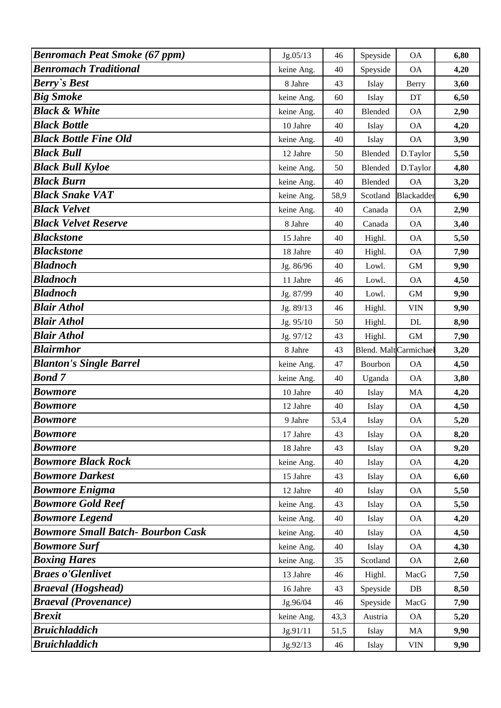| <b>Benromach Peat Smoke (67 ppm)</b>     | Jg.05/13   | 46   | Speyside             | <b>OA</b>  | 6,80 |
|------------------------------------------|------------|------|----------------------|------------|------|
| <b>Benromach Traditional</b>             | keine Ang. | 40   | Speyside             | <b>OA</b>  | 4,20 |
| <b>Berry's Best</b>                      | 8 Jahre    | 43   | Islay                | Berry      | 3,60 |
| <b>Big Smoke</b>                         | keine Ang. | 60   | Islay                | DT         | 6,50 |
| <b>Black &amp; White</b>                 | keine Ang. | 40   | <b>Blended</b>       | <b>OA</b>  | 2,90 |
| <b>Black Bottle</b>                      | 10 Jahre   | 40   | Islay                | <b>OA</b>  | 4,20 |
| <b>Black Bottle Fine Old</b>             | keine Ang. | 40   | Islay                | <b>OA</b>  | 3,90 |
| <b>Black Bull</b>                        | 12 Jahre   | 50   | Blended              | D.Taylor   | 5,50 |
| <b>Black Bull Kyloe</b>                  | keine Ang. | 50   | Blended              | D.Taylor   | 4,80 |
| <b>Black Burn</b>                        | keine Ang. | 40   | Blended              | <b>OA</b>  | 3,20 |
| <b>Black Snake VAT</b>                   | keine Ang. | 58,9 | Scotland             | Blackadder | 6,90 |
| <b>Black Velvet</b>                      | keine Ang. | 40   | Canada               | <b>OA</b>  | 2,90 |
| <b>Black Velvet Reserve</b>              | 8 Jahre    | 40   | Canada               | <b>OA</b>  | 3,40 |
| <b>Blackstone</b>                        | 15 Jahre   | 40   | Highl.               | <b>OA</b>  | 5,50 |
| <b>Blackstone</b>                        | 18 Jahre   | 40   | Highl.               | <b>OA</b>  | 7,90 |
| <b>Bladnoch</b>                          | Jg. 86/96  | 40   | Lowl.                | <b>GM</b>  | 9,90 |
| <b>Bladnoch</b>                          | 11 Jahre   | 46   | Lowl.                | <b>OA</b>  | 4,50 |
| <b>Bladnoch</b>                          | Jg. 87/99  | 40   | Lowl.                | <b>GM</b>  | 9,90 |
| <b>Blair Athol</b>                       | Jg. 89/13  | 46   | Highl.               | <b>VIN</b> | 9,90 |
| <b>Blair Athol</b>                       | Jg. 95/10  | 50   | Highl.               | DL         | 8,90 |
| <b>Blair Athol</b>                       | Jg. 97/12  | 43   | Highl.               | <b>GM</b>  | 7,90 |
| <b>Blairmhor</b>                         | 8 Jahre    | 43   | Blend. MaltCarmichae |            | 3,20 |
| <b>Blanton's Single Barrel</b>           | keine Ang. | 47   | Bourbon              | <b>OA</b>  | 4,50 |
| <b>Bond 7</b>                            | keine Ang. | 40   | Uganda               | <b>OA</b>  | 3,80 |
| <b>Bowmore</b>                           | 10 Jahre   | 40   | Islay                | MA         | 4,20 |
| <b>Bowmore</b>                           | 12 Jahre   | 40   | Islay                | <b>OA</b>  | 4,50 |
| <b>Bowmore</b>                           | 9 Jahre    | 53,4 | Islay                | <b>OA</b>  | 5,20 |
| <b>Bowmore</b>                           | 17 Jahre   | 43   | Islay                | <b>OA</b>  | 8,20 |
| <b>Bowmore</b>                           | 18 Jahre   | 43   | Islay                | <b>OA</b>  | 9,20 |
| <b>Bowmore Black Rock</b>                | keine Ang. | 40   | Islay                | <b>OA</b>  | 4,20 |
| <b>Bowmore Darkest</b>                   | 15 Jahre   | 43   | Islay                | <b>OA</b>  | 6,60 |
| <b>Bowmore Enigma</b>                    | 12 Jahre   | 40   | Islay                | <b>OA</b>  | 5,50 |
| <b>Bowmore Gold Reef</b>                 | keine Ang. | 43   | Islay                | <b>OA</b>  | 5,50 |
| <b>Bowmore Legend</b>                    | keine Ang. | 40   | Islay                | <b>OA</b>  | 4,20 |
| <b>Bowmore Small Batch- Bourbon Cask</b> | keine Ang. | 40   | Islay                | <b>OA</b>  | 4,50 |
| <b>Bowmore Surf</b>                      | keine Ang. | 40   | Islay                | <b>OA</b>  | 4,30 |
| <b>Boxing Hares</b>                      | keine Ang. | 35   | Scotland             | <b>OA</b>  | 2,60 |
| <b>Braes o'Glenlivet</b>                 | 13 Jahre   | 46   | Highl.               | MacG       | 7,50 |
| <b>Braeval</b> (Hogshead)                | 16 Jahre   | 43   | Speyside             | DB         | 8,50 |
| <b>Braeval (Provenance)</b>              | Jg.96/04   | 46   | Speyside             | MacG       | 7,90 |
| <b>Brexit</b>                            | keine Ang. | 43,3 | Austria              | <b>OA</b>  | 5,20 |
| <b>Bruichladdich</b>                     | Jg.91/11   | 51,5 | Islay                | MA         | 9,90 |
| <b>Bruichladdich</b>                     | Jg.92/13   | 46   | Islay                | <b>VIN</b> | 9,90 |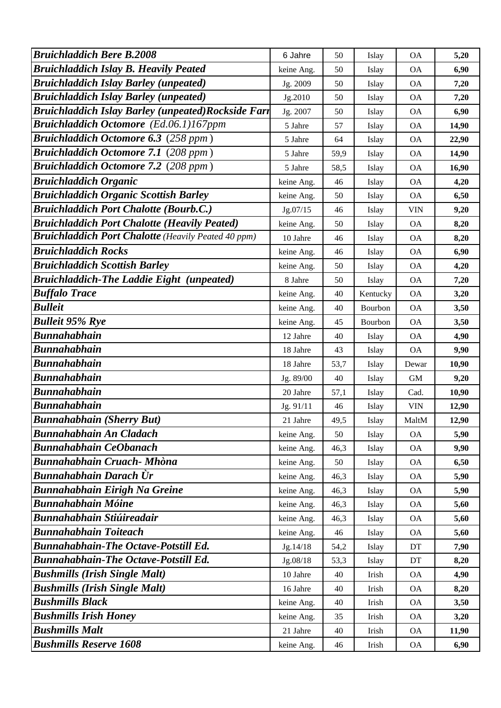| <b>Bruichladdich Bere B.2008</b>                           |                     |          |                |                        |              |
|------------------------------------------------------------|---------------------|----------|----------------|------------------------|--------------|
| <b>Bruichladdich Islay B. Heavily Peated</b>               | 6 Jahre             | 50<br>50 | Islay          | <b>OA</b><br><b>OA</b> | 5,20<br>6,90 |
| <b>Bruichladdich Islay Barley (unpeated)</b>               | keine Ang.          | 50       | Islay          | <b>OA</b>              |              |
| <b>Bruichladdich Islay Barley (unpeated)</b>               | Jg. 2009<br>Jg.2010 | 50       | Islay<br>Islay | <b>OA</b>              | 7,20<br>7,20 |
| <b>Bruichladdich Islay Barley (unpeated)Rockside Farr</b>  |                     | 50       |                | <b>OA</b>              | 6,90         |
| <b>Bruichladdich Octomore</b> (Ed.06.1)167ppm              | Jg. 2007<br>5 Jahre | 57       | Islay<br>Islay | <b>OA</b>              | 14,90        |
| <b>Bruichladdich Octomore 6.3</b> (258 ppm)                | 5 Jahre             | 64       |                | <b>OA</b>              | 22,90        |
| <b>Bruichladdich Octomore 7.1 (208 ppm)</b>                | 5 Jahre             | 59,9     | Islay<br>Islay | <b>OA</b>              | 14,90        |
| <b>Bruichladdich Octomore 7.2 (208 ppm)</b>                | 5 Jahre             | 58,5     |                | <b>OA</b>              | 16,90        |
| <b>Bruichladdich Organic</b>                               | keine Ang.          | 46       | Islay<br>Islay | <b>OA</b>              | 4,20         |
| <b>Bruichladdich Organic Scottish Barley</b>               | keine Ang.          | 50       | Islay          | <b>OA</b>              | 6,50         |
| <b>Bruichladdich Port Chalotte (Bourb.C.)</b>              | Jg.07/15            | 46       | Islay          | <b>VIN</b>             | 9,20         |
| <b>Bruichladdich Port Chalotte (Heavily Peated)</b>        | keine Ang.          | 50       | Islay          | <b>OA</b>              | 8,20         |
| <b>Bruichladdich Port Chalotte</b> (Heavily Peated 40 ppm) | 10 Jahre            | 46       | Islay          | <b>OA</b>              | 8,20         |
| <b>Bruichladdich Rocks</b>                                 | keine Ang.          | 46       | Islay          | <b>OA</b>              | 6,90         |
| <b>Bruichladdich Scottish Barley</b>                       | keine Ang.          | 50       | Islay          | <b>OA</b>              | 4,20         |
| <b>Bruichladdich-The Laddie Eight (unpeated)</b>           | 8 Jahre             | 50       | Islay          | <b>OA</b>              | 7,20         |
| <b>Buffalo Trace</b>                                       | keine Ang.          | 40       | Kentucky       | <b>OA</b>              | 3,20         |
| <b>Bulleit</b>                                             | keine Ang.          | 40       | Bourbon        | <b>OA</b>              | 3,50         |
| <b>Bulleit 95% Rye</b>                                     | keine Ang.          | 45       | Bourbon        | <b>OA</b>              | 3,50         |
| <b>Bunnahabhain</b>                                        | 12 Jahre            | 40       | Islay          | <b>OA</b>              | 4,90         |
| <b>Bunnahabhain</b>                                        | 18 Jahre            | 43       | Islay          | <b>OA</b>              | 9,90         |
| <b>Bunnahabhain</b>                                        | 18 Jahre            | 53,7     | Islay          | Dewar                  | 10,90        |
| <b>Bunnahabhain</b>                                        | Jg. 89/00           | 40       | Islay          | <b>GM</b>              | 9,20         |
| <b>Bunnahabhain</b>                                        | 20 Jahre            | 57,1     | Islay          | Cad.                   | 10,90        |
| <b>Bunnahabhain</b>                                        | Jg. 91/11           | 46       | Islay          | <b>VIN</b>             | 12,90        |
| <b>Bunnahabhain (Sherry But)</b>                           | 21 Jahre            | 49,5     | Islay          | MaltM                  | 12,90        |
| <b>Bunnahabhain An Cladach</b>                             | keine Ang.          | 50       | Islay          | <b>OA</b>              | 5,90         |
| <b>Bunnahabhain CeObanach</b>                              | keine Ang.          | 46,3     | Islay          | <b>OA</b>              | 9,90         |
| <b>Bunnahabhain Cruach- Mhòna</b>                          | keine Ang.          | 50       | Islay          | <b>OA</b>              | 6,50         |
| Bunnahabhain Darach Ùr                                     | keine Ang.          | 46,3     | Islay          | <b>OA</b>              | 5,90         |
| <b>Bunnahabhain Eirigh Na Greine</b>                       | keine Ang.          | 46,3     | Islay          | <b>OA</b>              | 5,90         |
| <b>Bunnahabhain Móine</b>                                  | keine Ang.          | 46,3     | Islay          | <b>OA</b>              | 5,60         |
| <b>Bunnahabhain Stiúireadair</b>                           | keine Ang.          | 46,3     | Islay          | <b>OA</b>              | 5,60         |
| <b>Bunnahabhain Toiteach</b>                               | keine Ang.          | 46       | Islay          | <b>OA</b>              | 5,60         |
| <b>Bunnahabhain-The Octave-Potstill Ed.</b>                | Jg.14/18            | 54,2     | Islay          | DT                     | 7,90         |
| <b>Bunnahabhain-The Octave-Potstill Ed.</b>                | Jg.08/18            | 53,3     | Islay          | DT                     | 8,20         |
| <b>Bushmills (Irish Single Malt)</b>                       | 10 Jahre            | 40       | Irish          | <b>OA</b>              | 4,90         |
| <b>Bushmills (Irish Single Malt)</b>                       | 16 Jahre            | 40       | Irish          | <b>OA</b>              | 8,20         |
| <b>Bushmills Black</b>                                     | keine Ang.          | 40       | Irish          | <b>OA</b>              | 3,50         |
| <b>Bushmills Irish Honey</b>                               | keine Ang.          | 35       | Irish          | <b>OA</b>              | 3,20         |
| <b>Bushmills Malt</b>                                      | 21 Jahre            | 40       | Irish          | <b>OA</b>              | 11,90        |
| <b>Bushmills Reserve 1608</b>                              | keine Ang.          | 46       | Irish          | <b>OA</b>              | 6,90         |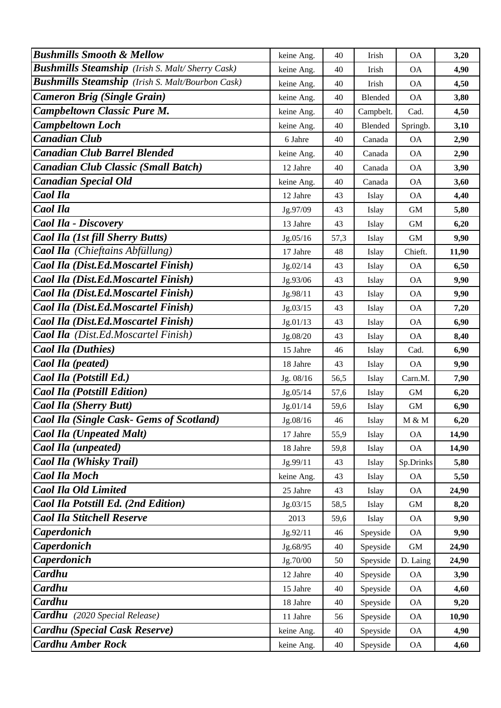| <b>Bushmills Smooth &amp; Mellow</b>                    | keine Ang. | 40   | Irish          | <b>OA</b>   | 3,20  |
|---------------------------------------------------------|------------|------|----------------|-------------|-------|
| <b>Bushmills Steamship</b> (Irish S. Malt/Sherry Cask)  | keine Ang. | 40   | Irish          | <b>OA</b>   | 4,90  |
| <b>Bushmills Steamship</b> (Irish S. Malt/Bourbon Cask) | keine Ang. | 40   | Irish          | <b>OA</b>   | 4,50  |
| <b>Cameron Brig (Single Grain)</b>                      | keine Ang. | 40   | Blended        | <b>OA</b>   | 3,80  |
| <b>Campbeltown Classic Pure M.</b>                      | keine Ang. | 40   | Campbelt.      | Cad.        | 4,50  |
| <b>Campbeltown Loch</b>                                 | keine Ang. | 40   | <b>Blended</b> | Springb.    | 3,10  |
| <b>Canadian Club</b>                                    | 6 Jahre    | 40   | Canada         | <b>OA</b>   | 2,90  |
| <b>Canadian Club Barrel Blended</b>                     | keine Ang. | 40   | Canada         | <b>OA</b>   | 2,90  |
| <b>Canadian Club Classic (Small Batch)</b>              | 12 Jahre   | 40   | Canada         | OA          | 3,90  |
| <b>Canadian Special Old</b>                             | keine Ang. | 40   | Canada         | <b>OA</b>   | 3,60  |
| <b>Caol Ila</b>                                         | 12 Jahre   | 43   | Islay          | <b>OA</b>   | 4,40  |
| Caol Ila                                                | Jg.97/09   | 43   | Islay          | <b>GM</b>   | 5,80  |
| <b>Caol Ila - Discovery</b>                             | 13 Jahre   | 43   | Islay          | <b>GM</b>   | 6,20  |
| Caol Ila (1st fill Sherry Butts)                        | Jg.05/16   | 57,3 | Islay          | $\mbox{GM}$ | 9,90  |
| <b>Caol Ila</b> (Chieftains Abfüllung)                  | 17 Jahre   | 48   | Islay          | Chieft.     | 11,90 |
| Caol Ila (Dist.Ed.Moscartel Finish)                     | Jg.02/14   | 43   | Islay          | <b>OA</b>   | 6,50  |
| Caol Ila (Dist.Ed.Moscartel Finish)                     | Jg.93/06   | 43   | Islay          | <b>OA</b>   | 9,90  |
| Caol Ila (Dist.Ed.Moscartel Finish)                     | Jg.98/11   | 43   | Islay          | <b>OA</b>   | 9,90  |
| Caol Ila (Dist.Ed.Moscartel Finish)                     | Jg.03/15   | 43   | Islay          | <b>OA</b>   | 7,20  |
| Caol Ila (Dist.Ed.Moscartel Finish)                     | Jg.01/13   | 43   | Islay          | <b>OA</b>   | 6,90  |
| <b>Caol Ila</b> (Dist.Ed.Moscartel Finish)              | Jg.08/20   | 43   | Islay          | <b>OA</b>   | 8,40  |
| <b>Caol Ila (Duthies)</b>                               | 15 Jahre   | 46   | Islay          | Cad.        | 6,90  |
| Caol Ila (peated)                                       | 18 Jahre   | 43   | Islay          | <b>OA</b>   | 9,90  |
| Caol Ila (Potstill Ed.)                                 | Jg. 08/16  | 56,5 | Islay          | Carn.M.     | 7,90  |
| <b>Caol Ila (Potstill Edition)</b>                      | Jg.05/14   | 57,6 | Islay          | <b>GM</b>   | 6,20  |
| <b>Caol Ila (Sherry Butt)</b>                           | Jg.01/14   | 59,6 | Islay          | <b>GM</b>   | 6,90  |
| Caol Ila (Single Cask- Gems of Scotland)                | Jg.08/16   | 46   | Islay          | M & M       | 6,20  |
| <b>Caol Ila (Unpeated Malt)</b>                         | 17 Jahre   | 55,9 | Islay          | <b>OA</b>   | 14,90 |
| Caol Ila (unpeated)                                     | 18 Jahre   | 59,8 | Islay          | <b>OA</b>   | 14,90 |
| <b>Caol Ila (Whisky Trail)</b>                          | Jg.99/11   | 43   | Islay          | Sp.Drinks   | 5,80  |
| <b>Caol Ila Moch</b>                                    | keine Ang. | 43   | Islay          | <b>OA</b>   | 5,50  |
| <b>Caol Ila Old Limited</b>                             | 25 Jahre   | 43   | Islay          | <b>OA</b>   | 24,90 |
| Caol Ila Potstill Ed. (2nd Edition)                     | Jg.03/15   | 58,5 | Islay          | $\mbox{GM}$ | 8,20  |
| <b>Caol Ila Stitchell Reserve</b>                       | 2013       | 59,6 | Islay          | <b>OA</b>   | 9,90  |
| Caperdonich                                             | Jg.92/11   | 46   | Speyside       | <b>OA</b>   | 9,90  |
| Caperdonich                                             | Jg.68/95   | 40   | Speyside       | $\mbox{GM}$ | 24,90 |
| <b>Caperdonich</b>                                      | Jg.70/00   | 50   | Speyside       | D. Laing    | 24,90 |
| Cardhu                                                  | 12 Jahre   | 40   | Speyside       | <b>OA</b>   | 3,90  |
| Cardhu                                                  | 15 Jahre   | 40   | Speyside       | <b>OA</b>   | 4,60  |
| Cardhu                                                  | 18 Jahre   | 40   | Speyside       | <b>OA</b>   | 9,20  |
| <b>Cardhu</b> (2020 Special Release)                    | 11 Jahre   | 56   | Speyside       | <b>OA</b>   | 10,90 |
| <b>Cardhu</b> (Special Cask Reserve)                    | keine Ang. | 40   | Speyside       | <b>OA</b>   | 4,90  |
| <b>Cardhu Amber Rock</b>                                | keine Ang. | 40   | Speyside       | <b>OA</b>   | 4,60  |
|                                                         |            |      |                |             |       |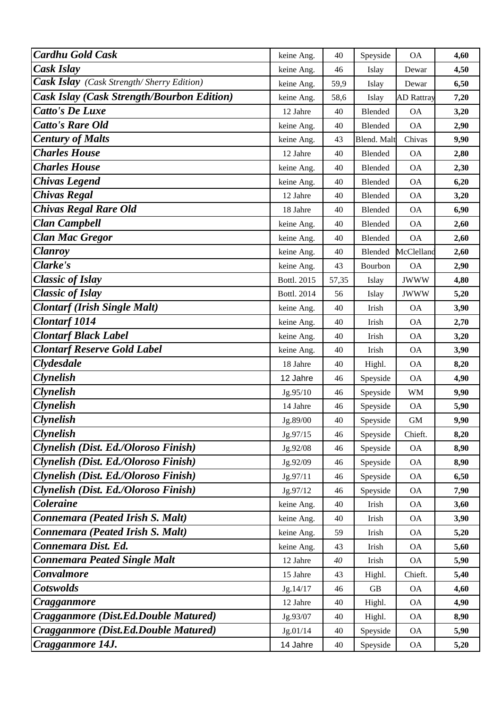| <b>Cardhu Gold Cask</b>                           | keine Ang.  | 40    | Speyside       | <b>OA</b>         | 4,60 |
|---------------------------------------------------|-------------|-------|----------------|-------------------|------|
| Cask Islay                                        | keine Ang.  | 46    | Islay          | Dewar             | 4,50 |
| <b>Cask Islay</b> (Cask Strength/Sherry Edition)  | keine Ang.  | 59,9  | Islay          | Dewar             | 6,50 |
| <b>Cask Islay (Cask Strength/Bourbon Edition)</b> | keine Ang.  | 58,6  | Islay          | <b>AD</b> Rattray | 7,20 |
| <b>Catto's De Luxe</b>                            | 12 Jahre    | 40    | Blended        | <b>OA</b>         | 3,20 |
| <b>Catto's Rare Old</b>                           | keine Ang.  | 40    | <b>Blended</b> | <b>OA</b>         | 2,90 |
| <b>Century of Malts</b>                           | keine Ang.  | 43    | Blend. Malt    | Chivas            | 9,90 |
| <b>Charles House</b>                              | 12 Jahre    | 40    | Blended        | <b>OA</b>         | 2,80 |
| <b>Charles House</b>                              | keine Ang.  | 40    | <b>Blended</b> | <b>OA</b>         | 2,30 |
| <b>Chivas Legend</b>                              | keine Ang.  | 40    | Blended        | <b>OA</b>         | 6,20 |
| <b>Chivas Regal</b>                               | 12 Jahre    | 40    | <b>Blended</b> | <b>OA</b>         | 3,20 |
| <b>Chivas Regal Rare Old</b>                      | 18 Jahre    | 40    | Blended        | <b>OA</b>         | 6,90 |
| <b>Clan Campbell</b>                              | keine Ang.  | 40    | <b>Blended</b> | <b>OA</b>         | 2,60 |
| <b>Clan Mac Gregor</b>                            | keine Ang.  | 40    | <b>Blended</b> | <b>OA</b>         | 2,60 |
| <b>Clanroy</b>                                    | keine Ang.  | 40    | Blended        | McClelland        | 2,60 |
| Clarke's                                          | keine Ang.  | 43    | Bourbon        | <b>OA</b>         | 2,90 |
| <b>Classic of Islay</b>                           | Bottl. 2015 | 57,35 | Islay          | <b>JWWW</b>       | 4,80 |
| <b>Classic of Islay</b>                           | Bottl. 2014 | 56    | Islay          | <b>JWWW</b>       | 5,20 |
| <b>Clontarf (Irish Single Malt)</b>               | keine Ang.  | 40    | Irish          | <b>OA</b>         | 3,90 |
| <b>Clontarf 1014</b>                              | keine Ang.  | 40    | Irish          | <b>OA</b>         | 2,70 |
| <b>Clontarf Black Label</b>                       | keine Ang.  | 40    | Irish          | <b>OA</b>         | 3,20 |
| <b>Clontarf Reserve Gold Label</b>                | keine Ang.  | 40    | Irish          | <b>OA</b>         | 3,90 |
| <b>Clydesdale</b>                                 | 18 Jahre    | 40    | Highl.         | <b>OA</b>         | 8,20 |
| <b>Clynelish</b>                                  | 12 Jahre    | 46    | Speyside       | <b>OA</b>         | 4,90 |
| <b>Clynelish</b>                                  | Jg.95/10    | 46    | Speyside       | <b>WM</b>         | 9,90 |
| <b>Clynelish</b>                                  | 14 Jahre    | 46    | Speyside       | <b>OA</b>         | 5,90 |
| <b>Clynelish</b>                                  | Jg.89/00    | 40    | Speyside       | $\mbox{GM}$       | 9,90 |
| <b>Clynelish</b>                                  | Jg.97/15    | 46    | Speyside       | Chieft.           | 8,20 |
| Clynelish (Dist. Ed./Oloroso Finish)              | Jg.92/08    | 46    | Speyside       | <b>OA</b>         | 8,90 |
| Clynelish (Dist. Ed./Oloroso Finish)              | Jg.92/09    | 46    | Speyside       | <b>OA</b>         | 8,90 |
| Clynelish (Dist. Ed./Oloroso Finish)              | Jg.97/11    | 46    | Speyside       | <b>OA</b>         | 6,50 |
| Clynelish (Dist. Ed./Oloroso Finish)              | Jg.97/12    | 46    | Speyside       | <b>OA</b>         | 7,90 |
| <b>Coleraine</b>                                  | keine Ang.  | 40    | Irish          | <b>OA</b>         | 3,60 |
| Connemara (Peated Irish S. Malt)                  | keine Ang.  | 40    | Irish          | <b>OA</b>         | 3,90 |
| Connemara (Peated Irish S. Malt)                  | keine Ang.  | 59    | Irish          | <b>OA</b>         | 5,20 |
| Connemara Dist. Ed.                               | keine Ang.  | 43    | Irish          | <b>OA</b>         | 5,60 |
| <b>Connemara Peated Single Malt</b>               | 12 Jahre    | 40    | Irish          | <b>OA</b>         | 5,90 |
| <b>Convalmore</b>                                 | 15 Jahre    | 43    | Highl.         | Chieft.           | 5,40 |
| <b>Cotswolds</b>                                  | Jg.14/17    | 46    | GB             | <b>OA</b>         | 4,60 |
| Cragganmore                                       | 12 Jahre    | 40    | Highl.         | <b>OA</b>         | 4,90 |
| Cragganmore (Dist.Ed.Double Matured)              | Jg.93/07    | 40    | Highl.         | <b>OA</b>         | 8,90 |
| Cragganmore (Dist.Ed.Double Matured)              | Jg.01/14    | 40    | Speyside       | <b>OA</b>         | 5,90 |
| Cragganmore 14J.                                  | 14 Jahre    | 40    | Speyside       | <b>OA</b>         | 5,20 |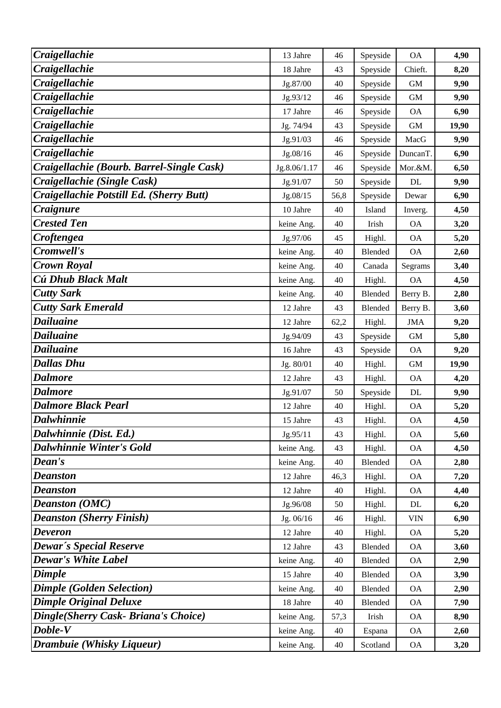| Craigellachie                             | 13 Jahre     | 46   | Speyside | <b>OA</b>                 | 4,90  |
|-------------------------------------------|--------------|------|----------|---------------------------|-------|
| Craigellachie                             | 18 Jahre     | 43   | Speyside | Chieft.                   | 8,20  |
| Craigellachie                             | Jg.87/00     | 40   | Speyside | <b>GM</b>                 | 9,90  |
| Craigellachie                             | Jg.93/12     | 46   | Speyside | <b>GM</b>                 | 9,90  |
| Craigellachie                             | 17 Jahre     | 46   | Speyside | <b>OA</b>                 | 6,90  |
| Craigellachie                             | Jg. 74/94    | 43   | Speyside | <b>GM</b>                 | 19,90 |
| Craigellachie                             | Jg.91/03     | 46   | Speyside | MacG                      | 9,90  |
| Craigellachie                             | Jg.08/16     | 46   | Speyside | DuncanT.                  | 6,90  |
| Craigellachie (Bourb. Barrel-Single Cask) | Jg.8.06/1.17 | 46   | Speyside | Mor.&M.                   | 6,50  |
| Craigellachie (Single Cask)               | Jg.91/07     | 50   | Speyside | DL                        | 9,90  |
| Craigellachie Potstill Ed. (Sherry Butt)  | Jg.08/15     | 56,8 | Speyside | Dewar                     | 6,90  |
| Craignure                                 | 10 Jahre     | 40   | Island   | Inverg.                   | 4,50  |
| <b>Crested Ten</b>                        | keine Ang.   | 40   | Irish    | <b>OA</b>                 | 3,20  |
| Croftengea                                | Jg.97/06     | 45   | Highl.   | <b>OA</b>                 | 5,20  |
| Cromwell's                                | keine Ang.   | 40   | Blended  | <b>OA</b>                 | 2,60  |
| <b>Crown Royal</b>                        | keine Ang.   | 40   | Canada   | Segrams                   | 3,40  |
| Cú Dhub Black Malt                        | keine Ang.   | 40   | Highl.   | <b>OA</b>                 | 4,50  |
| <b>Cutty Sark</b>                         | keine Ang.   | 40   | Blended  | Berry B.                  | 2,80  |
| <b>Cutty Sark Emerald</b>                 | 12 Jahre     | 43   | Blended  | Berry B.                  | 3,60  |
| <b>Dailuaine</b>                          | 12 Jahre     | 62,2 | Highl.   | <b>JMA</b>                | 9,20  |
| <b>Dailuaine</b>                          | Jg.94/09     | 43   | Speyside | <b>GM</b>                 | 5,80  |
| <b>Dailuaine</b>                          | 16 Jahre     | 43   | Speyside | <b>OA</b>                 | 9,20  |
| <b>Dallas Dhu</b>                         | Jg. 80/01    | 40   | Highl.   | <b>GM</b>                 | 19,90 |
| <b>Dalmore</b>                            | 12 Jahre     | 43   | Highl.   | <b>OA</b>                 | 4,20  |
| <b>Dalmore</b>                            | Jg.91/07     | 50   | Speyside | DL                        | 9,90  |
| <b>Dalmore Black Pearl</b>                | 12 Jahre     | 40   | Highl.   | <b>OA</b>                 | 5,20  |
| <b>Dalwhinnie</b>                         | 15 Jahre     | 43   | Highl.   | <b>OA</b>                 | 4,50  |
| Dalwhinnie (Dist. Ed.)                    | Jg.95/11     | 43   | Highl.   | <b>OA</b>                 | 5,60  |
| <b>Dalwhinnie Winter's Gold</b>           | keine Ang.   | 43   | Highl.   | <b>OA</b>                 | 4,50  |
| Dean's                                    | keine Ang.   | 40   | Blended  | <b>OA</b>                 | 2,80  |
| <b>Deanston</b>                           | 12 Jahre     | 46,3 | Highl.   | <b>OA</b>                 | 7,20  |
| <b>Deanston</b>                           | 12 Jahre     | 40   | Highl.   | <b>OA</b>                 | 4,40  |
| <b>Deanston (OMC)</b>                     | Jg.96/08     | 50   | Highl.   | DL                        | 6,20  |
| <b>Deanston (Sherry Finish)</b>           | Jg. 06/16    | 46   | Highl.   | $\ensuremath{\text{VIN}}$ | 6,90  |
| <b>Deveron</b>                            | 12 Jahre     | 40   | Highl.   | <b>OA</b>                 | 5,20  |
| <b>Dewar's Special Reserve</b>            | 12 Jahre     | 43   | Blended  | <b>OA</b>                 | 3,60  |
| <b>Dewar's White Label</b>                | keine Ang.   | 40   | Blended  | <b>OA</b>                 | 2,90  |
| Dimple                                    | 15 Jahre     | 40   | Blended  | <b>OA</b>                 | 3,90  |
| <b>Dimple (Golden Selection)</b>          | keine Ang.   | 40   | Blended  | <b>OA</b>                 | 2,90  |
| <b>Dimple Original Deluxe</b>             | 18 Jahre     | 40   | Blended  | <b>OA</b>                 | 7,90  |
| Dingle(Sherry Cask- Briana's Choice)      | keine Ang.   | 57,3 | Irish    | <b>OA</b>                 | 8,90  |
| Doble-V                                   | keine Ang.   | 40   | Espana   | <b>OA</b>                 | 2,60  |
| Drambuie (Whisky Liqueur)                 | keine Ang.   | 40   | Scotland | <b>OA</b>                 | 3,20  |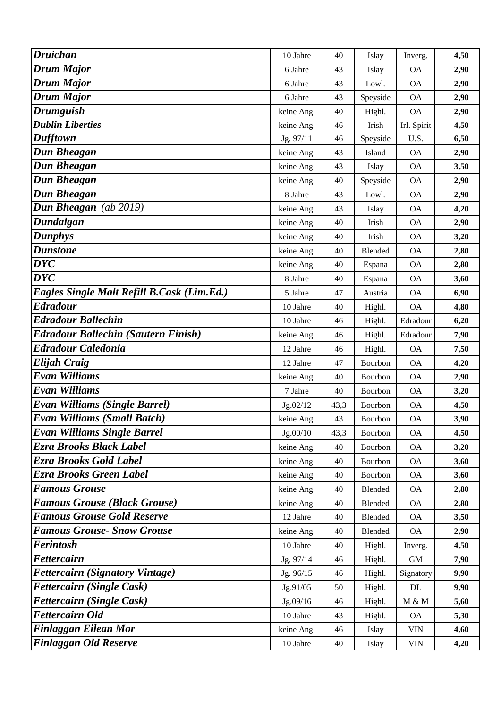| <b>Druichan</b>                            | 10 Jahre   | 40   | Islay          | Inverg.                  | 4,50 |
|--------------------------------------------|------------|------|----------------|--------------------------|------|
| <b>Drum Major</b>                          | 6 Jahre    | 43   | Islay          | <b>OA</b>                | 2,90 |
| <b>Drum Major</b>                          | 6 Jahre    | 43   | Lowl.          | <b>OA</b>                | 2,90 |
| <b>Drum Major</b>                          | 6 Jahre    | 43   | Speyside       | <b>OA</b>                | 2,90 |
| <b>Drumguish</b>                           | keine Ang. | 40   | Highl.         | <b>OA</b>                | 2,90 |
| <b>Dublin Liberties</b>                    | keine Ang. | 46   | Irish          | Irl. Spirit              | 4,50 |
| <b>Dufftown</b>                            | Jg. 97/11  | 46   | Speyside       | U.S.                     | 6,50 |
| <b>Dun Bheagan</b>                         | keine Ang. | 43   | Island         | <b>OA</b>                | 2,90 |
| <b>Dun Bheagan</b>                         | keine Ang. | 43   | Islay          | <b>OA</b>                | 3,50 |
| <b>Dun Bheagan</b>                         | keine Ang. | 40   | Speyside       | <b>OA</b>                | 2,90 |
| Dun Bheagan                                | 8 Jahre    | 43   | Lowl.          | <b>OA</b>                | 2,90 |
| Dun Bheagan (ab 2019)                      | keine Ang. | 43   | Islay          | <b>OA</b>                | 4,20 |
| Dundalgan                                  | keine Ang. | 40   | Irish          | <b>OA</b>                | 2,90 |
| <b>Dunphys</b>                             | keine Ang. | 40   | Irish          | <b>OA</b>                | 3,20 |
| <b>Dunstone</b>                            | keine Ang. | 40   | Blended        | <b>OA</b>                | 2,80 |
| <b>DYC</b>                                 | keine Ang. | 40   | Espana         | <b>OA</b>                | 2,80 |
| <b>DYC</b>                                 | 8 Jahre    | 40   | Espana         | <b>OA</b>                | 3,60 |
| Eagles Single Malt Refill B.Cask (Lim.Ed.) | 5 Jahre    | 47   | Austria        | <b>OA</b>                | 6,90 |
| <b>Edradour</b>                            | 10 Jahre   | 40   | Highl.         | <b>OA</b>                | 4,80 |
| <b>Edradour Ballechin</b>                  | 10 Jahre   | 46   | Highl.         | Edradour                 | 6,20 |
| <b>Edradour Ballechin (Sautern Finish)</b> | keine Ang. | 46   | Highl.         | Edradour                 | 7,90 |
| <b>Edradour Caledonia</b>                  | 12 Jahre   | 46   | Highl.         | <b>OA</b>                | 7,50 |
| <b>Elijah Craig</b>                        | 12 Jahre   | 47   | Bourbon        | <b>OA</b>                | 4,20 |
| <b>Evan Williams</b>                       | keine Ang. | 40   | Bourbon        | <b>OA</b>                | 2,90 |
| <b>Evan Williams</b>                       | 7 Jahre    | 40   | Bourbon        | <b>OA</b>                | 3,20 |
| Evan Williams (Single Barrel)              | Jg.02/12   | 43,3 | Bourbon        | $\mathcal{O}\mathcal{A}$ | 4,50 |
| <b>Evan Williams (Small Batch)</b>         | keine Ang. | 43   | Bourbon        | <b>OA</b>                | 3,90 |
| <b>Evan Williams Single Barrel</b>         | Jg.00/10   | 43,3 | Bourbon        | <b>OA</b>                | 4,50 |
| <b>Ezra Brooks Black Label</b>             | keine Ang. | 40   | Bourbon        | <b>OA</b>                | 3,20 |
| Ezra Brooks Gold Label                     | keine Ang. | 40   | Bourbon        | <b>OA</b>                | 3,60 |
| Ezra Brooks Green Label                    | keine Ang. | 40   | Bourbon        | <b>OA</b>                | 3,60 |
| <b>Famous Grouse</b>                       | keine Ang. | 40   | <b>Blended</b> | <b>OA</b>                | 2,80 |
| <b>Famous Grouse (Black Grouse)</b>        | keine Ang. | 40   | Blended        | <b>OA</b>                | 2,80 |
| <b>Famous Grouse Gold Reserve</b>          | 12 Jahre   | 40   | Blended        | <b>OA</b>                | 3,50 |
| <b>Famous Grouse- Snow Grouse</b>          | keine Ang. | 40   | Blended        | <b>OA</b>                | 2,90 |
| Ferintosh                                  | 10 Jahre   | 40   | Highl.         | Inverg.                  | 4,50 |
| <b>Fettercairn</b>                         | Jg. 97/14  | 46   | Highl.         | <b>GM</b>                | 7,90 |
| <b>Fettercairn</b> (Signatory Vintage)     | Jg. 96/15  | 46   | Highl.         | Signatory                | 9,90 |
| <b>Fettercairn (Single Cask)</b>           | Jg.91/05   | 50   | Highl.         | DL                       | 9,90 |
| <b>Fettercairn (Single Cask)</b>           | Jg.09/16   | 46   | Highl.         | M & M                    | 5,60 |
| <b>Fettercairn Old</b>                     | 10 Jahre   | 43   | Highl.         | <b>OA</b>                | 5,30 |
| <b>Finlaggan Eilean Mor</b>                | keine Ang. | 46   | Islay          | <b>VIN</b>               | 4,60 |
| <b>Finlaggan Old Reserve</b>               | 10 Jahre   | 40   | Islay          | <b>VIN</b>               | 4,20 |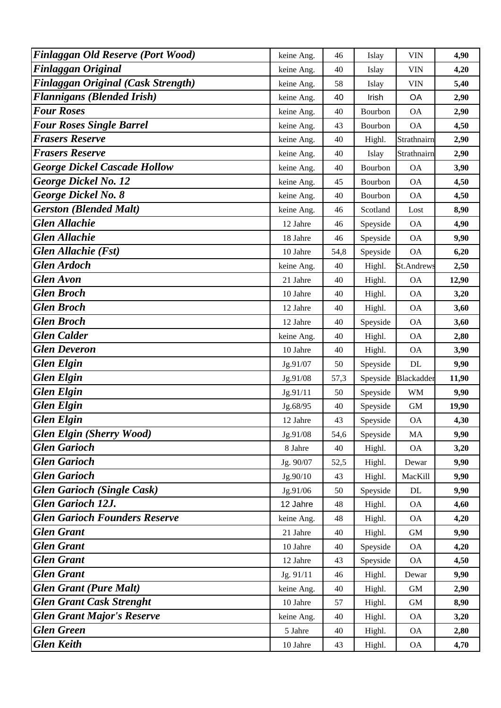| <b>Finlaggan Old Reserve (Port Wood)</b>  | keine Ang. | 46   | Islay    | <b>VIN</b>   | 4,90  |
|-------------------------------------------|------------|------|----------|--------------|-------|
| <b>Finlaggan Original</b>                 | keine Ang. | 40   | Islay    | <b>VIN</b>   | 4,20  |
| <b>Finlaggan Original (Cask Strength)</b> | keine Ang. | 58   | Islay    | <b>VIN</b>   | 5,40  |
| <b>Flannigans (Blended Irish)</b>         | keine Ang. | 40   | Irish    | OA           | 2,90  |
| <b>Four Roses</b>                         | keine Ang. | 40   | Bourbon  | <b>OA</b>    | 2,90  |
| <b>Four Roses Single Barrel</b>           | keine Ang. | 43   | Bourbon  | <b>OA</b>    | 4,50  |
| <b>Frasers Reserve</b>                    | keine Ang. | 40   | Highl.   | Strathnairn  | 2,90  |
| <b>Frasers Reserve</b>                    | keine Ang. | 40   | Islay    | Strathnairn  | 2,90  |
| <b>George Dickel Cascade Hollow</b>       | keine Ang. | 40   | Bourbon  | <b>OA</b>    | 3,90  |
| <b>George Dickel No. 12</b>               | keine Ang. | 45   | Bourbon  | <b>OA</b>    | 4,50  |
| <b>George Dickel No. 8</b>                | keine Ang. | 40   | Bourbon  | <b>OA</b>    | 4,50  |
| <b>Gerston (Blended Malt)</b>             | keine Ang. | 46   | Scotland | Lost         | 8,90  |
| <b>Glen Allachie</b>                      | 12 Jahre   | 46   | Speyside | <b>OA</b>    | 4,90  |
| <b>Glen Allachie</b>                      | 18 Jahre   | 46   | Speyside | <b>OA</b>    | 9,90  |
| <b>Glen Allachie (Fst)</b>                | 10 Jahre   | 54,8 | Speyside | <b>OA</b>    | 6,20  |
| <b>Glen Ardoch</b>                        | keine Ang. | 40   | Highl.   | St.Andrews   | 2,50  |
| <b>Glen Avon</b>                          | 21 Jahre   | 40   | Highl.   | <b>OA</b>    | 12,90 |
| <b>Glen Broch</b>                         | 10 Jahre   | 40   | Highl.   | <b>OA</b>    | 3,20  |
| <b>Glen Broch</b>                         | 12 Jahre   | 40   | Highl.   | <b>OA</b>    | 3,60  |
| <b>Glen Broch</b>                         | 12 Jahre   | 40   | Speyside | <b>OA</b>    | 3,60  |
| <b>Glen</b> Calder                        | keine Ang. | 40   | Highl.   | <b>OA</b>    | 2,80  |
| <b>Glen Deveron</b>                       | 10 Jahre   | 40   | Highl.   | <b>OA</b>    | 3,90  |
| <b>Glen Elgin</b>                         | Jg.91/07   | 50   | Speyside | <b>DL</b>    | 9,90  |
| <b>Glen Elgin</b>                         | Jg.91/08   | 57,3 | Speyside | Blackadder   | 11,90 |
| <b>Glen Elgin</b>                         | Jg.91/11   | 50   | Speyside | <b>WM</b>    | 9,90  |
| <b>Glen Elgin</b>                         | Jg.68/95   | 40   | Speyside | <b>GM</b>    | 19,90 |
| <b>Glen Elgin</b>                         | 12 Jahre   | 43   | Speyside | <b>OA</b>    | 4,30  |
| <b>Glen Elgin (Sherry Wood)</b>           | Jg.91/08   | 54,6 | Speyside | MA           | 9,90  |
| <b>Glen Garioch</b>                       | 8 Jahre    | 40   | Highl.   | <b>OA</b>    | 3,20  |
| <b>Glen Garioch</b>                       | Jg. 90/07  | 52,5 | Highl.   | Dewar        | 9,90  |
| <b>Glen Garioch</b>                       | Jg.90/10   | 43   | Highl.   | MacKill      | 9,90  |
| <b>Glen Garioch (Single Cask)</b>         | Jg.91/06   | 50   | Speyside | <b>DL</b>    | 9,90  |
| <b>Glen Garioch 12J.</b>                  | 12 Jahre   | 48   | Highl.   | <b>OA</b>    | 4,60  |
| <b>Glen Garioch Founders Reserve</b>      | keine Ang. | 48   | Highl.   | <b>OA</b>    | 4,20  |
| <b>Glen Grant</b>                         | 21 Jahre   | 40   | Highl.   | $\,$ GM $\,$ | 9,90  |
| <b>Glen Grant</b>                         | 10 Jahre   | 40   | Speyside | <b>OA</b>    | 4,20  |
| <b>Glen Grant</b>                         | 12 Jahre   | 43   | Speyside | <b>OA</b>    | 4,50  |
| <b>Glen Grant</b>                         | Jg. 91/11  | 46   | Highl.   | Dewar        | 9,90  |
| <b>Glen Grant (Pure Malt)</b>             | keine Ang. | 40   | Highl.   | GM           | 2,90  |
| <b>Glen Grant Cask Strenght</b>           | 10 Jahre   | 57   | Highl.   | <b>GM</b>    | 8,90  |
| <b>Glen Grant Major's Reserve</b>         | keine Ang. | 40   | Highl.   | <b>OA</b>    | 3,20  |
| <b>Glen Green</b>                         | 5 Jahre    | 40   | Highl.   | <b>OA</b>    | 2,80  |
| <b>Glen Keith</b>                         | 10 Jahre   | 43   | Highl.   | <b>OA</b>    | 4,70  |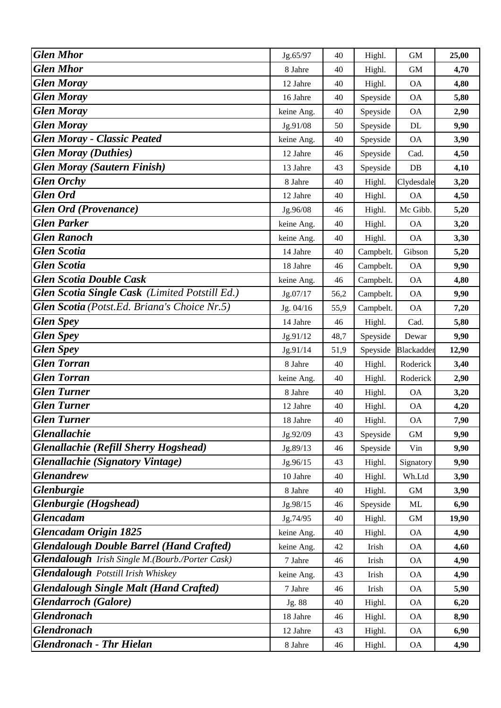| <b>Glen Mhor</b>                                       | Jg.65/97   | 40   | Highl.    | <b>GM</b>  | 25,00 |
|--------------------------------------------------------|------------|------|-----------|------------|-------|
| <b>Glen Mhor</b>                                       | 8 Jahre    | 40   | Highl.    | <b>GM</b>  | 4,70  |
| <b>Glen Moray</b>                                      | 12 Jahre   | 40   | Highl.    | <b>OA</b>  | 4,80  |
| <b>Glen Moray</b>                                      | 16 Jahre   | 40   | Speyside  | <b>OA</b>  | 5,80  |
| <b>Glen Moray</b>                                      | keine Ang. | 40   | Speyside  | <b>OA</b>  | 2,90  |
| <b>Glen Moray</b>                                      | Jg.91/08   | 50   | Speyside  | DL         | 9,90  |
| <b>Glen Moray - Classic Peated</b>                     | keine Ang. | 40   | Speyside  | <b>OA</b>  | 3,90  |
| <b>Glen Moray (Duthies)</b>                            | 12 Jahre   | 46   | Speyside  | Cad.       | 4,50  |
| <b>Glen Moray (Sautern Finish)</b>                     | 13 Jahre   | 43   | Speyside  | DB         | 4,10  |
| <b>Glen Orchy</b>                                      | 8 Jahre    | 40   | Highl.    | Clydesdale | 3,20  |
| <b>Glen Ord</b>                                        | 12 Jahre   | 40   | Highl.    | <b>OA</b>  | 4,50  |
| <b>Glen Ord (Provenance)</b>                           | Jg.96/08   | 46   | Highl.    | Mc Gibb.   | 5,20  |
| <b>Glen Parker</b>                                     | keine Ang. | 40   | Highl.    | <b>OA</b>  | 3,20  |
| <b>Glen Ranoch</b>                                     | keine Ang. | 40   | Highl.    | <b>OA</b>  | 3,30  |
| <b>Glen Scotia</b>                                     | 14 Jahre   | 40   | Campbelt. | Gibson     | 5,20  |
| <b>Glen Scotia</b>                                     | 18 Jahre   | 46   | Campbelt. | <b>OA</b>  | 9,90  |
| <b>Glen Scotia Double Cask</b>                         | keine Ang. | 46   | Campbelt. | <b>OA</b>  | 4,80  |
| Glen Scotia Single Cask (Limited Potstill Ed.)         | Jg.07/17   | 56,2 | Campbelt. | <b>OA</b>  | 9,90  |
| Glen Scotia (Potst.Ed. Briana's Choice Nr.5)           | Jg. 04/16  | 55,9 | Campbelt. | <b>OA</b>  | 7,20  |
| <b>Glen Spey</b>                                       | 14 Jahre   | 46   | Highl.    | Cad.       | 5,80  |
| <b>Glen Spey</b>                                       | Jg.91/12   | 48,7 | Speyside  | Dewar      | 9,90  |
| <b>Glen Spey</b>                                       | Jg.91/14   | 51,9 | Speyside  | Blackadder | 12,90 |
| <b>Glen Torran</b>                                     | 8 Jahre    | 40   | Highl.    | Roderick   | 3,40  |
| <b>Glen Torran</b>                                     | keine Ang. | 40   | Highl.    | Roderick   | 2,90  |
| <b>Glen Turner</b>                                     | 8 Jahre    | 40   | Highl.    | <b>OA</b>  | 3,20  |
| <b>Glen Turner</b>                                     | 12 Jahre   | 40   | Highl.    | <b>OA</b>  | 4,20  |
| <b>Glen Turner</b>                                     | 18 Jahre   | 40   | Highl.    | <b>OA</b>  | 7,90  |
| Glenallachie                                           | Jg.92/09   | 43   | Speyside  | <b>GM</b>  | 9,90  |
| <b>Glenallachie (Refill Sherry Hogshead)</b>           | Jg.89/13   | 46   | Speyside  | Vin        | 9,90  |
| <b>Glenallachie</b> (Signatory Vintage)                | Jg.96/15   | 43   | Highl.    | Signatory  | 9,90  |
| <b>Glenandrew</b>                                      | 10 Jahre   | 40   | Highl.    | Wh.Ltd     | 3,90  |
| Glenburgie                                             | 8 Jahre    | 40   | Highl.    | <b>GM</b>  | 3,90  |
| Glenburgie (Hogshead)                                  | Jg.98/15   | 46   | Speyside  | ML         | 6,90  |
| <b>Glencadam</b>                                       | Jg.74/95   | 40   | Highl.    | <b>GM</b>  | 19,90 |
| <b>Glencadam Origin 1825</b>                           | keine Ang. | 40   | Highl.    | <b>OA</b>  | 4,90  |
| <b>Glendalough Double Barrel (Hand Crafted)</b>        | keine Ang. | 42   | Irish     | <b>OA</b>  | 4,60  |
| <b>Glendalough</b> Irish Single M.(Bourb./Porter Cask) | 7 Jahre    | 46   | Irish     | <b>OA</b>  | 4,90  |
| <b>Glendalough</b> Potstill Irish Whiskey              | keine Ang. | 43   | Irish     | <b>OA</b>  | 4,90  |
| <b>Glendalough Single Malt (Hand Crafted)</b>          | 7 Jahre    | 46   | Irish     | <b>OA</b>  | 5,90  |
| <b>Glendarroch</b> (Galore)                            | Jg. 88     | 40   | Highl.    | <b>OA</b>  | 6,20  |
| <b>Glendronach</b>                                     | 18 Jahre   | 46   | Highl.    | <b>OA</b>  | 8,90  |
| <b>Glendronach</b>                                     | 12 Jahre   | 43   | Highl.    | <b>OA</b>  | 6,90  |
| <b>Glendronach - Thr Hielan</b>                        | 8 Jahre    | 46   | Highl.    | <b>OA</b>  | 4,90  |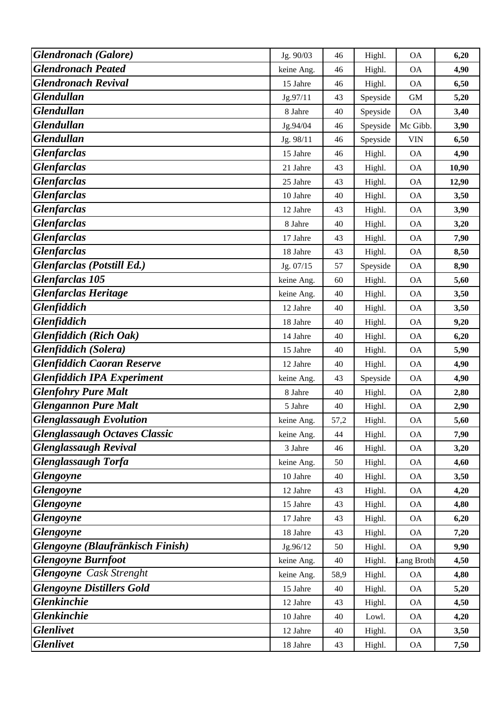| <b>Glendronach</b> (Galore)          | Jg. 90/03  | 46   | Highl.   | <b>OA</b>  | 6,20  |
|--------------------------------------|------------|------|----------|------------|-------|
| <b>Glendronach Peated</b>            | keine Ang. | 46   | Highl.   | <b>OA</b>  | 4,90  |
| <b>Glendronach Revival</b>           | 15 Jahre   | 46   | Highl.   | <b>OA</b>  | 6,50  |
| <b>Glendullan</b>                    | Jg.97/11   | 43   | Speyside | <b>GM</b>  | 5,20  |
| <b>Glendullan</b>                    | 8 Jahre    | 40   | Speyside | <b>OA</b>  | 3,40  |
| <b>Glendullan</b>                    | Jg.94/04   | 46   | Speyside | Mc Gibb.   | 3,90  |
| <b>Glendullan</b>                    | Jg. 98/11  | 46   | Speyside | <b>VIN</b> | 6,50  |
| <b>Glenfarclas</b>                   | 15 Jahre   | 46   | Highl.   | <b>OA</b>  | 4,90  |
| <b>Glenfarclas</b>                   | 21 Jahre   | 43   | Highl.   | <b>OA</b>  | 10,90 |
| <b>Glenfarclas</b>                   | 25 Jahre   | 43   | Highl.   | <b>OA</b>  | 12,90 |
| <b>Glenfarclas</b>                   | 10 Jahre   | 40   | Highl.   | <b>OA</b>  | 3,50  |
| <b>Glenfarclas</b>                   | 12 Jahre   | 43   | Highl.   | <b>OA</b>  | 3,90  |
| <b>Glenfarclas</b>                   | 8 Jahre    | 40   | Highl.   | <b>OA</b>  | 3,20  |
| <b>Glenfarclas</b>                   | 17 Jahre   | 43   | Highl.   | <b>OA</b>  | 7,90  |
| <b>Glenfarclas</b>                   | 18 Jahre   | 43   | Highl.   | <b>OA</b>  | 8,50  |
| <b>Glenfarclas</b> (Potstill Ed.)    | Jg. 07/15  | 57   | Speyside | <b>OA</b>  | 8,90  |
| <b>Glenfarclas 105</b>               | keine Ang. | 60   | Highl.   | <b>OA</b>  | 5,60  |
| <b>Glenfarclas Heritage</b>          | keine Ang. | 40   | Highl.   | <b>OA</b>  | 3,50  |
| Glenfiddich                          | 12 Jahre   | 40   | Highl.   | <b>OA</b>  | 3,50  |
| <b>Glenfiddich</b>                   | 18 Jahre   | 40   | Highl.   | <b>OA</b>  | 9,20  |
| <b>Glenfiddich</b> (Rich Oak)        | 14 Jahre   | 40   | Highl.   | <b>OA</b>  | 6,20  |
| <b>Glenfiddich</b> (Solera)          | 15 Jahre   | 40   | Highl.   | <b>OA</b>  | 5,90  |
| <b>Glenfiddich Caoran Reserve</b>    | 12 Jahre   | 40   | Highl.   | <b>OA</b>  | 4,90  |
| <b>Glenfiddich IPA Experiment</b>    | keine Ang. | 43   | Speyside | <b>OA</b>  | 4,90  |
| <b>Glenfohry Pure Malt</b>           | 8 Jahre    | 40   | Highl.   | <b>OA</b>  | 2,80  |
| <b>Glengannon Pure Malt</b>          | 5 Jahre    | 40   | Highl.   | <b>OA</b>  | 2,90  |
| <b>Glenglassaugh Evolution</b>       | keine Ang. | 57,2 | Highl.   | <b>OA</b>  | 5,60  |
| <b>Glenglassaugh Octaves Classic</b> | keine Ang. | 44   | Highl.   | <b>OA</b>  | 7,90  |
| <b>Glenglassaugh Revival</b>         | 3 Jahre    | 46   | Highl.   | <b>OA</b>  | 3,20  |
| <b>Glenglassaugh Torfa</b>           | keine Ang. | 50   | Highl.   | <b>OA</b>  | 4,60  |
| <b>Glengoyne</b>                     | 10 Jahre   | 40   | Highl.   | <b>OA</b>  | 3,50  |
| <b>Glengoyne</b>                     | 12 Jahre   | 43   | Highl.   | <b>OA</b>  | 4,20  |
| <b>Glengoyne</b>                     | 15 Jahre   | 43   | Highl.   | <b>OA</b>  | 4,80  |
| <b>Glengoyne</b>                     | 17 Jahre   | 43   | Highl.   | <b>OA</b>  | 6,20  |
| <b>Glengoyne</b>                     | 18 Jahre   | 43   | Highl.   | <b>OA</b>  | 7,20  |
| Glengoyne (Blaufränkisch Finish)     | Jg.96/12   | 50   | Highl.   | <b>OA</b>  | 9,90  |
| <b>Glengoyne Burnfoot</b>            | keine Ang. | 40   | Highl.   | Lang Broth | 4,50  |
| <b>Glengoyne</b> Cask Strenght       | keine Ang. | 58,9 | Highl.   | <b>OA</b>  | 4,80  |
| <b>Glengoyne Distillers Gold</b>     | 15 Jahre   | 40   | Highl.   | <b>OA</b>  | 5,20  |
| Glenkinchie                          | 12 Jahre   | 43   | Highl.   | <b>OA</b>  | 4,50  |
| <b>Glenkinchie</b>                   | 10 Jahre   | 40   | Lowl.    | <b>OA</b>  | 4,20  |
| <b>Glenlivet</b>                     | 12 Jahre   | 40   | Highl.   | <b>OA</b>  | 3,50  |
| <b>Glenlivet</b>                     | 18 Jahre   | 43   | Highl.   | <b>OA</b>  | 7,50  |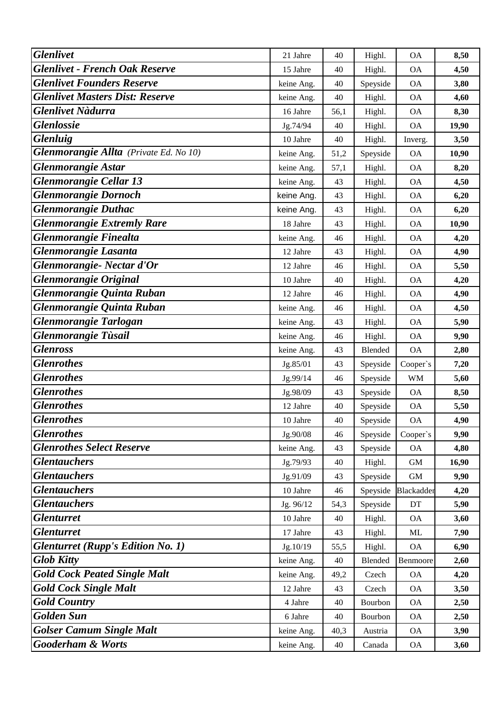| <b>Glenlivet</b>                         | 21 Jahre   | 40   | Highl.         | <b>OA</b>   | 8,50  |
|------------------------------------------|------------|------|----------------|-------------|-------|
| <b>Glenlivet - French Oak Reserve</b>    | 15 Jahre   | 40   | Highl.         | <b>OA</b>   | 4,50  |
| <b>Glenlivet Founders Reserve</b>        | keine Ang. | 40   | Speyside       | <b>OA</b>   | 3,80  |
| <b>Glenlivet Masters Dist: Reserve</b>   | keine Ang. | 40   | Highl.         | <b>OA</b>   | 4,60  |
| <b>Glenlivet Nàdurra</b>                 | 16 Jahre   | 56,1 | Highl.         | <b>OA</b>   | 8,30  |
| <b>Glenlossie</b>                        | Jg.74/94   | 40   | Highl.         | <b>OA</b>   | 19,90 |
| Glenluig                                 | 10 Jahre   | 40   | Highl.         | Inverg.     | 3,50  |
| Glenmorangie Allta (Private Ed. No 10)   | keine Ang. | 51,2 | Speyside       | <b>OA</b>   | 10,90 |
| <b>Glenmorangie Astar</b>                | keine Ang. | 57,1 | Highl.         | <b>OA</b>   | 8,20  |
| <b>Glenmorangie Cellar 13</b>            | keine Ang. | 43   | Highl.         | <b>OA</b>   | 4,50  |
| <b>Glenmorangie Dornoch</b>              | keine Ang. | 43   | Highl.         | <b>OA</b>   | 6,20  |
| <b>Glenmorangie Duthac</b>               | keine Ang. | 43   | Highl.         | <b>OA</b>   | 6,20  |
| <b>Glenmorangie Extremly Rare</b>        | 18 Jahre   | 43   | Highl.         | <b>OA</b>   | 10,90 |
| <b>Glenmorangie Finealta</b>             | keine Ang. | 46   | Highl.         | <b>OA</b>   | 4,20  |
| Glenmorangie Lasanta                     | 12 Jahre   | 43   | Highl.         | <b>OA</b>   | 4,90  |
| Glenmorangie- Nectar d'Or                | 12 Jahre   | 46   | Highl.         | <b>OA</b>   | 5,50  |
| <b>Glenmorangie Original</b>             | 10 Jahre   | 40   | Highl.         | <b>OA</b>   | 4,20  |
| Glenmorangie Quinta Ruban                | 12 Jahre   | 46   | Highl.         | <b>OA</b>   | 4,90  |
| Glenmorangie Quinta Ruban                | keine Ang. | 46   | Highl.         | <b>OA</b>   | 4,50  |
| Glenmorangie Tarlogan                    | keine Ang. | 43   | Highl.         | <b>OA</b>   | 5,90  |
| <b>Glenmorangie Tùsail</b>               | keine Ang. | 46   | Highl.         | <b>OA</b>   | 9,90  |
| <b>Glenross</b>                          | keine Ang. | 43   | <b>Blended</b> | <b>OA</b>   | 2,80  |
| <b>Glenrothes</b>                        | Jg.85/01   | 43   | Speyside       | Cooper's    | 7,20  |
| <b>Glenrothes</b>                        | Jg.99/14   | 46   | Speyside       | <b>WM</b>   | 5,60  |
| <b>Glenrothes</b>                        | Jg.98/09   | 43   | Speyside       | <b>OA</b>   | 8,50  |
| <b>Glenrothes</b>                        | 12 Jahre   | 40   | Speyside       | <b>OA</b>   | 5,50  |
| <b>Glenrothes</b>                        | 10 Jahre   | 40   | Speyside       | <b>OA</b>   | 4,90  |
| <b>Glenrothes</b>                        | Jg.90/08   | 46   | Speyside       | Cooper's    | 9,90  |
| <b>Glenrothes Select Reserve</b>         | keine Ang. | 43   | Speyside       | <b>OA</b>   | 4,80  |
| <b>Glentauchers</b>                      | Jg.79/93   | 40   | Highl.         | $\mbox{GM}$ | 16,90 |
| <b>Glentauchers</b>                      | Jg.91/09   | 43   | Speyside       | $\mbox{GM}$ | 9,90  |
| <b>Glentauchers</b>                      | 10 Jahre   | 46   | Speyside       | Blackadder  | 4,20  |
| <b>Glentauchers</b>                      | Jg. 96/12  | 54,3 | Speyside       | DT          | 5,90  |
| <b>Glenturret</b>                        | 10 Jahre   | 40   | Highl.         | OA          | 3,60  |
| <b>Glenturret</b>                        | 17 Jahre   | 43   | Highl.         | ML          | 7,90  |
| <b>Glenturret (Rupp's Edition No. 1)</b> | Jg.10/19   | 55,5 | Highl.         | <b>OA</b>   | 6,90  |
| <b>Glob Kitty</b>                        | keine Ang. | 40   | Blended        | Benmoore    | 2,60  |
| <b>Gold Cock Peated Single Malt</b>      | keine Ang. | 49,2 | Czech          | <b>OA</b>   | 4,20  |
| <b>Gold Cock Single Malt</b>             | 12 Jahre   | 43   | Czech          | <b>OA</b>   | 3,50  |
| <b>Gold Country</b>                      | 4 Jahre    | 40   | Bourbon        | <b>OA</b>   | 2,50  |
| <b>Golden Sun</b>                        | 6 Jahre    | 40   | Bourbon        | <b>OA</b>   | 2,50  |
| <b>Golser Camum Single Malt</b>          | keine Ang. | 40,3 | Austria        | <b>OA</b>   | 3,90  |
| <b>Gooderham &amp; Worts</b>             | keine Ang. | 40   | Canada         | <b>OA</b>   | 3,60  |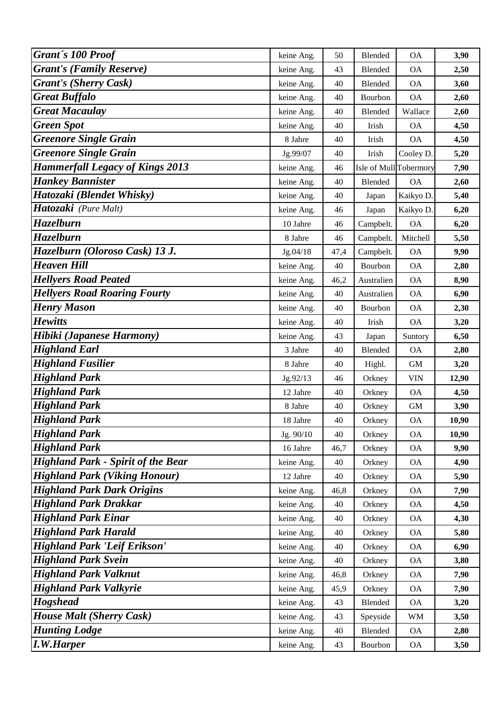| Grant's 100 Proof                         | keine Ang. | 50   | <b>Blended</b>         | <b>OA</b>  | 3,90  |
|-------------------------------------------|------------|------|------------------------|------------|-------|
| <b>Grant's (Family Reserve)</b>           | keine Ang. | 43   | Blended                | <b>OA</b>  | 2,50  |
| <b>Grant's (Sherry Cask)</b>              | keine Ang. | 40   | Blended                | <b>OA</b>  | 3,60  |
| <b>Great Buffalo</b>                      | keine Ang. | 40   | Bourbon                | <b>OA</b>  | 2,60  |
| <b>Great Macaulay</b>                     | keine Ang. | 40   | Blended                | Wallace    | 2,60  |
| <b>Green Spot</b>                         | keine Ang. | 40   | Irish                  | <b>OA</b>  | 4,50  |
| <b>Greenore Single Grain</b>              | 8 Jahre    | 40   | Irish                  | <b>OA</b>  | 4,50  |
| <b>Greenore Single Grain</b>              | Jg.99/07   | 40   | Irish                  | Cooley D.  | 5,20  |
| <b>Hammerfall Legacy of Kings 2013</b>    | keine Ang. | 46   | Isle of Mull Tobermory |            | 7,90  |
| <b>Hankey Bannister</b>                   | keine Ang. | 40   | Blended                | <b>OA</b>  | 2,60  |
| Hatozaki (Blendet Whisky)                 | keine Ang. | 40   | Japan                  | Kaikyo D   | 5,40  |
| Hatozaki (Pure Malt)                      | keine Ang. | 46   | Japan                  | Kaikyo D.  | 6,20  |
| <b>Hazelburn</b>                          | 10 Jahre   | 46   | Campbelt.              | <b>OA</b>  | 6,20  |
| <b>Hazelburn</b>                          | 8 Jahre    | 46   | Campbelt.              | Mitchell   | 5,50  |
| Hazelburn (Oloroso Cask) 13 J.            | Jg.04/18   | 47,4 | Campbelt.              | <b>OA</b>  | 9,90  |
| <b>Heaven Hill</b>                        | keine Ang. | 40   | Bourbon                | <b>OA</b>  | 2,80  |
| <b>Hellyers Road Peated</b>               | keine Ang. | 46,2 | Australien             | <b>OA</b>  | 8,90  |
| <b>Hellyers Road Roaring Fourty</b>       | keine Ang. | 40   | Australien             | <b>OA</b>  | 6,90  |
| <b>Henry Mason</b>                        | keine Ang. | 40   | Bourbon                | <b>OA</b>  | 2,30  |
| <b>Hewitts</b>                            | keine Ang. | 40   | Irish                  | <b>OA</b>  | 3,20  |
| Hibiki (Japanese Harmony)                 | keine Ang. | 43   | Japan                  | Suntory    | 6,50  |
| <b>Highland Earl</b>                      | 3 Jahre    | 40   | Blended                | <b>OA</b>  | 2,80  |
| <b>Highland Fusilier</b>                  | 8 Jahre    | 40   | Highl.                 | <b>GM</b>  | 3,20  |
| <b>Highland Park</b>                      | Jg.92/13   | 46   | Orkney                 | <b>VIN</b> | 12,90 |
| <b>Highland Park</b>                      | 12 Jahre   | 40   | Orkney                 | <b>OA</b>  | 4,50  |
| <b>Highland Park</b>                      | 8 Jahre    | 40   | Orkney                 | <b>GM</b>  | 3,90  |
| <b>Highland Park</b>                      | 18 Jahre   | 40   | Orkney                 | <b>OA</b>  | 10,90 |
| <b>Highland Park</b>                      | Jg. 90/10  | 40   | Orkney                 | <b>OA</b>  | 10,90 |
| <b>Highland Park</b>                      | 16 Jahre   | 46,7 | Orkney                 | <b>OA</b>  | 9,90  |
| <b>Highland Park - Spirit of the Bear</b> | keine Ang. | 40   | Orkney                 | <b>OA</b>  | 4,90  |
| <b>Highland Park (Viking Honour)</b>      | 12 Jahre   | 40   | Orkney                 | <b>OA</b>  | 5,90  |
| <b>Highland Park Dark Origins</b>         | keine Ang. | 46,8 | Orkney                 | <b>OA</b>  | 7,90  |
| <b>Highland Park Drakkar</b>              | keine Ang. | 40   | Orkney                 | <b>OA</b>  | 4,50  |
| <b>Highland Park Einar</b>                | keine Ang. | 40   | Orkney                 | <b>OA</b>  | 4,30  |
| <b>Highland Park Harald</b>               | keine Ang. | 40   | Orkney                 | <b>OA</b>  | 5,80  |
| <b>Highland Park 'Leif Erikson'</b>       | keine Ang. | 40   | Orkney                 | <b>OA</b>  | 6,90  |
| <b>Highland Park Svein</b>                | keine Ang. | 40   | Orkney                 | <b>OA</b>  | 3,80  |
| <b>Highland Park Valknut</b>              | keine Ang. | 46,8 | Orkney                 | <b>OA</b>  | 7,90  |
| <b>Highland Park Valkyrie</b>             | keine Ang. | 45,9 | Orkney                 | <b>OA</b>  | 7,90  |
| <b>Hogshead</b>                           | keine Ang. | 43   | Blended                | <b>OA</b>  | 3,20  |
| <b>House Malt (Sherry Cask)</b>           | keine Ang. | 43   | Speyside               | <b>WM</b>  | 3,50  |
| <b>Hunting Lodge</b>                      | keine Ang. | 40   | Blended                | <b>OA</b>  | 2,80  |
| <b>I.W.Harper</b>                         | keine Ang. | 43   | Bourbon                | <b>OA</b>  | 3,50  |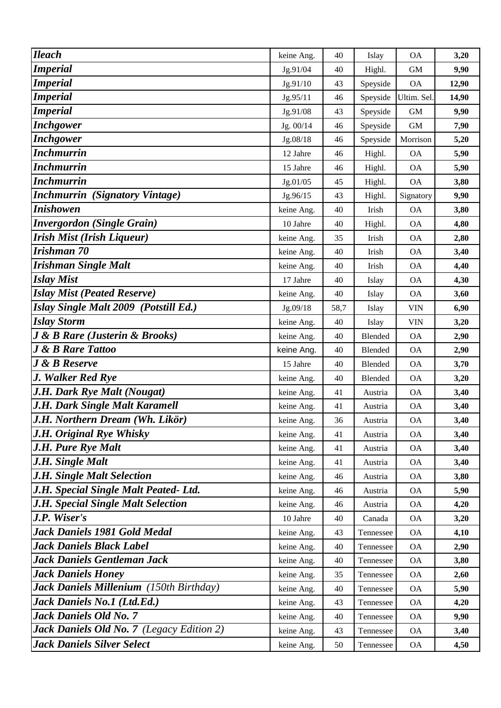| <b>Ileach</b>                                    | keine Ang. | 40   | Islay          | <b>OA</b>   | 3,20  |
|--------------------------------------------------|------------|------|----------------|-------------|-------|
| <b>Imperial</b>                                  | Jg.91/04   | 40   | Highl.         | <b>GM</b>   | 9,90  |
| <b>Imperial</b>                                  | Jg.91/10   | 43   | Speyside       | <b>OA</b>   | 12,90 |
| <b>Imperial</b>                                  | Jg.95/11   | 46   | Speyside       | Ultim. Sel. | 14,90 |
| <b>Imperial</b>                                  | Jg.91/08   | 43   | Speyside       | <b>GM</b>   | 9,90  |
| <b>Inchgower</b>                                 | Jg. 00/14  | 46   | Speyside       | <b>GM</b>   | 7,90  |
| <b>Inchgower</b>                                 | Jg.08/18   | 46   | Speyside       | Morrison    | 5,20  |
| <b>Inchmurrin</b>                                | 12 Jahre   | 46   | Highl.         | <b>OA</b>   | 5,90  |
| <b>Inchmurrin</b>                                | 15 Jahre   | 46   | Highl.         | <b>OA</b>   | 5,90  |
| <b>Inchmurrin</b>                                | Jg.01/05   | 45   | Highl.         | <b>OA</b>   | 3,80  |
| <b>Inchmurrin</b> (Signatory Vintage)            | Jg.96/15   | 43   | Highl.         | Signatory   | 9,90  |
| <b>Inishowen</b>                                 | keine Ang. | 40   | Irish          | <b>OA</b>   | 3,80  |
| <b>Invergordon (Single Grain)</b>                | 10 Jahre   | 40   | Highl.         | <b>OA</b>   | 4,80  |
| <b>Irish Mist (Irish Liqueur)</b>                | keine Ang. | 35   | Irish          | <b>OA</b>   | 2,80  |
| Irishman 70                                      | keine Ang. | 40   | Irish          | <b>OA</b>   | 3,40  |
| <b>Irishman Single Malt</b>                      | keine Ang. | 40   | Irish          | <b>OA</b>   | 4,40  |
| <b>Islay Mist</b>                                | 17 Jahre   | 40   | Islay          | <b>OA</b>   | 4,30  |
| <b>Islay Mist (Peated Reserve)</b>               | keine Ang. | 40   | Islay          | <b>OA</b>   | 3,60  |
| Islay Single Malt 2009 (Potstill Ed.)            | Jg.09/18   | 58,7 | Islay          | <b>VIN</b>  | 6,90  |
| <b>Islay Storm</b>                               | keine Ang. | 40   | Islay          | <b>VIN</b>  | 3,20  |
| <b>J &amp; B Rare (Justerin &amp; Brooks)</b>    | keine Ang. | 40   | <b>Blended</b> | <b>OA</b>   | 2,90  |
| <b>J &amp; B Rare Tattoo</b>                     | keine Ang. | 40   | <b>Blended</b> | <b>OA</b>   | 2,90  |
| <b>J</b> & <b>B</b> Reserve                      | 15 Jahre   | 40   | <b>Blended</b> | <b>OA</b>   | 3,70  |
| J. Walker Red Rye                                | keine Ang. | 40   | Blended        | <b>OA</b>   | 3,20  |
| J.H. Dark Rye Malt (Nougat)                      | keine Ang. | 41   | Austria        | <b>OA</b>   | 3,40  |
| J.H. Dark Single Malt Karamell                   | keine Ang. | 41   | Austria        | <b>OA</b>   | 3,40  |
| J.H. Northern Dream (Wh. Likör)                  | keine Ang. | 36   | Austria        | <b>OA</b>   | 3,40  |
| J.H. Original Rye Whisky                         | keine Ang. | 41   | Austria        | <b>OA</b>   | 3,40  |
| J.H. Pure Rye Malt                               | keine Ang. | 41   | Austria        | <b>OA</b>   | 3,40  |
| J.H. Single Malt                                 | keine Ang. | 41   | Austria        | <b>OA</b>   | 3,40  |
| J.H. Single Malt Selection                       | keine Ang. | 46   | Austria        | <b>OA</b>   | 3,80  |
| J.H. Special Single Malt Peated- Ltd.            | keine Ang. | 46   | Austria        | <b>OA</b>   | 5,90  |
| J.H. Special Single Malt Selection               | keine Ang. | 46   | Austria        | <b>OA</b>   | 4,20  |
| J.P. Wiser's                                     | 10 Jahre   | 40   | Canada         | <b>OA</b>   | 3,20  |
| Jack Daniels 1981 Gold Medal                     | keine Ang. | 43   | Tennessee      | <b>OA</b>   | 4,10  |
| <b>Jack Daniels Black Label</b>                  | keine Ang. | 40   | Tennessee      | <b>OA</b>   | 2,90  |
| Jack Daniels Gentleman Jack                      | keine Ang. | 40   | Tennessee      | <b>OA</b>   | 3,80  |
| <b>Jack Daniels Honey</b>                        | keine Ang. | 35   | Tennessee      | <b>OA</b>   | 2,60  |
| <b>Jack Daniels Millenium</b> (150th Birthday)   | keine Ang. | 40   | Tennessee      | <b>OA</b>   | 5,90  |
| Jack Daniels No.1 (Ltd.Ed.)                      | keine Ang. | 43   | Tennessee      | <b>OA</b>   | 4,20  |
| <b>Jack Daniels Old No. 7</b>                    | keine Ang. | 40   | Tennessee      | <b>OA</b>   | 9,90  |
| <b>Jack Daniels Old No. 7</b> (Legacy Edition 2) | keine Ang. | 43   | Tennessee      | <b>OA</b>   | 3,40  |
| <b>Jack Daniels Silver Select</b>                | keine Ang. | 50   | Tennessee      | <b>OA</b>   | 4,50  |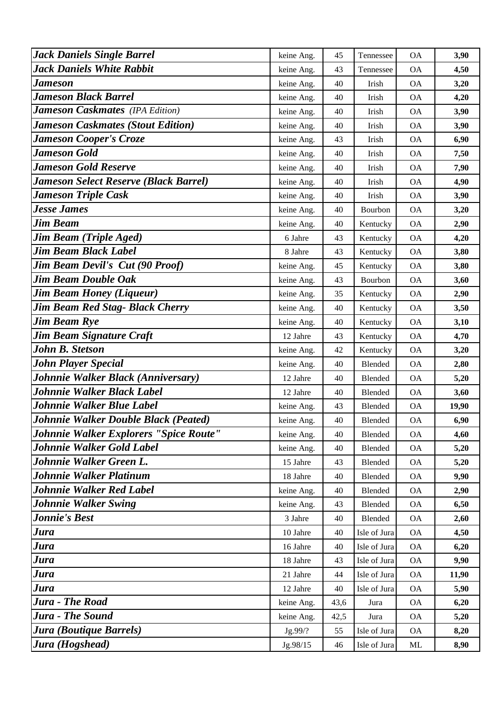| <b>Jack Daniels Single Barrel</b>            | keine Ang. | 45   | Tennessee      | <b>OA</b> | 3,90  |
|----------------------------------------------|------------|------|----------------|-----------|-------|
| <b>Jack Daniels White Rabbit</b>             | keine Ang. | 43   | Tennessee      | <b>OA</b> | 4,50  |
| Jameson                                      | keine Ang. | 40   | Irish          | <b>OA</b> | 3,20  |
| <b>Jameson Black Barrel</b>                  | keine Ang. | 40   | Irish          | <b>OA</b> | 4,20  |
| <b>Jameson Caskmates</b> (IPA Edition)       | keine Ang. | 40   | Irish          | <b>OA</b> | 3,90  |
| <b>Jameson Caskmates (Stout Edition)</b>     | keine Ang. | 40   | Irish          | <b>OA</b> | 3,90  |
| <b>Jameson Cooper's Croze</b>                | keine Ang. | 43   | Irish          | <b>OA</b> | 6,90  |
| <b>Jameson Gold</b>                          | keine Ang. | 40   | Irish          | <b>OA</b> | 7,50  |
| <b>Jameson Gold Reserve</b>                  | keine Ang. | 40   | Irish          | <b>OA</b> | 7,90  |
| <b>Jameson Select Reserve (Black Barrel)</b> | keine Ang. | 40   | Irish          | <b>OA</b> | 4,90  |
| <b>Jameson Triple Cask</b>                   | keine Ang. | 40   | Irish          | <b>OA</b> | 3,90  |
| <b>Jesse James</b>                           | keine Ang. | 40   | Bourbon        | <b>OA</b> | 3,20  |
| <b>Jim Beam</b>                              | keine Ang. | 40   | Kentucky       | <b>OA</b> | 2,90  |
| <b>Jim Beam (Triple Aged)</b>                | 6 Jahre    | 43   | Kentucky       | <b>OA</b> | 4,20  |
| <b>Jim Beam Black Label</b>                  | 8 Jahre    | 43   | Kentucky       | <b>OA</b> | 3,80  |
| <b>Jim Beam Devil's Cut (90 Proof)</b>       | keine Ang. | 45   | Kentucky       | <b>OA</b> | 3,80  |
| <b>Jim Beam Double Oak</b>                   | keine Ang. | 43   | Bourbon        | <b>OA</b> | 3,60  |
| <b>Jim Beam Honey (Liqueur)</b>              | keine Ang. | 35   | Kentucky       | <b>OA</b> | 2,90  |
| <b>Jim Beam Red Stag- Black Cherry</b>       | keine Ang. | 40   | Kentucky       | <b>OA</b> | 3,50  |
| <b>Jim Beam Rye</b>                          | keine Ang. | 40   | Kentucky       | <b>OA</b> | 3,10  |
| Jim Beam Signature Craft                     | 12 Jahre   | 43   | Kentucky       | <b>OA</b> | 4,70  |
| <b>John B. Stetson</b>                       | keine Ang. | 42   | Kentucky       | <b>OA</b> | 3,20  |
| <b>John Player Special</b>                   | keine Ang. | 40   | Blended        | <b>OA</b> | 2,80  |
| Johnnie Walker Black (Anniversary)           | 12 Jahre   | 40   | <b>Blended</b> | <b>OA</b> | 5,20  |
| Johnnie Walker Black Label                   | 12 Jahre   | 40   | <b>Blended</b> | <b>OA</b> | 3,60  |
| <b>Johnnie Walker Blue Label</b>             | keine Ang. | 43   | Blended        | <b>OA</b> | 19,90 |
| Johnnie Walker Double Black (Peated)         | keine Ang. | 40   | Blended        | <b>OA</b> | 6,90  |
| Johnnie Walker Explorers "Spice Route"       | keine Ang. | 40   | <b>Blended</b> | <b>OA</b> | 4,60  |
| <b>Johnnie Walker Gold Label</b>             | keine Ang. | 40   | <b>Blended</b> | <b>OA</b> | 5,20  |
| Johnnie Walker Green L.                      | 15 Jahre   | 43   | Blended        | <b>OA</b> | 5,20  |
| Johnnie Walker Platinum                      | 18 Jahre   | 40   | Blended        | <b>OA</b> | 9,90  |
| <b>Johnnie Walker Red Label</b>              | keine Ang. | 40   | Blended        | <b>OA</b> | 2,90  |
| <b>Johnnie Walker Swing</b>                  | keine Ang. | 43   | Blended        | <b>OA</b> | 6,50  |
| <b>Jonnie's Best</b>                         | 3 Jahre    | 40   | Blended        | <b>OA</b> | 2,60  |
| Jura                                         | 10 Jahre   | 40   | Isle of Jura   | <b>OA</b> | 4,50  |
| <b>Jura</b>                                  | 16 Jahre   | 40   | Isle of Jura   | <b>OA</b> | 6,20  |
| Jura                                         | 18 Jahre   | 43   | Isle of Jura   | <b>OA</b> | 9,90  |
| <b>Jura</b>                                  | 21 Jahre   | 44   | Isle of Jura   | <b>OA</b> | 11,90 |
| <b>Jura</b>                                  | 12 Jahre   | 40   | Isle of Jura   | <b>OA</b> | 5,90  |
| <b>Jura - The Road</b>                       | keine Ang. | 43,6 | Jura           | <b>OA</b> | 6,20  |
| Jura - The Sound                             | keine Ang. | 42,5 | Jura           | <b>OA</b> | 5,20  |
| Jura (Boutique Barrels)                      | Jg.99/?    | 55   | Isle of Jura   | <b>OA</b> | 8,20  |
| Jura (Hogshead)                              | Jg.98/15   | 46   | Isle of Jura   | ML        | 8,90  |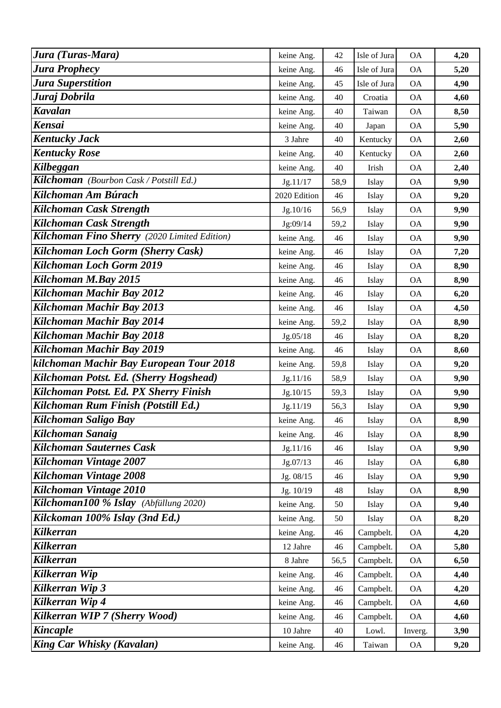| Jura (Turas-Mara)                            | keine Ang.   | 42   | Isle of Jura | <b>OA</b>     | 4,20 |
|----------------------------------------------|--------------|------|--------------|---------------|------|
| <b>Jura Prophecy</b>                         | keine Ang.   | 46   | Isle of Jura | <b>OA</b>     | 5,20 |
| Jura Superstition                            | keine Ang.   | 45   | Isle of Jura | <b>OA</b>     | 4,90 |
| Juraj Dobrila                                | keine Ang.   | 40   | Croatia      | <b>OA</b>     | 4,60 |
| <b>Kavalan</b>                               | keine Ang.   | 40   | Taiwan       | <b>OA</b>     | 8,50 |
| <b>Kensai</b>                                | keine Ang.   | 40   | Japan        | <b>OA</b>     | 5,90 |
| <b>Kentucky Jack</b>                         | 3 Jahre      | 40   | Kentucky     | <b>OA</b>     | 2,60 |
| <b>Kentucky Rose</b>                         | keine Ang.   | 40   | Kentucky     | <b>OA</b>     | 2,60 |
| Kilbeggan                                    | keine Ang.   | 40   | Irish        | <b>OA</b>     | 2,40 |
| Kilchoman (Bourbon Cask / Potstill Ed.)      | Jg.11/17     | 58,9 | Islay        | <b>OA</b>     | 9,90 |
| Kilchoman Am Búrach                          | 2020 Edition | 46   | Islay        | <b>OA</b>     | 9,20 |
| Kilchoman Cask Strength                      | Jg.10/16     | 56,9 | Islay        | <b>OA</b>     | 9,90 |
| Kilchoman Cask Strength                      | Jg:09/14     | 59,2 | Islay        | <b>OA</b>     | 9,90 |
| Kilchoman Fino Sherry (2020 Limited Edition) | keine Ang.   | 46   | Islay        | $\mathsf{OA}$ | 9,90 |
| <b>Kilchoman Loch Gorm (Sherry Cask)</b>     | keine Ang.   | 46   | Islay        | <b>OA</b>     | 7,20 |
| Kilchoman Loch Gorm 2019                     | keine Ang.   | 46   | Islay        | <b>OA</b>     | 8,90 |
| Kilchoman M.Bay 2015                         | keine Ang.   | 46   | Islay        | <b>OA</b>     | 8,90 |
| Kilchoman Machir Bay 2012                    | keine Ang.   | 46   | Islay        | <b>OA</b>     | 6,20 |
| Kilchoman Machir Bay 2013                    | keine Ang.   | 46   | Islay        | <b>OA</b>     | 4,50 |
| Kilchoman Machir Bay 2014                    | keine Ang.   | 59,2 | Islay        | <b>OA</b>     | 8,90 |
| Kilchoman Machir Bay 2018                    | Jg.05/18     | 46   | Islay        | <b>OA</b>     | 8,20 |
| Kilchoman Machir Bay 2019                    | keine Ang.   | 46   | Islay        | $\mathsf{OA}$ | 8,60 |
| kilchoman Machir Bay European Tour 2018      | keine Ang.   | 59,8 | Islay        | <b>OA</b>     | 9,20 |
| Kilchoman Potst. Ed. (Sherry Hogshead)       | Jg.11/16     | 58,9 | Islay        | <b>OA</b>     | 9,90 |
| Kilchoman Potst. Ed. PX Sherry Finish        | Jg.10/15     | 59,3 | Islay        | <b>OA</b>     | 9,90 |
| Kilchoman Rum Finish (Potstill Ed.)          | Jg.11/19     | 56,3 | Islay        | <b>OA</b>     | 9,90 |
| Kilchoman Saligo Bay                         | keine Ang.   | 46   | Islay        | <b>OA</b>     | 8,90 |
| <b>Kilchoman Sanaig</b>                      | keine Ang.   | 46   | Islay        | <b>OA</b>     | 8,90 |
| <b>Kilchoman Sauternes Cask</b>              | Jg.11/16     | 46   | Islay        | <b>OA</b>     | 9,90 |
| Kilchoman Vintage 2007                       | Jg.07/13     | 46   | Islay        | <b>OA</b>     | 6,80 |
| Kilchoman Vintage 2008                       | Jg. 08/15    | 46   | Islay        | <b>OA</b>     | 9,90 |
| Kilchoman Vintage 2010                       | Jg. 10/19    | 48   | Islay        | <b>OA</b>     | 8,90 |
| Kilchoman100 % Islay (Abfüllung 2020)        | keine Ang.   | 50   | Islay        | <b>OA</b>     | 9,40 |
| Kilckoman 100% Islay (3nd Ed.)               | keine Ang.   | 50   | Islay        | <b>OA</b>     | 8,20 |
| <b>Kilkerran</b>                             | keine Ang.   | 46   | Campbelt.    | <b>OA</b>     | 4,20 |
| <b>Kilkerran</b>                             | 12 Jahre     | 46   | Campbelt.    | <b>OA</b>     | 5,80 |
| <b>Kilkerran</b>                             | 8 Jahre      | 56,5 | Campbelt.    | <b>OA</b>     | 6,50 |
| Kilkerran Wip                                | keine Ang.   | 46   | Campbelt.    | <b>OA</b>     | 4,40 |
| <b>Kilkerran Wip 3</b>                       | keine Ang.   | 46   | Campbelt.    | <b>OA</b>     | 4,20 |
| Kilkerran Wip 4                              | keine Ang.   | 46   | Campbelt.    | <b>OA</b>     | 4,60 |
| Kilkerran WIP 7 (Sherry Wood)                | keine Ang.   | 46   | Campbelt.    | <b>OA</b>     | 4,60 |
| <b>Kincaple</b>                              | 10 Jahre     | 40   | Lowl.        | Inverg.       | 3,90 |
| King Car Whisky (Kavalan)                    | keine Ang.   | 46   | Taiwan       | <b>OA</b>     | 9,20 |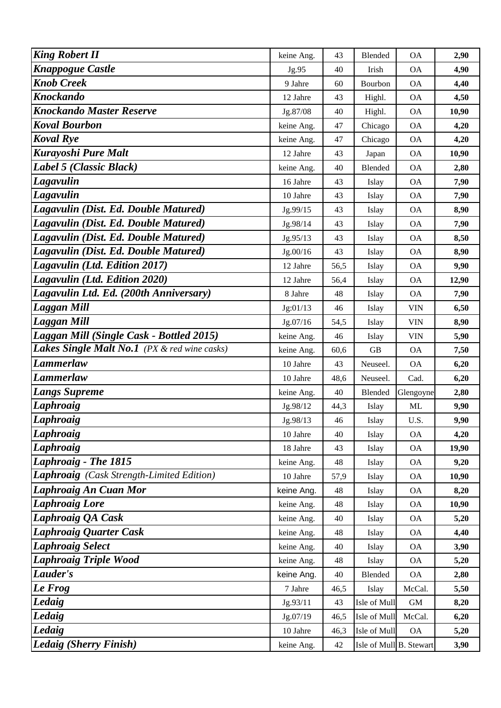| <b>King Robert II</b>                        | keine Ang. | 43   | Blended                 | <b>OA</b>  | 2,90  |
|----------------------------------------------|------------|------|-------------------------|------------|-------|
| <b>Knappogue Castle</b>                      | Jg.95      | 40   | Irish                   | <b>OA</b>  | 4,90  |
| <b>Knob Creek</b>                            | 9 Jahre    | 60   | Bourbon                 | <b>OA</b>  | 4,40  |
| <b>Knockando</b>                             | 12 Jahre   | 43   | Highl.                  | <b>OA</b>  | 4,50  |
| <b>Knockando Master Reserve</b>              | Jg.87/08   | 40   | Highl.                  | <b>OA</b>  | 10,90 |
| <b>Koval Bourbon</b>                         | keine Ang. | 47   | Chicago                 | <b>OA</b>  | 4,20  |
| <b>Koval Rye</b>                             | keine Ang. | 47   | Chicago                 | <b>OA</b>  | 4,20  |
| <b>Kurayoshi Pure Malt</b>                   | 12 Jahre   | 43   | Japan                   | <b>OA</b>  | 10,90 |
| Label 5 (Classic Black)                      | keine Ang. | 40   | Blended                 | <b>OA</b>  | 2,80  |
| Lagavulin                                    | 16 Jahre   | 43   | Islay                   | <b>OA</b>  | 7,90  |
| Lagavulin                                    | 10 Jahre   | 43   | Islay                   | <b>OA</b>  | 7,90  |
| Lagavulin (Dist. Ed. Double Matured)         | Jg.99/15   | 43   | Islay                   | <b>OA</b>  | 8,90  |
| Lagavulin (Dist. Ed. Double Matured)         | Jg.98/14   | 43   | Islay                   | <b>OA</b>  | 7,90  |
| Lagavulin (Dist. Ed. Double Matured)         | Jg.95/13   | 43   | Islay                   | <b>OA</b>  | 8,50  |
| Lagavulin (Dist. Ed. Double Matured)         | Jg.00/16   | 43   | Islay                   | <b>OA</b>  | 8,90  |
| Lagavulin (Ltd. Edition 2017)                | 12 Jahre   | 56,5 | Islay                   | <b>OA</b>  | 9,90  |
| Lagavulin (Ltd. Edition 2020)                | 12 Jahre   | 56,4 | Islay                   | OA         | 12,90 |
| Lagavulin Ltd. Ed. (200th Anniversary)       | 8 Jahre    | 48   | Islay                   | <b>OA</b>  | 7,90  |
| <b>Laggan Mill</b>                           | Jg:01/13   | 46   | Islay                   | <b>VIN</b> | 6,50  |
| Laggan Mill                                  | Jg.07/16   | 54,5 | Islay                   | <b>VIN</b> | 8,90  |
| Laggan Mill (Single Cask - Bottled 2015)     | keine Ang. | 46   | Islay                   | <b>VIN</b> | 5,90  |
| Lakes Single Malt No.1 (PX & red wine casks) | keine Ang. | 60,6 | <b>GB</b>               | <b>OA</b>  | 7,50  |
| <b>Lammerlaw</b>                             | 10 Jahre   | 43   | Neuseel.                | <b>OA</b>  | 6,20  |
| <b>Lammerlaw</b>                             | 10 Jahre   | 48,6 | Neuseel.                | Cad.       | 6,20  |
| <b>Langs Supreme</b>                         | keine Ang. | 40   | Blended                 | Glengoyne  | 2,80  |
| Laphroaig                                    | Jg.98/12   | 44,3 | Islay                   | ML         | 9,90  |
| Laphroaig                                    | Jg.98/13   | 46   | Islay                   | U.S.       | 9,90  |
| <b>Laphroaig</b>                             | 10 Jahre   | 40   | Islay                   | <b>OA</b>  | 4,20  |
| Laphroaig                                    | 18 Jahre   | 43   | Islay                   | <b>OA</b>  | 19,90 |
| Laphroaig - The 1815                         | keine Ang. | 48   | Islay                   | <b>OA</b>  | 9,20  |
| Laphroaig (Cask Strength-Limited Edition)    | 10 Jahre   | 57,9 | Islay                   | <b>OA</b>  | 10,90 |
| Laphroaig An Cuan Mor                        | keine Ang. | 48   | Islay                   | <b>OA</b>  | 8,20  |
| <b>Laphroaig Lore</b>                        | keine Ang. | 48   | Islay                   | <b>OA</b>  | 10,90 |
| Laphroaig QA Cask                            | keine Ang. | 40   | Islay                   | <b>OA</b>  | 5,20  |
| <b>Laphroaig Quarter Cask</b>                | keine Ang. | 48   | Islay                   | <b>OA</b>  | 4,40  |
| Laphroaig Select                             | keine Ang. | 40   | Islay                   | <b>OA</b>  | 3,90  |
| Laphroaig Triple Wood                        | keine Ang. | 48   | Islay                   | <b>OA</b>  | 5,20  |
| Lauder's                                     | keine Ang. | 40   | Blended                 | <b>OA</b>  | 2,80  |
| Le Frog                                      | 7 Jahre    | 46,5 | Islay                   | McCal.     | 5,50  |
| <b>Ledaig</b>                                | Jg.93/11   | 43   | Isle of Mull            | <b>GM</b>  | 8,20  |
| Ledaig                                       | Jg.07/19   | 46,5 | Isle of Mull            | McCal.     | 6,20  |
| Ledaig                                       | 10 Jahre   | 46,3 | Isle of Mull            | <b>OA</b>  | 5,20  |
| <b>Ledaig (Sherry Finish)</b>                | keine Ang. | 42   | Isle of Mull B. Stewart |            | 3,90  |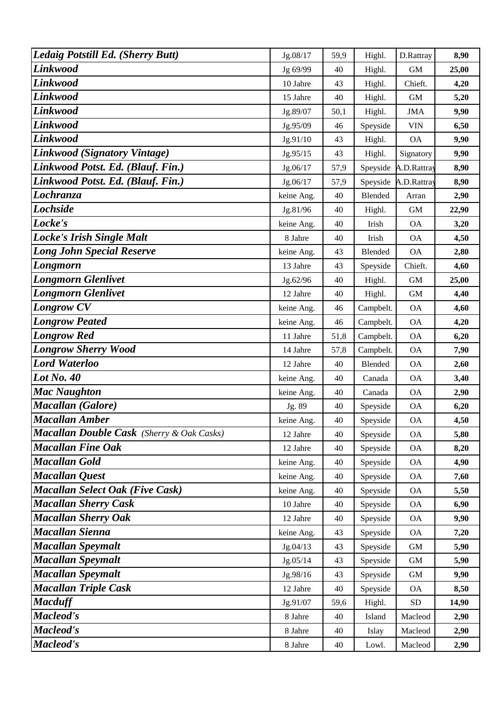| Ledaig Potstill Ed. (Sherry Butt)                | Jg.08/17   | 59,9 | Highl.         | D.Rattray    | 8,90  |
|--------------------------------------------------|------------|------|----------------|--------------|-------|
| Linkwood                                         | Jg 69/99   | 40   | Highl.         | <b>GM</b>    | 25,00 |
| Linkwood                                         | 10 Jahre   | 43   | Highl.         | Chieft.      | 4,20  |
| <b>Linkwood</b>                                  | 15 Jahre   | 40   | Highl.         | <b>GM</b>    | 5,20  |
| <b>Linkwood</b>                                  | Jg.89/07   | 50,1 | Highl.         | <b>JMA</b>   | 9,90  |
| <b>Linkwood</b>                                  | Jg.95/09   | 46   | Speyside       | <b>VIN</b>   | 6,50  |
| Linkwood                                         | Jg.91/10   | 43   | Highl.         | <b>OA</b>    | 9,90  |
| Linkwood (Signatory Vintage)                     | Jg.95/15   | 43   | Highl.         | Signatory    | 9,90  |
| Linkwood Potst. Ed. (Blauf. Fin.)                | Jg.06/17   | 57,9 | Speyside       | A.D.Rattray  | 8,90  |
| Linkwood Potst. Ed. (Blauf. Fin.)                | Jg.06/17   | 57,9 | Speyside       | A.D.Rattray  | 8,90  |
| Lochranza                                        | keine Ang. | 40   | <b>Blended</b> | Arran        | 2,90  |
| <b>Lochside</b>                                  | Jg.81/96   | 40   | Highl.         | <b>GM</b>    | 22,90 |
| Locke's                                          | keine Ang. | 40   | Irish          | <b>OA</b>    | 3,20  |
| <b>Locke's Irish Single Malt</b>                 | 8 Jahre    | 40   | Irish          | <b>OA</b>    | 4,50  |
| <b>Long John Special Reserve</b>                 | keine Ang. | 43   | <b>Blended</b> | <b>OA</b>    | 2,80  |
| Longmorn                                         | 13 Jahre   | 43   | Speyside       | Chieft.      | 4,60  |
| <b>Longmorn Glenlivet</b>                        | Jg.62/96   | 40   | Highl.         | <b>GM</b>    | 25,00 |
| <b>Longmorn Glenlivet</b>                        | 12 Jahre   | 40   | Highl.         | <b>GM</b>    | 4,40  |
| <b>Longrow CV</b>                                | keine Ang. | 46   | Campbelt.      | <b>OA</b>    | 4,60  |
| <b>Longrow Peated</b>                            | keine Ang. | 46   | Campbelt.      | <b>OA</b>    | 4,20  |
| <b>Longrow Red</b>                               | 11 Jahre   | 51,8 | Campbelt.      | <b>OA</b>    | 6,20  |
| <b>Longrow Sherry Wood</b>                       | 14 Jahre   | 57,8 | Campbelt.      | <b>OA</b>    | 7,90  |
| <b>Lord Waterloo</b>                             | 12 Jahre   | 40   | <b>Blended</b> | <b>OA</b>    | 2,60  |
| Lot No. 40                                       | keine Ang. | 40   | Canada         | <b>OA</b>    | 3,40  |
| <b>Mac Naughton</b>                              | keine Ang. | 40   | Canada         | <b>OA</b>    | 2,90  |
| <b>Macallan</b> (Galore)                         | Jg. 89     | 40   | Speyside       | <b>OA</b>    | 6,20  |
| <b>Macallan Amber</b>                            | keine Ang. | 40   | Speyside       | <b>OA</b>    | 4,50  |
| <b>Macallan Double Cask</b> (Sherry & Oak Casks) | 12 Jahre   | 40   | Speyside       | <b>OA</b>    | 5,80  |
| <b>Macallan Fine Oak</b>                         | 12 Jahre   | 40   | Speyside       | <b>OA</b>    | 8,20  |
| <b>Macallan Gold</b>                             | keine Ang. | 40   | Speyside       | <b>OA</b>    | 4,90  |
| <b>Macallan Quest</b>                            | keine Ang. | 40   | Speyside       | <b>OA</b>    | 7,60  |
| <b>Macallan Select Oak (Five Cask)</b>           | keine Ang. | 40   | Speyside       | <b>OA</b>    | 5,50  |
| <b>Macallan Sherry Cask</b>                      | 10 Jahre   | 40   | Speyside       | <b>OA</b>    | 6,90  |
| <b>Macallan Sherry Oak</b>                       | 12 Jahre   | 40   | Speyside       | <b>OA</b>    | 9,90  |
| <b>Macallan Sienna</b>                           | keine Ang. | 43   | Speyside       | <b>OA</b>    | 7,20  |
| <b>Macallan Speymalt</b>                         | Jg.04/13   | 43   | Speyside       | $\,$ GM $\,$ | 5,90  |
| <b>Macallan Speymalt</b>                         | Jg.05/14   | 43   | Speyside       | $\mbox{GM}$  | 5,90  |
| <b>Macallan Speymalt</b>                         | Jg.98/16   | 43   | Speyside       | <b>GM</b>    | 9,90  |
| <b>Macallan Triple Cask</b>                      | 12 Jahre   | 40   | Speyside       | <b>OA</b>    | 8,50  |
| <b>Macduff</b>                                   | Jg.91/07   | 59,6 | Highl.         | <b>SD</b>    | 14,90 |
| Macleod's                                        | 8 Jahre    | 40   | Island         | Macleod      | 2,90  |
| Macleod's                                        | 8 Jahre    | 40   | Islay          | Macleod      | 2,90  |
| Macleod's                                        | 8 Jahre    | 40   | Lowl.          | Macleod      | 2,90  |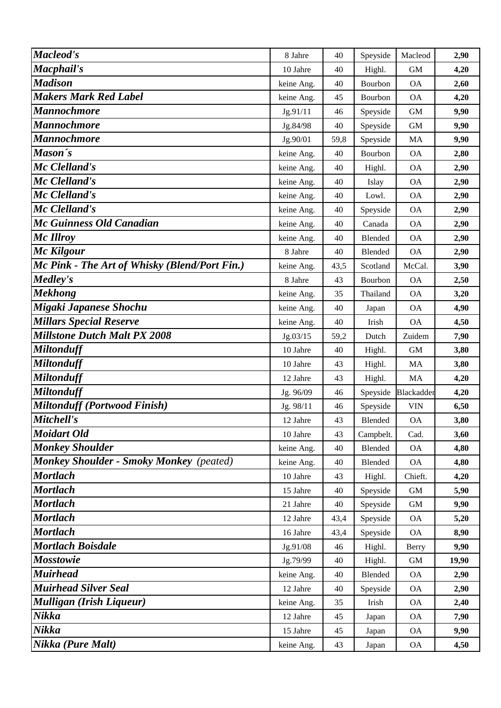| <b>Macleod's</b>                               | 8 Jahre    | 40   | Speyside  | Macleod      | 2,90  |
|------------------------------------------------|------------|------|-----------|--------------|-------|
| Macphail's                                     | 10 Jahre   | 40   | Highl.    | <b>GM</b>    | 4,20  |
| <b>Madison</b>                                 | keine Ang. | 40   | Bourbon   | <b>OA</b>    | 2,60  |
| <b>Makers Mark Red Label</b>                   | keine Ang. | 45   | Bourbon   | <b>OA</b>    | 4,20  |
| <b>Mannochmore</b>                             | Jg.91/11   | 46   | Speyside  | <b>GM</b>    | 9,90  |
| <b>Mannochmore</b>                             | Jg.84/98   | 40   | Speyside  | $\,$ GM $\,$ | 9,90  |
| <b>Mannochmore</b>                             | Jg.90/01   | 59,8 | Speyside  | MA           | 9,90  |
| Mason's                                        | keine Ang. | 40   | Bourbon   | <b>OA</b>    | 2,80  |
| Mc Clelland's                                  | keine Ang. | 40   | Highl.    | <b>OA</b>    | 2,90  |
| Mc Clelland's                                  | keine Ang. | 40   | Islay     | <b>OA</b>    | 2,90  |
| Mc Clelland's                                  | keine Ang. | 40   | Lowl.     | <b>OA</b>    | 2,90  |
| Mc Clelland's                                  | keine Ang. | 40   | Speyside  | <b>OA</b>    | 2,90  |
| Mc Guinness Old Canadian                       | keine Ang. | 40   | Canada    | <b>OA</b>    | 2,90  |
| Mc Illroy                                      | keine Ang. | 40   | Blended   | <b>OA</b>    | 2,90  |
| Mc Kilgour                                     | 8 Jahre    | 40   | Blended   | <b>OA</b>    | 2,90  |
| Mc Pink - The Art of Whisky (Blend/Port Fin.)  | keine Ang. | 43,5 | Scotland  | McCal.       | 3,90  |
| Medley's                                       | 8 Jahre    | 43   | Bourbon   | <b>OA</b>    | 2,50  |
| <b>Mekhong</b>                                 | keine Ang. | 35   | Thailand  | <b>OA</b>    | 3,20  |
| Migaki Japanese Shochu                         | keine Ang. | 40   | Japan     | <b>OA</b>    | 4,90  |
| <b>Millars Special Reserve</b>                 | keine Ang. | 40   | Irish     | <b>OA</b>    | 4,50  |
| <b>Millstone Dutch Malt PX 2008</b>            | Jg.03/15   | 59,2 | Dutch     | Zuidem       | 7,90  |
| <b>Miltonduff</b>                              | 10 Jahre   | 40   | Highl.    | <b>GM</b>    | 3,80  |
| <b>Miltonduff</b>                              | 10 Jahre   | 43   | Highl.    | MA           | 3,80  |
| <b>Miltonduff</b>                              | 12 Jahre   | 43   | Highl.    | <b>MA</b>    | 4,20  |
| <b>Miltonduff</b>                              | Jg. 96/09  | 46   | Speyside  | Blackadder   | 4,20  |
| <b>Miltonduff (Portwood Finish)</b>            | Jg. 98/11  | 46   | Speyside  | <b>VIN</b>   | 6,50  |
| Mitchell's                                     | 12 Jahre   | 43   | Blended   | <b>OA</b>    | 3,80  |
| <b>Moidart Old</b>                             | 10 Jahre   | 43   | Campbelt. | Cad.         | 3,60  |
| <b>Monkey Shoulder</b>                         | keine Ang. | 40   | Blended   | <b>OA</b>    | 4,80  |
| <b>Monkey Shoulder - Smoky Monkey</b> (peated) | keine Ang. | 40   | Blended   | <b>OA</b>    | 4,80  |
| <b>Mortlach</b>                                | 10 Jahre   | 43   | Highl.    | Chieft.      | 4,20  |
| <b>Mortlach</b>                                | 15 Jahre   | 40   | Speyside  | <b>GM</b>    | 5,90  |
| <b>Mortlach</b>                                | 21 Jahre   | 40   | Speyside  | $\,$ GM $\,$ | 9,90  |
| <b>Mortlach</b>                                | 12 Jahre   | 43,4 | Speyside  | <b>OA</b>    | 5,20  |
| <b>Mortlach</b>                                | 16 Jahre   | 43,4 | Speyside  | <b>OA</b>    | 8,90  |
| <b>Mortlach Boisdale</b>                       | Jg.91/08   | 46   | Highl.    | Berry        | 9,90  |
| <b>Mosstowie</b>                               | Jg.79/99   | 40   | Highl.    | <b>GM</b>    | 19,90 |
| <b>Muirhead</b>                                | keine Ang. | 40   | Blended   | <b>OA</b>    | 2,90  |
| <b>Muirhead Silver Seal</b>                    | 12 Jahre   | 40   | Speyside  | <b>OA</b>    | 2,90  |
| <b>Mulligan (Irish Liqueur)</b>                | keine Ang. | 35   | Irish     | <b>OA</b>    | 2,40  |
| Nikka                                          | 12 Jahre   | 45   | Japan     | <b>OA</b>    | 7,90  |
| Nikka                                          | 15 Jahre   | 45   | Japan     | OA           | 9,90  |
| Nikka (Pure Malt)                              | keine Ang. | 43   | Japan     | <b>OA</b>    | 4,50  |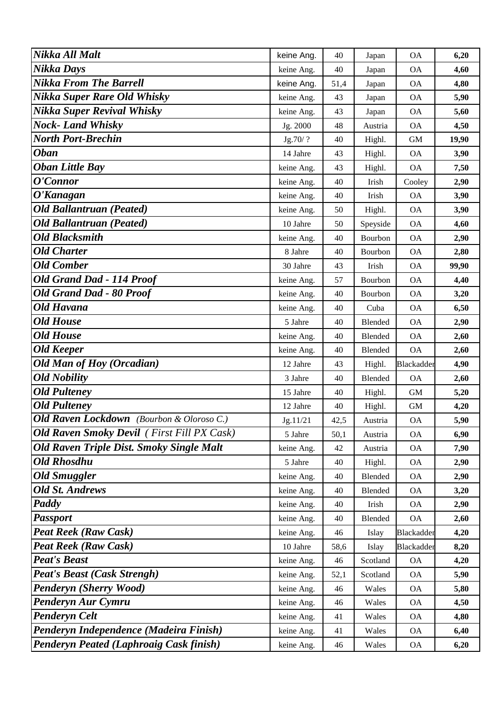| Nikka All Malt                                    | keine Ang. | 40   | Japan          | <b>OA</b>  | 6,20  |
|---------------------------------------------------|------------|------|----------------|------------|-------|
| Nikka Days                                        | keine Ang. | 40   | Japan          | <b>OA</b>  | 4,60  |
| <b>Nikka From The Barrell</b>                     | keine Ang. | 51,4 | Japan          | <b>OA</b>  | 4,80  |
| <b>Nikka Super Rare Old Whisky</b>                | keine Ang. | 43   | Japan          | <b>OA</b>  | 5,90  |
| <b>Nikka Super Revival Whisky</b>                 | keine Ang. | 43   | Japan          | <b>OA</b>  | 5,60  |
| <b>Nock-Land Whisky</b>                           | Jg. 2000   | 48   | Austria        | <b>OA</b>  | 4,50  |
| <b>North Port-Brechin</b>                         | Jg.70/?    | 40   | Highl.         | <b>GM</b>  | 19,90 |
| <b>Oban</b>                                       | 14 Jahre   | 43   | Highl.         | <b>OA</b>  | 3,90  |
| <b>Oban Little Bay</b>                            | keine Ang. | 43   | Highl.         | <b>OA</b>  | 7,50  |
| O'Connor                                          | keine Ang. | 40   | Irish          | Cooley     | 2,90  |
| O'Kanagan                                         | keine Ang. | 40   | Irish          | <b>OA</b>  | 3,90  |
| <b>Old Ballantruan (Peated)</b>                   | keine Ang. | 50   | Highl.         | <b>OA</b>  | 3,90  |
| <b>Old Ballantruan (Peated)</b>                   | 10 Jahre   | 50   | Speyside       | <b>OA</b>  | 4,60  |
| <b>Old Blacksmith</b>                             | keine Ang. | 40   | Bourbon        | <b>OA</b>  | 2,90  |
| <b>Old Charter</b>                                | 8 Jahre    | 40   | Bourbon        | <b>OA</b>  | 2,80  |
| <b>Old Comber</b>                                 | 30 Jahre   | 43   | Irish          | <b>OA</b>  | 99,90 |
| Old Grand Dad - 114 Proof                         | keine Ang. | 57   | Bourbon        | <b>OA</b>  | 4,40  |
| <b>Old Grand Dad - 80 Proof</b>                   | keine Ang. | 40   | Bourbon        | <b>OA</b>  | 3,20  |
| <b>Old Havana</b>                                 | keine Ang. | 40   | Cuba           | <b>OA</b>  | 6,50  |
| <b>Old House</b>                                  | 5 Jahre    | 40   | Blended        | <b>OA</b>  | 2,90  |
| <b>Old House</b>                                  | keine Ang. | 40   | Blended        | <b>OA</b>  | 2,60  |
| <b>Old Keeper</b>                                 | keine Ang. | 40   | Blended        | <b>OA</b>  | 2,60  |
| Old Man of Hoy (Orcadian)                         | 12 Jahre   | 43   | Highl.         | Blackadder | 4,90  |
| <b>Old Nobility</b>                               | 3 Jahre    | 40   | Blended        | <b>OA</b>  | 2,60  |
| <b>Old Pulteney</b>                               | 15 Jahre   | 40   | Highl.         | <b>GM</b>  | 5,20  |
| <b>Old Pulteney</b>                               | 12 Jahre   | 40   | Highl.         | <b>GM</b>  | 4,20  |
| <b>Old Raven Lockdown</b> (Bourbon & Oloroso C.)  | Jg.11/21   | 42,5 | Austria        | <b>OA</b>  | 5,90  |
| <b>Old Raven Smoky Devil</b> (First Fill PX Cask) | 5 Jahre    | 50,1 | Austria        | <b>OA</b>  | 6,90  |
| <b>Old Raven Triple Dist. Smoky Single Malt</b>   | keine Ang. | 42   | Austria        | <b>OA</b>  | 7,90  |
| <b>Old Rhosdhu</b>                                | 5 Jahre    | 40   | Highl.         | <b>OA</b>  | 2,90  |
| <b>Old Smuggler</b>                               | keine Ang. | 40   | <b>Blended</b> | <b>OA</b>  | 2,90  |
| <b>Old St. Andrews</b>                            | keine Ang. | 40   | Blended        | <b>OA</b>  | 3,20  |
| Paddy                                             | keine Ang. | 40   | Irish          | <b>OA</b>  | 2,90  |
| <b>Passport</b>                                   | keine Ang. | 40   | Blended        | <b>OA</b>  | 2,60  |
| <b>Peat Reek (Raw Cask)</b>                       | keine Ang. | 46   | Islay          | Blackadder | 4,20  |
| <b>Peat Reek (Raw Cask)</b>                       | 10 Jahre   | 58,6 | Islay          | Blackadder | 8,20  |
| <b>Peat's Beast</b>                               | keine Ang. | 46   | Scotland       | <b>OA</b>  | 4,20  |
| <b>Peat's Beast (Cask Strengh)</b>                | keine Ang. | 52,1 | Scotland       | <b>OA</b>  | 5,90  |
| <b>Penderyn (Sherry Wood)</b>                     | keine Ang. | 46   | Wales          | <b>OA</b>  | 5,80  |
| Penderyn Aur Cymru                                | keine Ang. | 46   | Wales          | <b>OA</b>  | 4,50  |
| <b>Penderyn Celt</b>                              | keine Ang. | 41   | Wales          | <b>OA</b>  | 4,80  |
| Penderyn Independence (Madeira Finish)            | keine Ang. | 41   | Wales          | <b>OA</b>  | 6,40  |
| Penderyn Peated (Laphroaig Cask finish)           | keine Ang. | 46   | Wales          | <b>OA</b>  | 6,20  |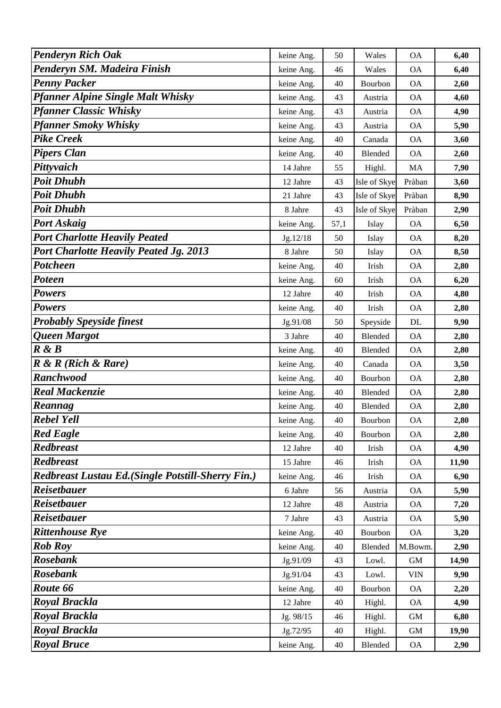| <b>Penderyn Rich Oak</b>                          | keine Ang. | 50   | Wales        | <b>OA</b>                 | 6,40  |
|---------------------------------------------------|------------|------|--------------|---------------------------|-------|
| Penderyn SM. Madeira Finish                       | keine Ang. | 46   | Wales        | <b>OA</b>                 | 6,40  |
| <b>Penny Packer</b>                               | keine Ang. | 40   | Bourbon      | <b>OA</b>                 | 2,60  |
| <b>Pfanner Alpine Single Malt Whisky</b>          | keine Ang. | 43   | Austria      | <b>OA</b>                 | 4,60  |
| <b>Pfanner Classic Whisky</b>                     | keine Ang. | 43   | Austria      | <b>OA</b>                 | 4,90  |
| <b>Pfanner Smoky Whisky</b>                       | keine Ang. | 43   | Austria      | <b>OA</b>                 | 5,90  |
| <b>Pike Creek</b>                                 | keine Ang. | 40   | Canada       | <b>OA</b>                 | 3,60  |
| <b>Pipers Clan</b>                                | keine Ang. | 40   | Blended      | <b>OA</b>                 | 2,60  |
| Pittyvaich                                        | 14 Jahre   | 55   | Highl.       | MA                        | 7,90  |
| <b>Poit Dhubh</b>                                 | 12 Jahre   | 43   | Isle of Skye | Pràban                    | 3,60  |
| <b>Poit Dhubh</b>                                 | 21 Jahre   | 43   | Isle of Skye | Pràban                    | 8,90  |
| <b>Poit Dhubh</b>                                 | 8 Jahre    | 43   | Isle of Skye | Pràban                    | 2,90  |
| <b>Port Askaig</b>                                | keine Ang. | 57,1 | Islay        | <b>OA</b>                 | 6,50  |
| <b>Port Charlotte Heavily Peated</b>              | Jg.12/18   | 50   | Islay        | <b>OA</b>                 | 8,20  |
| <b>Port Charlotte Heavily Peated Jg. 2013</b>     | 8 Jahre    | 50   | Islay        | <b>OA</b>                 | 8,50  |
| <b>Potcheen</b>                                   | keine Ang. | 40   | Irish        | <b>OA</b>                 | 2,80  |
| Poteen                                            | keine Ang. | 60   | Irish        | <b>OA</b>                 | 6,20  |
| <b>Powers</b>                                     | 12 Jahre   | 40   | Irish        | <b>OA</b>                 | 4,80  |
| <b>Powers</b>                                     | keine Ang. | 40   | Irish        | <b>OA</b>                 | 2,80  |
| <b>Probably Speyside finest</b>                   | Jg.91/08   | 50   | Speyside     | DL                        | 9,90  |
| Queen Margot                                      | 3 Jahre    | 40   | Blended      | <b>OA</b>                 | 2,80  |
| R & B                                             | keine Ang. | 40   | Blended      | <b>OA</b>                 | 2,80  |
| $R \& R$ (Rich $\&$ Rare)                         | keine Ang. | 40   | Canada       | <b>OA</b>                 | 3,50  |
| <b>Ranchwood</b>                                  | keine Ang. | 40   | Bourbon      | <b>OA</b>                 | 2,80  |
| <b>Real Mackenzie</b>                             | keine Ang. | 40   | Blended      | <b>OA</b>                 | 2,80  |
| Reannag                                           | keine Ang. | 40   | Blended      | <b>OA</b>                 | 2,80  |
| <b>Rebel Yell</b>                                 | keine Ang. | 40   | Bourbon      | <b>OA</b>                 | 2,80  |
| <b>Red Eagle</b>                                  | keine Ang. | 40   | Bourbon      | <b>OA</b>                 | 2,80  |
| <b>Redbreast</b>                                  | 12 Jahre   | 40   | Irish        | <b>OA</b>                 | 4,90  |
| <b>Redbreast</b>                                  | 15 Jahre   | 46   | Irish        | <b>OA</b>                 | 11,90 |
| Redbreast Lustau Ed.(Single Potstill-Sherry Fin.) | keine Ang. | 46   | Irish        | <b>OA</b>                 | 6,90  |
| <b>Reisetbauer</b>                                | 6 Jahre    | 56   | Austria      | <b>OA</b>                 | 5,90  |
| <b>Reisetbauer</b>                                | 12 Jahre   | 48   | Austria      | <b>OA</b>                 | 7,20  |
| <b>Reisetbauer</b>                                | 7 Jahre    | 43   | Austria      | <b>OA</b>                 | 5,90  |
| <b>Rittenhouse Rye</b>                            | keine Ang. | 40   | Bourbon      | <b>OA</b>                 | 3,20  |
| <b>Rob Roy</b>                                    | keine Ang. | 40   | Blended      | M.Bowm.                   | 2,90  |
| <b>Rosebank</b>                                   | Jg.91/09   | 43   | Lowl.        | <b>GM</b>                 | 14,90 |
| <b>Rosebank</b>                                   | Jg.91/04   | 43   | Lowl.        | $\ensuremath{\text{VIN}}$ | 9,90  |
| Route 66                                          | keine Ang. | 40   | Bourbon      | <b>OA</b>                 | 2,20  |
| <b>Royal Brackla</b>                              | 12 Jahre   | 40   | Highl.       | <b>OA</b>                 | 4,90  |
| <b>Royal Brackla</b>                              | Jg. 98/15  | 46   | Highl.       | <b>GM</b>                 | 6,80  |
| <b>Royal Brackla</b>                              | Jg.72/95   | 40   | Highl.       | <b>GM</b>                 | 19,90 |
| <b>Royal Bruce</b>                                | keine Ang. | 40   | Blended      | <b>OA</b>                 | 2,90  |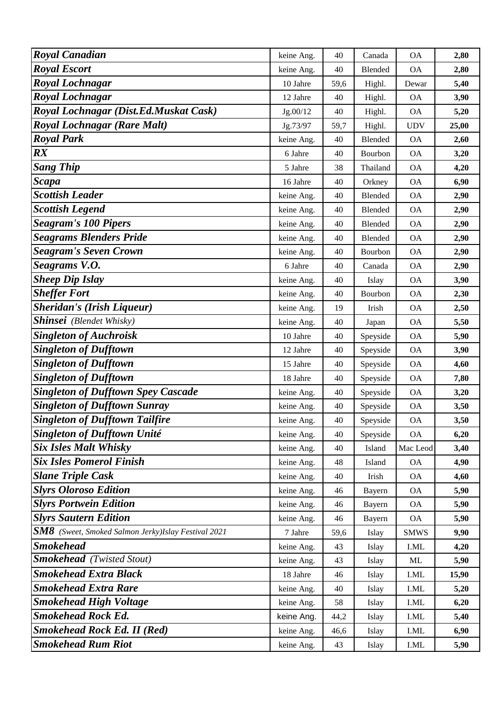| <b>Royal Canadian</b>                                      | keine Ang. | 40   | Canada         | <b>OA</b>             | 2,80  |
|------------------------------------------------------------|------------|------|----------------|-----------------------|-------|
| <b>Royal Escort</b>                                        | keine Ang. | 40   | Blended        | <b>OA</b>             | 2,80  |
| <b>Royal Lochnagar</b>                                     | 10 Jahre   | 59,6 | Highl.         | Dewar                 | 5,40  |
| <b>Royal Lochnagar</b>                                     | 12 Jahre   | 40   | Highl.         | <b>OA</b>             | 3,90  |
| Royal Lochnagar (Dist.Ed.Muskat Cask)                      | Jg.00/12   | 40   | Highl.         | <b>OA</b>             | 5,20  |
| <b>Royal Lochnagar (Rare Malt)</b>                         | Jg.73/97   | 59,7 | Highl.         | <b>UDV</b>            | 25,00 |
| <b>Royal Park</b>                                          | keine Ang. | 40   | <b>Blended</b> | <b>OA</b>             | 2,60  |
| $\boldsymbol{R} \boldsymbol{X}$                            | 6 Jahre    | 40   | Bourbon        | <b>OA</b>             | 3,20  |
| <b>Sang Thip</b>                                           | 5 Jahre    | 38   | Thailand       | <b>OA</b>             | 4,20  |
| <b>Scapa</b>                                               | 16 Jahre   | 40   | Orkney         | <b>OA</b>             | 6,90  |
| <b>Scottish Leader</b>                                     | keine Ang. | 40   | Blended        | <b>OA</b>             | 2,90  |
| <b>Scottish Legend</b>                                     | keine Ang. | 40   | Blended        | <b>OA</b>             | 2,90  |
| <b>Seagram's 100 Pipers</b>                                | keine Ang. | 40   | Blended        | <b>OA</b>             | 2,90  |
| <b>Seagrams Blenders Pride</b>                             | keine Ang. | 40   | Blended        | <b>OA</b>             | 2,90  |
| <b>Seagram's Seven Crown</b>                               | keine Ang. | 40   | Bourbon        | <b>OA</b>             | 2,90  |
| Seagrams V.O.                                              | 6 Jahre    | 40   | Canada         | <b>OA</b>             | 2,90  |
| <b>Sheep Dip Islay</b>                                     | keine Ang. | 40   | Islay          | <b>OA</b>             | 3,90  |
| <b>Sheffer Fort</b>                                        | keine Ang. | 40   | Bourbon        | <b>OA</b>             | 2,30  |
| <b>Sheridan's (Irish Liqueur)</b>                          | keine Ang. | 19   | Irish          | <b>OA</b>             | 2,50  |
| <b>Shinsei</b> (Blendet Whisky)                            | keine Ang. | 40   | Japan          | <b>OA</b>             | 5,50  |
| <b>Singleton of Auchroisk</b>                              | 10 Jahre   | 40   | Speyside       | <b>OA</b>             | 5,90  |
| <b>Singleton of Dufftown</b>                               | 12 Jahre   | 40   | Speyside       | <b>OA</b>             | 3,90  |
| <b>Singleton of Dufftown</b>                               | 15 Jahre   | 40   | Speyside       | <b>OA</b>             | 4,60  |
| <b>Singleton of Dufftown</b>                               | 18 Jahre   | 40   | Speyside       | <b>OA</b>             | 7,80  |
| <b>Singleton of Dufftown Spey Cascade</b>                  | keine Ang. | 40   | Speyside       | <b>OA</b>             | 3,20  |
| <b>Singleton of Dufftown Sunray</b>                        | keine Ang. | 40   | Speyside       | <b>OA</b>             | 3,50  |
| <b>Singleton of Dufftown Tailfire</b>                      | keine Ang. | 40   | Speyside       | <b>OA</b>             | 3,50  |
| <b>Singleton of Dufftown Unité</b>                         | keine Ang. | 40   | Speyside       | <b>OA</b>             | 6,20  |
| <b>Six Isles Malt Whisky</b>                               | keine Ang. | 40   | Island         | Mac Leod              | 3,40  |
| <b>Six Isles Pomerol Finish</b>                            | keine Ang. | 48   | Island         | <b>OA</b>             | 4,90  |
| <b>Slane Triple Cask</b>                                   | keine Ang. | 40   | Irish          | <b>OA</b>             | 4,60  |
| <b>Slyrs Oloroso Edition</b>                               | keine Ang. | 46   | Bayern         | <b>OA</b>             | 5,90  |
| <b>Slyrs Portwein Edition</b>                              | keine Ang. | 46   | Bayern         | <b>OA</b>             | 5,90  |
| <b>Slyrs Sautern Edition</b>                               | keine Ang. | 46   | Bayern         | <b>OA</b>             | 5,90  |
| <b>SM8</b> (Sweet, Smoked Salmon Jerky)Islay Festival 2021 | 7 Jahre    | 59,6 | Islay          | <b>SMWS</b>           | 9,90  |
| <b>Smokehead</b>                                           | keine Ang. | 43   | Islay          | I.ML                  | 4,20  |
| <b>Smokehead</b> (Twisted Stout)                           | keine Ang. | 43   | Islay          | ML                    | 5,90  |
| <b>Smokehead Extra Black</b>                               | 18 Jahre   | 46   | Islay          | I.ML                  | 15,90 |
| <b>Smokehead Extra Rare</b>                                | keine Ang. | 40   | Islay          | I.ML                  | 5,20  |
| <b>Smokehead High Voltage</b>                              | keine Ang. | 58   | Islay          | I.ML                  | 6,20  |
| <b>Smokehead Rock Ed.</b>                                  | keine Ang. | 44,2 | Islay          | $\operatorname{I.ML}$ | 5,40  |
| <b>Smokehead Rock Ed. II (Red)</b>                         | keine Ang. | 46,6 | Islay          | I.ML                  | 6,90  |
| <b>Smokehead Rum Riot</b>                                  | keine Ang. | 43   | Islay          | I.ML                  | 5,90  |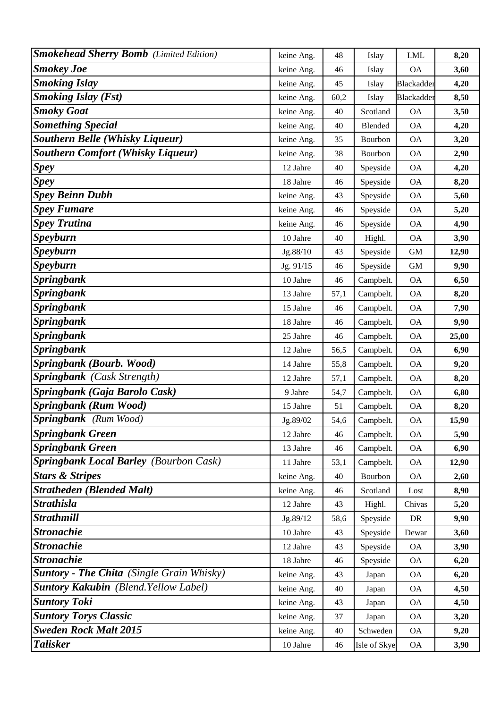| <b>Smokehead Sherry Bomb</b> (Limited Edition)   | keine Ang. | 48   | Islay        | I.ML       | 8,20  |
|--------------------------------------------------|------------|------|--------------|------------|-------|
| <b>Smokey Joe</b>                                | keine Ang. | 46   | Islay        | <b>OA</b>  | 3,60  |
| <b>Smoking Islay</b>                             | keine Ang. | 45   | Islay        | Blackadder | 4,20  |
| <b>Smoking Islay (Fst)</b>                       | keine Ang. | 60,2 | Islay        | Blackadder | 8,50  |
| <b>Smoky Goat</b>                                | keine Ang. | 40   | Scotland     | <b>OA</b>  | 3,50  |
| <b>Something Special</b>                         | keine Ang. | 40   | Blended      | <b>OA</b>  | 4,20  |
| <b>Southern Belle (Whisky Liqueur)</b>           | keine Ang. | 35   | Bourbon      | <b>OA</b>  | 3,20  |
| <b>Southern Comfort (Whisky Liqueur)</b>         | keine Ang. | 38   | Bourbon      | <b>OA</b>  | 2,90  |
| <b>Spey</b>                                      | 12 Jahre   | 40   | Speyside     | <b>OA</b>  | 4,20  |
| <b>Spey</b>                                      | 18 Jahre   | 46   | Speyside     | <b>OA</b>  | 8,20  |
| <b>Spey Beinn Dubh</b>                           | keine Ang. | 43   | Speyside     | <b>OA</b>  | 5,60  |
| <b>Spey Fumare</b>                               | keine Ang. | 46   | Speyside     | <b>OA</b>  | 5,20  |
| <b>Spey Trutina</b>                              | keine Ang. | 46   | Speyside     | <b>OA</b>  | 4,90  |
| <b>Speyburn</b>                                  | 10 Jahre   | 40   | Highl.       | <b>OA</b>  | 3,90  |
| <b>Speyburn</b>                                  | Jg.88/10   | 43   | Speyside     | <b>GM</b>  | 12,90 |
| <b>Speyburn</b>                                  | Jg. 91/15  | 46   | Speyside     | <b>GM</b>  | 9,90  |
| <b>Springbank</b>                                | 10 Jahre   | 46   | Campbelt.    | <b>OA</b>  | 6,50  |
| <b>Springbank</b>                                | 13 Jahre   | 57,1 | Campbelt.    | <b>OA</b>  | 8,20  |
| <b>Springbank</b>                                | 15 Jahre   | 46   | Campbelt.    | <b>OA</b>  | 7,90  |
| <b>Springbank</b>                                | 18 Jahre   | 46   | Campbelt.    | <b>OA</b>  | 9,90  |
| <b>Springbank</b>                                | 25 Jahre   | 46   | Campbelt.    | <b>OA</b>  | 25,00 |
| <b>Springbank</b>                                | 12 Jahre   | 56,5 | Campbelt.    | <b>OA</b>  | 6,90  |
| <b>Springbank (Bourb. Wood)</b>                  | 14 Jahre   | 55,8 | Campbelt.    | <b>OA</b>  | 9,20  |
| Springbank (Cask Strength)                       | 12 Jahre   | 57,1 | Campbelt.    | <b>OA</b>  | 8,20  |
| Springbank (Gaja Barolo Cask)                    | 9 Jahre    | 54,7 | Campbelt.    | <b>OA</b>  | 6,80  |
| <b>Springbank (Rum Wood)</b>                     | 15 Jahre   | 51   | Campbelt.    | <b>OA</b>  | 8,20  |
| Springbank (Rum Wood)                            | Jg.89/02   | 54,6 | Campbelt.    | <b>OA</b>  | 15,90 |
| <b>Springbank Green</b>                          | 12 Jahre   | 46   | Campbelt.    | <b>OA</b>  | 5,90  |
| <b>Springbank Green</b>                          | 13 Jahre   | 46   | Campbelt.    | <b>OA</b>  | 6,90  |
| <b>Springbank Local Barley (Bourbon Cask)</b>    | 11 Jahre   | 53,1 | Campbelt.    | <b>OA</b>  | 12,90 |
| <b>Stars &amp; Stripes</b>                       | keine Ang. | 40   | Bourbon      | <b>OA</b>  | 2,60  |
| <b>Stratheden (Blended Malt)</b>                 | keine Ang. | 46   | Scotland     | Lost       | 8,90  |
| <b>Strathisla</b>                                | 12 Jahre   | 43   | Highl.       | Chivas     | 5,20  |
| <b>Strathmill</b>                                | Jg.89/12   | 58,6 | Speyside     | DR         | 9,90  |
| <b>Stronachie</b>                                | 10 Jahre   | 43   | Speyside     | Dewar      | 3,60  |
| <b>Stronachie</b>                                | 12 Jahre   | 43   | Speyside     | <b>OA</b>  | 3,90  |
| <b>Stronachie</b>                                | 18 Jahre   | 46   | Speyside     | <b>OA</b>  | 6,20  |
| <b>Suntory - The Chita</b> (Single Grain Whisky) | keine Ang. | 43   | Japan        | <b>OA</b>  | 6,20  |
| <b>Suntory Kakubin</b> (Blend. Yellow Label)     | keine Ang. | 40   | Japan        | <b>OA</b>  | 4,50  |
| <b>Suntory Toki</b>                              | keine Ang. | 43   | Japan        | <b>OA</b>  | 4,50  |
| <b>Suntory Torys Classic</b>                     | keine Ang. | 37   | Japan        | <b>OA</b>  | 3,20  |
| <b>Sweden Rock Malt 2015</b>                     | keine Ang. | 40   | Schweden     | <b>OA</b>  | 9,20  |
| <b>Talisker</b>                                  | 10 Jahre   | 46   | Isle of Skye | OA         | 3,90  |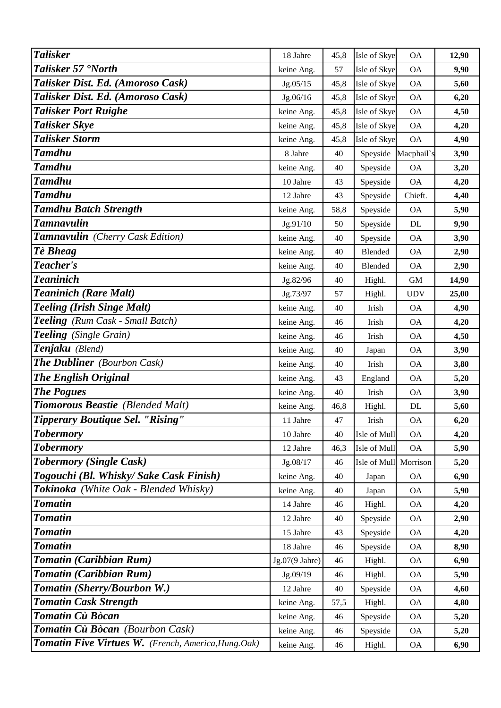| <b>Talisker</b>                                      | 18 Jahre       | 45,8 | Isle of Skye | <b>OA</b>   | 12,90 |
|------------------------------------------------------|----------------|------|--------------|-------------|-------|
| Talisker 57 'North                                   | keine Ang.     | 57   | Isle of Skye | <b>OA</b>   | 9,90  |
| Talisker Dist. Ed. (Amoroso Cask)                    | Jg.05/15       | 45,8 | Isle of Skye | <b>OA</b>   | 5,60  |
| Talisker Dist. Ed. (Amoroso Cask)                    | Jg.06/16       | 45,8 | Isle of Skye | <b>OA</b>   | 6,20  |
| <b>Talisker Port Ruighe</b>                          | keine Ang.     | 45,8 | Isle of Skye | <b>OA</b>   | 4,50  |
| <b>Talisker Skye</b>                                 | keine Ang.     | 45,8 | Isle of Skye | <b>OA</b>   | 4,20  |
| <b>Talisker Storm</b>                                | keine Ang.     | 45,8 | Isle of Skye | <b>OA</b>   | 4,90  |
| <b>Tamdhu</b>                                        | 8 Jahre        | 40   | Speyside     | Macphail's  | 3,90  |
| <b>Tamdhu</b>                                        | keine Ang.     | 40   | Speyside     | <b>OA</b>   | 3,20  |
| <b>Tamdhu</b>                                        | 10 Jahre       | 43   | Speyside     | <b>OA</b>   | 4,20  |
| <b>Tamdhu</b>                                        | 12 Jahre       | 43   | Speyside     | Chieft.     | 4,40  |
| <b>Tamdhu Batch Strength</b>                         | keine Ang.     | 58,8 | Speyside     | <b>OA</b>   | 5,90  |
| <b>Tamnavulin</b>                                    | Jg.91/10       | 50   | Speyside     | DL          | 9,90  |
| Tamnavulin (Cherry Cask Edition)                     | keine Ang.     | 40   | Speyside     | <b>OA</b>   | 3,90  |
| Tè Bheag                                             | keine Ang.     | 40   | Blended      | <b>OA</b>   | 2,90  |
| Teacher's                                            | keine Ang.     | 40   | Blended      | <b>OA</b>   | 2,90  |
| <b>Teaninich</b>                                     | Jg.82/96       | 40   | Highl.       | $\mbox{GM}$ | 14,90 |
| <b>Teaninich (Rare Malt)</b>                         | Jg.73/97       | 57   | Highl.       | <b>UDV</b>  | 25,00 |
| <b>Teeling (Irish Singe Malt)</b>                    | keine Ang.     | 40   | Irish        | <b>OA</b>   | 4,90  |
| Teeling (Rum Cask - Small Batch)                     | keine Ang.     | 46   | Irish        | <b>OA</b>   | 4,20  |
| Teeling (Single Grain)                               | keine Ang.     | 46   | Irish        | <b>OA</b>   | 4,50  |
| Tenjaku (Blend)                                      | keine Ang.     | 40   | Japan        | <b>OA</b>   | 3,90  |
| <b>The Dubliner</b> (Bourbon Cask)                   | keine Ang.     | 40   | Irish        | <b>OA</b>   | 3,80  |
| <b>The English Original</b>                          | keine Ang.     | 43   | England      | <b>OA</b>   | 5,20  |
| <b>The Pogues</b>                                    | keine Ang.     | 40   | Irish        | <b>OA</b>   | 3,90  |
| <b>Tiomorous Beastie</b> (Blended Malt)              | keine Ang.     | 46,8 | Highl.       | DL          | 5,60  |
| Tipperary Boutique Sel. "Rising"                     | 11 Jahre       | 47   | Irish        | <b>OA</b>   | 6,20  |
| <b>Tobermory</b>                                     | 10 Jahre       | 40   | Isle of Mull | <b>OA</b>   | 4,20  |
| <b>Tobermory</b>                                     | 12 Jahre       | 46,3 | Isle of Mull | <b>OA</b>   | 5,90  |
| <b>Tobermory (Single Cask)</b>                       | Jg.08/17       | 46   | Isle of Mull | Morrison    | 5,20  |
| Togouchi (Bl. Whisky/ Sake Cask Finish)              | keine Ang.     | 40   | Japan        | <b>OA</b>   | 6,90  |
| Tokinoka (White Oak - Blended Whisky)                | keine Ang.     | 40   | Japan        | <b>OA</b>   | 5,90  |
| <b>Tomatin</b>                                       | 14 Jahre       | 46   | Highl.       | <b>OA</b>   | 4,20  |
| <b>Tomatin</b>                                       | 12 Jahre       | 40   | Speyside     | <b>OA</b>   | 2,90  |
| <b>Tomatin</b>                                       | 15 Jahre       | 43   | Speyside     | <b>OA</b>   | 4,20  |
| <b>Tomatin</b>                                       | 18 Jahre       | 46   | Speyside     | <b>OA</b>   | 8,90  |
| Tomatin (Caribbian Rum)                              | Jg.07(9 Jahre) | 46   | Highl.       | <b>OA</b>   | 6,90  |
| Tomatin (Caribbian Rum)                              | Jg.09/19       | 46   | Highl.       | <b>OA</b>   | 5,90  |
| Tomatin (Sherry/Bourbon W.)                          | 12 Jahre       | 40   | Speyside     | <b>OA</b>   | 4,60  |
| <b>Tomatin Cask Strength</b>                         | keine Ang.     | 57,5 | Highl.       | <b>OA</b>   | 4,80  |
| Tomatin Cù Bòcan                                     | keine Ang.     | 46   | Speyside     | <b>OA</b>   | 5,20  |
| Tomatin Cù Bòcan (Bourbon Cask)                      | keine Ang.     | 46   | Speyside     | <b>OA</b>   | 5,20  |
| Tomatin Five Virtues W. (French, America, Hung. Oak) | keine Ang.     | 46   | Highl.       | <b>OA</b>   | 6,90  |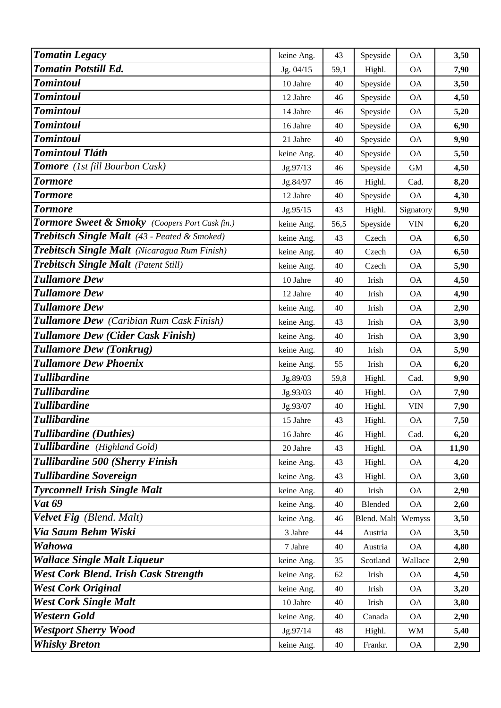| <b>Tomatin Legacy</b>                           | keine Ang. | 43   | Speyside    | <b>OA</b>  | 3,50  |
|-------------------------------------------------|------------|------|-------------|------------|-------|
| <b>Tomatin Potstill Ed.</b>                     | Jg. 04/15  | 59,1 | Highl.      | <b>OA</b>  | 7,90  |
| <b>Tomintoul</b>                                | 10 Jahre   | 40   | Speyside    | <b>OA</b>  | 3,50  |
| <b>Tomintoul</b>                                | 12 Jahre   | 46   | Speyside    | <b>OA</b>  | 4,50  |
| <b>Tomintoul</b>                                | 14 Jahre   | 46   | Speyside    | <b>OA</b>  | 5,20  |
| <b>Tomintoul</b>                                | 16 Jahre   | 40   | Speyside    | <b>OA</b>  | 6,90  |
| <b>Tomintoul</b>                                | 21 Jahre   | 40   | Speyside    | <b>OA</b>  | 9,90  |
| <b>Tomintoul Tláth</b>                          | keine Ang. | 40   | Speyside    | <b>OA</b>  | 5,50  |
| Tomore (1st fill Bourbon Cask)                  | Jg.97/13   | 46   | Speyside    | <b>GM</b>  | 4,50  |
| <b>Tormore</b>                                  | Jg.84/97   | 46   | Highl.      | Cad.       | 8,20  |
| <b>Tormore</b>                                  | 12 Jahre   | 40   | Speyside    | <b>OA</b>  | 4,30  |
| <b>Tormore</b>                                  | Jg.95/15   | 43   | Highl.      | Signatory  | 9,90  |
| Tormore Sweet & Smoky (Coopers Port Cask fin.)  | keine Ang. | 56,5 | Speyside    | <b>VIN</b> | 6,20  |
| Trebitsch Single Malt (43 - Peated & Smoked)    | keine Ang. | 43   | Czech       | <b>OA</b>  | 6,50  |
| Trebitsch Single Malt (Nicaragua Rum Finish)    | keine Ang. | 40   | Czech       | <b>OA</b>  | 6,50  |
| <b>Trebitsch Single Malt</b> (Patent Still)     | keine Ang. | 40   | Czech       | <b>OA</b>  | 5,90  |
| <b>Tullamore Dew</b>                            | 10 Jahre   | 40   | Irish       | <b>OA</b>  | 4,50  |
| <b>Tullamore Dew</b>                            | 12 Jahre   | 40   | Irish       | <b>OA</b>  | 4,90  |
| <b>Tullamore Dew</b>                            | keine Ang. | 40   | Irish       | <b>OA</b>  | 2,90  |
| <b>Tullamore Dew</b> (Caribian Rum Cask Finish) | keine Ang. | 43   | Irish       | <b>OA</b>  | 3,90  |
| <b>Tullamore Dew (Cider Cask Finish)</b>        | keine Ang. | 40   | Irish       | <b>OA</b>  | 3,90  |
| <b>Tullamore Dew (Tonkrug)</b>                  | keine Ang. | 40   | Irish       | <b>OA</b>  | 5,90  |
| <b>Tullamore Dew Phoenix</b>                    | keine Ang. | 55   | Irish       | <b>OA</b>  | 6,20  |
| <b>Tullibardine</b>                             | Jg.89/03   | 59,8 | Highl.      | Cad.       | 9,90  |
| <b>Tullibardine</b>                             | Jg.93/03   | 40   | Highl.      | <b>OA</b>  | 7,90  |
| <b>Tullibardine</b>                             | Jg.93/07   | 40   | Highl.      | <b>VIN</b> | 7,90  |
| <b>Tullibardine</b>                             | 15 Jahre   | 43   | Highl.      | <b>OA</b>  | 7,50  |
| <b>Tullibardine</b> (Duthies)                   | 16 Jahre   | 46   | Highl.      | Cad.       | 6,20  |
| Tullibardine (Highland Gold)                    | 20 Jahre   | 43   | Highl.      | <b>OA</b>  | 11,90 |
| Tullibardine 500 (Sherry Finish                 | keine Ang. | 43   | Highl.      | <b>OA</b>  | 4,20  |
| <b>Tullibardine Sovereign</b>                   | keine Ang. | 43   | Highl.      | <b>OA</b>  | 3,60  |
| <b>Tyrconnell Irish Single Malt</b>             | keine Ang. | 40   | Irish       | <b>OA</b>  | 2,90  |
| <b>Vat 69</b>                                   | keine Ang. | 40   | Blended     | <b>OA</b>  | 2,60  |
| Velvet Fig (Blend. Malt)                        | keine Ang. | 46   | Blend. Malt | Wemyss     | 3,50  |
| Via Saum Behm Wiski                             | 3 Jahre    | 44   | Austria     | <b>OA</b>  | 3,50  |
| Wahowa                                          | 7 Jahre    | 40   | Austria     | <b>OA</b>  | 4,80  |
| <b>Wallace Single Malt Liqueur</b>              | keine Ang. | 35   | Scotland    | Wallace    | 2,90  |
| <b>West Cork Blend. Irish Cask Strength</b>     | keine Ang. | 62   | Irish       | <b>OA</b>  | 4,50  |
| <b>West Cork Original</b>                       | keine Ang. | 40   | Irish       | <b>OA</b>  | 3,20  |
| <b>West Cork Single Malt</b>                    | 10 Jahre   | 40   | Irish       | <b>OA</b>  | 3,80  |
| Western Gold                                    | keine Ang. | 40   | Canada      | <b>OA</b>  | 2,90  |
| <b>Westport Sherry Wood</b>                     | Jg.97/14   | 48   | Highl.      | <b>WM</b>  | 5,40  |
| <b>Whisky Breton</b>                            | keine Ang. | 40   | Frankr.     | <b>OA</b>  | 2,90  |